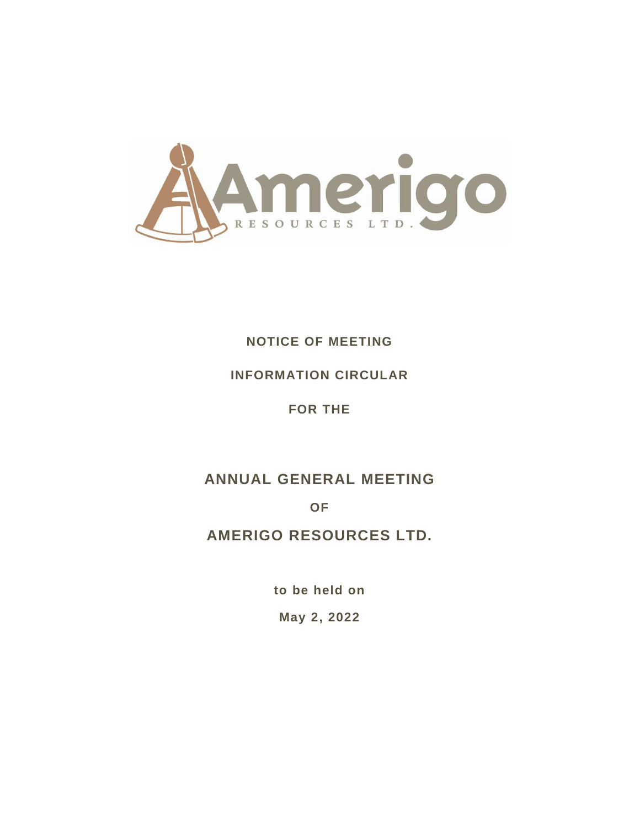

# **NOTICE OF MEETING**

# **INFORMATION CIRCULAR**

**FOR THE**

# **ANNUAL GENERAL MEETING**

**OF**

# **AMERIGO RESOURCES LTD.**

**to be held on**

**May 2, 2022**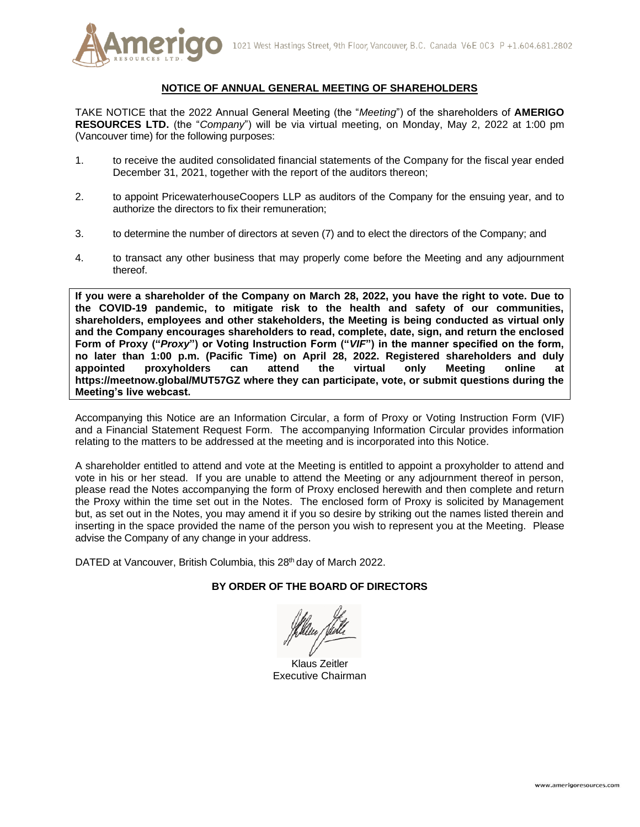

## **NOTICE OF ANNUAL GENERAL MEETING OF SHAREHOLDERS**

TAKE NOTICE that the 2022 Annual General Meeting (the "*Meeting*") of the shareholders of **AMERIGO RESOURCES LTD.** (the "*Company*") will be via virtual meeting, on Monday, May 2, 2022 at 1:00 pm (Vancouver time) for the following purposes:

- 1. to receive the audited consolidated financial statements of the Company for the fiscal year ended December 31, 2021, together with the report of the auditors thereon;
- 2. to appoint PricewaterhouseCoopers LLP as auditors of the Company for the ensuing year, and to authorize the directors to fix their remuneration;
- 3. to determine the number of directors at seven (7) and to elect the directors of the Company; and
- 4. to transact any other business that may properly come before the Meeting and any adjournment thereof.

**If you were a shareholder of the Company on March 28, 2022, you have the right to vote. Due to the COVID-19 pandemic, to mitigate risk to the health and safety of our communities, shareholders, employees and other stakeholders, the Meeting is being conducted as virtual only and the Company encourages shareholders to read, complete, date, sign, and return the enclosed Form of Proxy ("***Proxy***") or Voting Instruction Form ("***VIF***") in the manner specified on the form, no later than 1:00 p.m. (Pacific Time) on April 28, 2022. Registered shareholders and duly appointed proxyholders can attend the virtual only Meeting online at https://meetnow.global/MUT57GZ where they can participate, vote, or submit questions during the Meeting's live webcast.**

Accompanying this Notice are an Information Circular, a form of Proxy or Voting Instruction Form (VIF) and a Financial Statement Request Form. The accompanying Information Circular provides information relating to the matters to be addressed at the meeting and is incorporated into this Notice.

A shareholder entitled to attend and vote at the Meeting is entitled to appoint a proxyholder to attend and vote in his or her stead. If you are unable to attend the Meeting or any adjournment thereof in person, please read the Notes accompanying the form of Proxy enclosed herewith and then complete and return the Proxy within the time set out in the Notes. The enclosed form of Proxy is solicited by Management but, as set out in the Notes, you may amend it if you so desire by striking out the names listed therein and inserting in the space provided the name of the person you wish to represent you at the Meeting. Please advise the Company of any change in your address.

DATED at Vancouver, British Columbia, this 28<sup>th</sup> day of March 2022.

## **BY ORDER OF THE BOARD OF DIRECTORS**

Klaus Zeitler Executive Chairman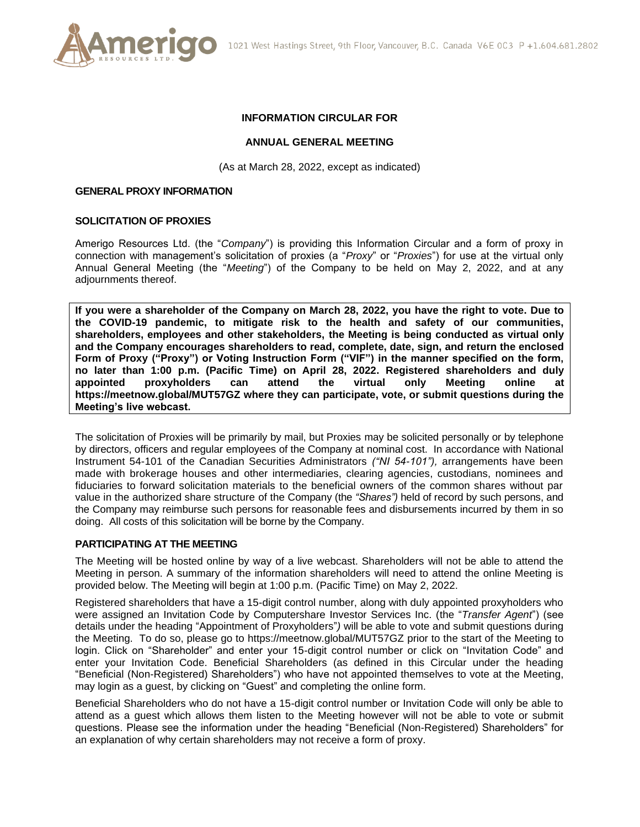

## **INFORMATION CIRCULAR FOR**

#### **ANNUAL GENERAL MEETING**

(As at March 28, 2022, except as indicated)

#### **GENERAL PROXY INFORMATION**

#### **SOLICITATION OF PROXIES**

Amerigo Resources Ltd. (the "*Company*") is providing this Information Circular and a form of proxy in connection with management's solicitation of proxies (a "*Proxy*" or "*Proxies*") for use at the virtual only Annual General Meeting (the "*Meeting*") of the Company to be held on May 2, 2022, and at any adjournments thereof.

**If you were a shareholder of the Company on March 28, 2022, you have the right to vote. Due to the COVID-19 pandemic, to mitigate risk to the health and safety of our communities, shareholders, employees and other stakeholders, the Meeting is being conducted as virtual only and the Company encourages shareholders to read, complete, date, sign, and return the enclosed Form of Proxy ("Proxy") or Voting Instruction Form ("VIF") in the manner specified on the form, no later than 1:00 p.m. (Pacific Time) on April 28, 2022. Registered shareholders and duly appointed proxyholders can attend the virtual only Meeting online at https://meetnow.global/MUT57GZ where they can participate, vote, or submit questions during the Meeting's live webcast.**

The solicitation of Proxies will be primarily by mail, but Proxies may be solicited personally or by telephone by directors, officers and regular employees of the Company at nominal cost. In accordance with National Instrument 54-101 of the Canadian Securities Administrators *("NI 54-101"),* arrangements have been made with brokerage houses and other intermediaries, clearing agencies, custodians, nominees and fiduciaries to forward solicitation materials to the beneficial owners of the common shares without par value in the authorized share structure of the Company (the *"Shares")* held of record by such persons, and the Company may reimburse such persons for reasonable fees and disbursements incurred by them in so doing. All costs of this solicitation will be borne by the Company.

## **PARTICIPATING AT THE MEETING**

The Meeting will be hosted online by way of a live webcast. Shareholders will not be able to attend the Meeting in person. A summary of the information shareholders will need to attend the online Meeting is provided below. The Meeting will begin at 1:00 p.m. (Pacific Time) on May 2, 2022.

Registered shareholders that have a 15-digit control number, along with duly appointed proxyholders who were assigned an Invitation Code by Computershare Investor Services Inc. (the "*Transfer Agent*") (see details under the heading "Appointment of Proxyholders"*)* will be able to vote and submit questions during the Meeting. To do so, please go to https://meetnow.global/MUT57GZ prior to the start of the Meeting to login. Click on "Shareholder" and enter your 15-digit control number or click on "Invitation Code" and enter your Invitation Code. Beneficial Shareholders (as defined in this Circular under the heading "Beneficial (Non-Registered) Shareholders") who have not appointed themselves to vote at the Meeting, may login as a guest, by clicking on "Guest" and completing the online form.

Beneficial Shareholders who do not have a 15-digit control number or Invitation Code will only be able to attend as a guest which allows them listen to the Meeting however will not be able to vote or submit questions. Please see the information under the heading "Beneficial (Non-Registered) Shareholders" for an explanation of why certain shareholders may not receive a form of proxy.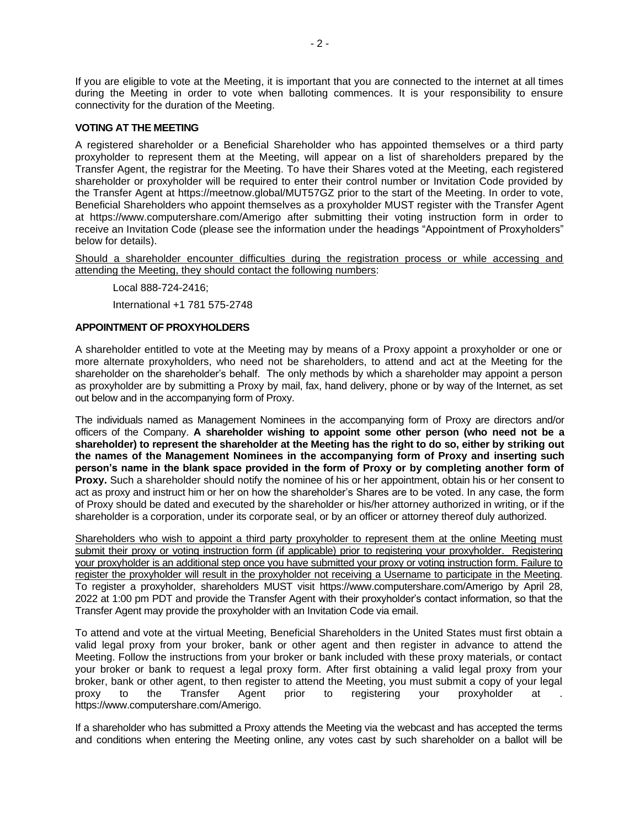If you are eligible to vote at the Meeting, it is important that you are connected to the internet at all times during the Meeting in order to vote when balloting commences. It is your responsibility to ensure connectivity for the duration of the Meeting.

## **VOTING AT THE MEETING**

A registered shareholder or a Beneficial Shareholder who has appointed themselves or a third party proxyholder to represent them at the Meeting, will appear on a list of shareholders prepared by the Transfer Agent, the registrar for the Meeting. To have their Shares voted at the Meeting, each registered shareholder or proxyholder will be required to enter their control number or Invitation Code provided by the Transfer Agent at https://meetnow.global/MUT57GZ prior to the start of the Meeting. In order to vote, Beneficial Shareholders who appoint themselves as a proxyholder MUST register with the Transfer Agent at https://www.computershare.com/Amerigo after submitting their voting instruction form in order to receive an Invitation Code (please see the information under the headings "Appointment of Proxyholders" below for details).

Should a shareholder encounter difficulties during the registration process or while accessing and attending the Meeting, they should contact the following numbers:

Local 888-724-2416;

International +1 781 575-2748

## **APPOINTMENT OF PROXYHOLDERS**

A shareholder entitled to vote at the Meeting may by means of a Proxy appoint a proxyholder or one or more alternate proxyholders, who need not be shareholders, to attend and act at the Meeting for the shareholder on the shareholder's behalf. The only methods by which a shareholder may appoint a person as proxyholder are by submitting a Proxy by mail, fax, hand delivery, phone or by way of the Internet, as set out below and in the accompanying form of Proxy.

The individuals named as Management Nominees in the accompanying form of Proxy are directors and/or officers of the Company. **A shareholder wishing to appoint some other person (who need not be a shareholder) to represent the shareholder at the Meeting has the right to do so, either by striking out the names of the Management Nominees in the accompanying form of Proxy and inserting such person's name in the blank space provided in the form of Proxy or by completing another form of Proxy.** Such a shareholder should notify the nominee of his or her appointment, obtain his or her consent to act as proxy and instruct him or her on how the shareholder's Shares are to be voted. In any case, the form of Proxy should be dated and executed by the shareholder or his/her attorney authorized in writing, or if the shareholder is a corporation, under its corporate seal, or by an officer or attorney thereof duly authorized.

Shareholders who wish to appoint a third party proxyholder to represent them at the online Meeting must submit their proxy or voting instruction form (if applicable) prior to registering your proxyholder. Registering your proxyholder is an additional step once you have submitted your proxy or voting instruction form. Failure to register the proxyholder will result in the proxyholder not receiving a Username to participate in the Meeting. To register a proxyholder, shareholders MUST visit https://www.computershare.com/Amerigo by April 28, 2022 at 1:00 pm PDT and provide the Transfer Agent with their proxyholder's contact information, so that the Transfer Agent may provide the proxyholder with an Invitation Code via email.

To attend and vote at the virtual Meeting, Beneficial Shareholders in the United States must first obtain a valid legal proxy from your broker, bank or other agent and then register in advance to attend the Meeting. Follow the instructions from your broker or bank included with these proxy materials, or contact your broker or bank to request a legal proxy form. After first obtaining a valid legal proxy from your broker, bank or other agent, to then register to attend the Meeting, you must submit a copy of your legal proxy to the Transfer Agent prior to registering your proxyholder at . https://www.computershare.com/Amerigo.

If a shareholder who has submitted a Proxy attends the Meeting via the webcast and has accepted the terms and conditions when entering the Meeting online, any votes cast by such shareholder on a ballot will be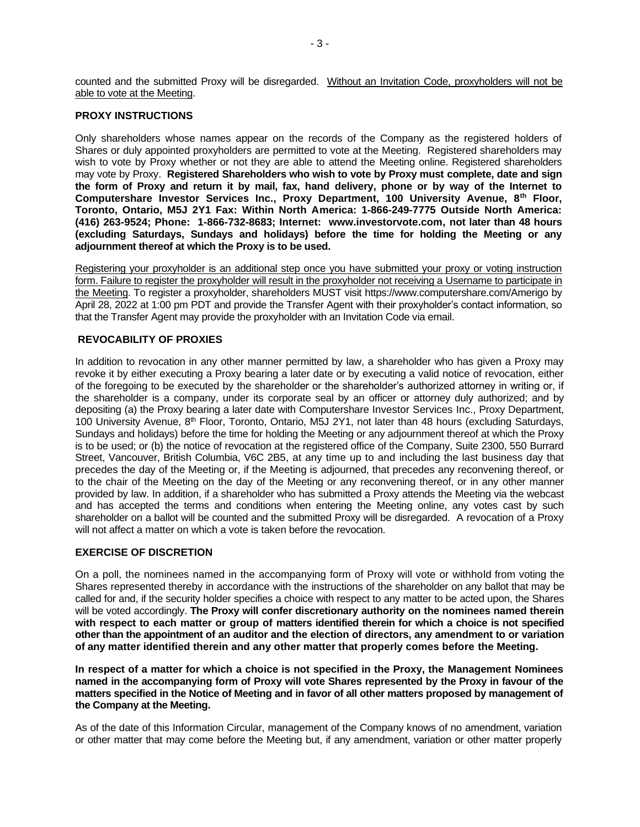counted and the submitted Proxy will be disregarded. Without an Invitation Code, proxyholders will not be able to vote at the Meeting.

#### **PROXY INSTRUCTIONS**

Only shareholders whose names appear on the records of the Company as the registered holders of Shares or duly appointed proxyholders are permitted to vote at the Meeting. Registered shareholders may wish to vote by Proxy whether or not they are able to attend the Meeting online. Registered shareholders may vote by Proxy. **Registered Shareholders who wish to vote by Proxy must complete, date and sign the form of Proxy and return it by mail, fax, hand delivery, phone or by way of the Internet to Computershare Investor Services Inc., Proxy Department, 100 University Avenue, 8th Floor, Toronto, Ontario, M5J 2Y1 Fax: Within North America: 1-866-249-7775 Outside North America: (416) 263-9524; Phone: 1-866-732-8683; Internet: www.investorvote.com, not later than 48 hours (excluding Saturdays, Sundays and holidays) before the time for holding the Meeting or any adjournment thereof at which the Proxy is to be used.**

Registering your proxyholder is an additional step once you have submitted your proxy or voting instruction form. Failure to register the proxyholder will result in the proxyholder not receiving a Username to participate in the Meeting. To register a proxyholder, shareholders MUST visit https://www.computershare.com/Amerigo by April 28, 2022 at 1:00 pm PDT and provide the Transfer Agent with their proxyholder's contact information, so that the Transfer Agent may provide the proxyholder with an Invitation Code via email.

## **REVOCABILITY OF PROXIES**

In addition to revocation in any other manner permitted by law, a shareholder who has given a Proxy may revoke it by either executing a Proxy bearing a later date or by executing a valid notice of revocation, either of the foregoing to be executed by the shareholder or the shareholder's authorized attorney in writing or, if the shareholder is a company, under its corporate seal by an officer or attorney duly authorized; and by depositing (a) the Proxy bearing a later date with Computershare Investor Services Inc., Proxy Department, 100 University Avenue,  $8<sup>th</sup>$  Floor, Toronto, Ontario, M5J 2Y1, not later than 48 hours (excluding Saturdays, Sundays and holidays) before the time for holding the Meeting or any adjournment thereof at which the Proxy is to be used; or (b) the notice of revocation at the registered office of the Company, Suite 2300, 550 Burrard Street, Vancouver, British Columbia, V6C 2B5, at any time up to and including the last business day that precedes the day of the Meeting or, if the Meeting is adjourned, that precedes any reconvening thereof, or to the chair of the Meeting on the day of the Meeting or any reconvening thereof, or in any other manner provided by law. In addition, if a shareholder who has submitted a Proxy attends the Meeting via the webcast and has accepted the terms and conditions when entering the Meeting online, any votes cast by such shareholder on a ballot will be counted and the submitted Proxy will be disregarded. A revocation of a Proxy will not affect a matter on which a vote is taken before the revocation.

## **EXERCISE OF DISCRETION**

On a poll, the nominees named in the accompanying form of Proxy will vote or withhold from voting the Shares represented thereby in accordance with the instructions of the shareholder on any ballot that may be called for and, if the security holder specifies a choice with respect to any matter to be acted upon, the Shares will be voted accordingly. **The Proxy will confer discretionary authority on the nominees named therein with respect to each matter or group of matters identified therein for which a choice is not specified other than the appointment of an auditor and the election of directors, any amendment to or variation of any matter identified therein and any other matter that properly comes before the Meeting.** 

**In respect of a matter for which a choice is not specified in the Proxy, the Management Nominees named in the accompanying form of Proxy will vote Shares represented by the Proxy in favour of the matters specified in the Notice of Meeting and in favor of all other matters proposed by management of the Company at the Meeting.**

As of the date of this Information Circular, management of the Company knows of no amendment, variation or other matter that may come before the Meeting but, if any amendment, variation or other matter properly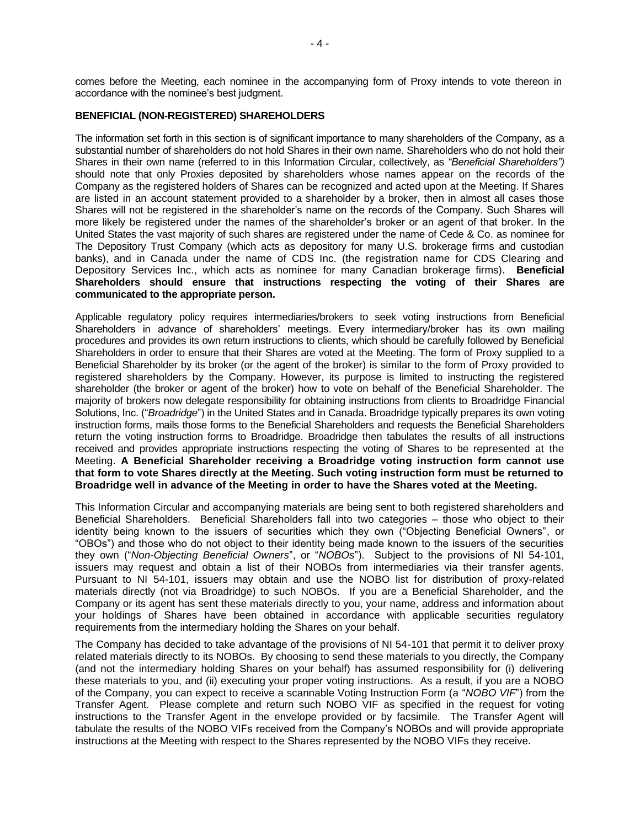comes before the Meeting, each nominee in the accompanying form of Proxy intends to vote thereon in accordance with the nominee's best judgment.

#### **BENEFICIAL (NON-REGISTERED) SHAREHOLDERS**

The information set forth in this section is of significant importance to many shareholders of the Company, as a substantial number of shareholders do not hold Shares in their own name. Shareholders who do not hold their Shares in their own name (referred to in this Information Circular, collectively, as *"Beneficial Shareholders")*  should note that only Proxies deposited by shareholders whose names appear on the records of the Company as the registered holders of Shares can be recognized and acted upon at the Meeting. If Shares are listed in an account statement provided to a shareholder by a broker, then in almost all cases those Shares will not be registered in the shareholder's name on the records of the Company. Such Shares will more likely be registered under the names of the shareholder's broker or an agent of that broker. In the United States the vast majority of such shares are registered under the name of Cede & Co. as nominee for The Depository Trust Company (which acts as depository for many U.S. brokerage firms and custodian banks), and in Canada under the name of CDS Inc. (the registration name for CDS Clearing and Depository Services Inc., which acts as nominee for many Canadian brokerage firms). **Beneficial Shareholders should ensure that instructions respecting the voting of their Shares are communicated to the appropriate person.** 

Applicable regulatory policy requires intermediaries/brokers to seek voting instructions from Beneficial Shareholders in advance of shareholders' meetings. Every intermediary/broker has its own mailing procedures and provides its own return instructions to clients, which should be carefully followed by Beneficial Shareholders in order to ensure that their Shares are voted at the Meeting. The form of Proxy supplied to a Beneficial Shareholder by its broker (or the agent of the broker) is similar to the form of Proxy provided to registered shareholders by the Company. However, its purpose is limited to instructing the registered shareholder (the broker or agent of the broker) how to vote on behalf of the Beneficial Shareholder. The majority of brokers now delegate responsibility for obtaining instructions from clients to Broadridge Financial Solutions, Inc. ("*Broadridge*") in the United States and in Canada. Broadridge typically prepares its own voting instruction forms, mails those forms to the Beneficial Shareholders and requests the Beneficial Shareholders return the voting instruction forms to Broadridge. Broadridge then tabulates the results of all instructions received and provides appropriate instructions respecting the voting of Shares to be represented at the Meeting. **A Beneficial Shareholder receiving a Broadridge voting instruction form cannot use that form to vote Shares directly at the Meeting. Such voting instruction form must be returned to Broadridge well in advance of the Meeting in order to have the Shares voted at the Meeting.**

This Information Circular and accompanying materials are being sent to both registered shareholders and Beneficial Shareholders. Beneficial Shareholders fall into two categories – those who object to their identity being known to the issuers of securities which they own ("Objecting Beneficial Owners", or "OBOs") and those who do not object to their identity being made known to the issuers of the securities they own ("*Non-Objecting Beneficial Owners*", or "*NOBOs*"). Subject to the provisions of NI 54-101, issuers may request and obtain a list of their NOBOs from intermediaries via their transfer agents. Pursuant to NI 54-101, issuers may obtain and use the NOBO list for distribution of proxy-related materials directly (not via Broadridge) to such NOBOs. If you are a Beneficial Shareholder, and the Company or its agent has sent these materials directly to you, your name, address and information about your holdings of Shares have been obtained in accordance with applicable securities regulatory requirements from the intermediary holding the Shares on your behalf.

The Company has decided to take advantage of the provisions of NI 54-101 that permit it to deliver proxy related materials directly to its NOBOs. By choosing to send these materials to you directly, the Company (and not the intermediary holding Shares on your behalf) has assumed responsibility for (i) delivering these materials to you, and (ii) executing your proper voting instructions. As a result, if you are a NOBO of the Company, you can expect to receive a scannable Voting Instruction Form (a "*NOBO VIF*") from the Transfer Agent. Please complete and return such NOBO VIF as specified in the request for voting instructions to the Transfer Agent in the envelope provided or by facsimile. The Transfer Agent will tabulate the results of the NOBO VIFs received from the Company's NOBOs and will provide appropriate instructions at the Meeting with respect to the Shares represented by the NOBO VIFs they receive.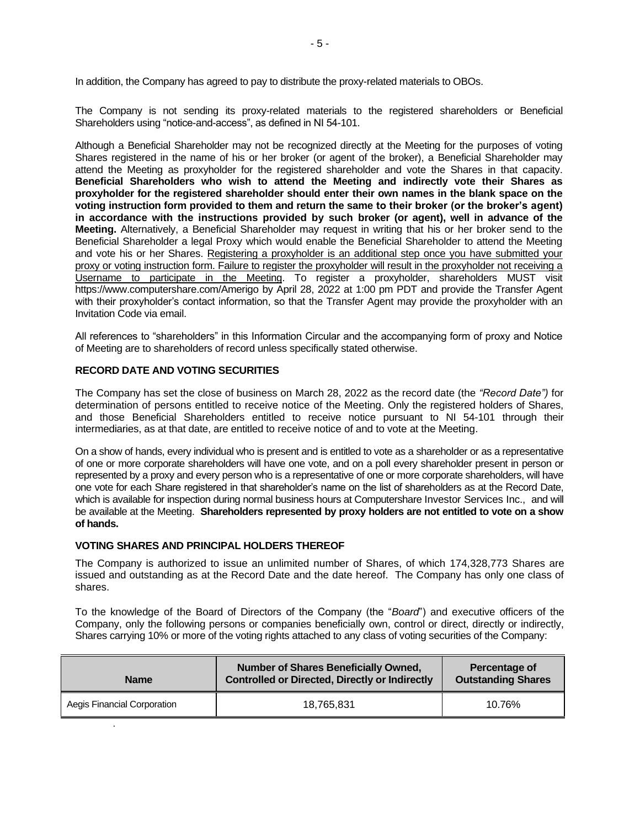In addition, the Company has agreed to pay to distribute the proxy-related materials to OBOs.

The Company is not sending its proxy-related materials to the registered shareholders or Beneficial Shareholders using "notice-and-access", as defined in NI 54-101.

Although a Beneficial Shareholder may not be recognized directly at the Meeting for the purposes of voting Shares registered in the name of his or her broker (or agent of the broker), a Beneficial Shareholder may attend the Meeting as proxyholder for the registered shareholder and vote the Shares in that capacity. **Beneficial Shareholders who wish to attend the Meeting and indirectly vote their Shares as proxyholder for the registered shareholder should enter their own names in the blank space on the voting instruction form provided to them and return the same to their broker (or the broker's agent) in accordance with the instructions provided by such broker (or agent), well in advance of the Meeting.** Alternatively, a Beneficial Shareholder may request in writing that his or her broker send to the Beneficial Shareholder a legal Proxy which would enable the Beneficial Shareholder to attend the Meeting and vote his or her Shares. Registering a proxyholder is an additional step once you have submitted your proxy or voting instruction form. Failure to register the proxyholder will result in the proxyholder not receiving a Username to participate in the Meeting. To register a proxyholder, shareholders MUST visit https://www.computershare.com/Amerigo by April 28, 2022 at 1:00 pm PDT and provide the Transfer Agent with their proxyholder's contact information, so that the Transfer Agent may provide the proxyholder with an Invitation Code via email.

All references to "shareholders" in this Information Circular and the accompanying form of proxy and Notice of Meeting are to shareholders of record unless specifically stated otherwise.

## **RECORD DATE AND VOTING SECURITIES**

The Company has set the close of business on March 28, 2022 as the record date (the *"Record Date")* for determination of persons entitled to receive notice of the Meeting. Only the registered holders of Shares, and those Beneficial Shareholders entitled to receive notice pursuant to NI 54-101 through their intermediaries, as at that date, are entitled to receive notice of and to vote at the Meeting.

On a show of hands, every individual who is present and is entitled to vote as a shareholder or as a representative of one or more corporate shareholders will have one vote, and on a poll every shareholder present in person or represented by a proxy and every person who is a representative of one or more corporate shareholders, will have one vote for each Share registered in that shareholder's name on the list of shareholders as at the Record Date, which is available for inspection during normal business hours at Computershare Investor Services Inc., and will be available at the Meeting. **Shareholders represented by proxy holders are not entitled to vote on a show of hands.**

## **VOTING SHARES AND PRINCIPAL HOLDERS THEREOF**

.

The Company is authorized to issue an unlimited number of Shares, of which 174,328,773 Shares are issued and outstanding as at the Record Date and the date hereof. The Company has only one class of shares.

To the knowledge of the Board of Directors of the Company (the "*Board*") and executive officers of the Company, only the following persons or companies beneficially own, control or direct, directly or indirectly, Shares carrying 10% or more of the voting rights attached to any class of voting securities of the Company:

| <b>Name</b>                 | <b>Number of Shares Beneficially Owned,</b><br><b>Controlled or Directed, Directly or Indirectly</b> | Percentage of<br><b>Outstanding Shares</b> |
|-----------------------------|------------------------------------------------------------------------------------------------------|--------------------------------------------|
| Aegis Financial Corporation | 18.765.831                                                                                           | 10.76%                                     |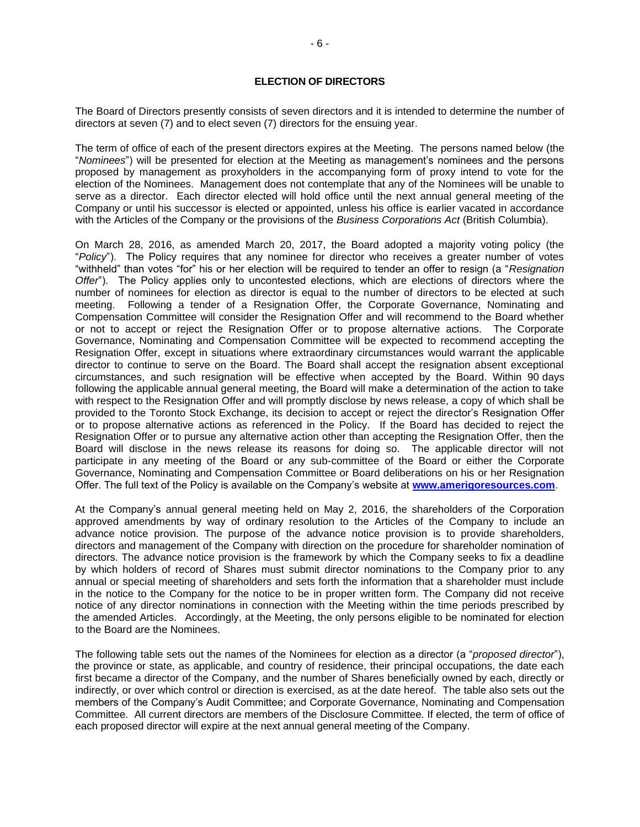## **ELECTION OF DIRECTORS**

The Board of Directors presently consists of seven directors and it is intended to determine the number of directors at seven (7) and to elect seven (7) directors for the ensuing year.

The term of office of each of the present directors expires at the Meeting. The persons named below (the "*Nominees*") will be presented for election at the Meeting as management's nominees and the persons proposed by management as proxyholders in the accompanying form of proxy intend to vote for the election of the Nominees. Management does not contemplate that any of the Nominees will be unable to serve as a director. Each director elected will hold office until the next annual general meeting of the Company or until his successor is elected or appointed, unless his office is earlier vacated in accordance with the Articles of the Company or the provisions of the *Business Corporations Act* (British Columbia).

On March 28, 2016, as amended March 20, 2017, the Board adopted a majority voting policy (the "*Policy*"). The Policy requires that any nominee for director who receives a greater number of votes "withheld" than votes "for" his or her election will be required to tender an offer to resign (a "*Resignation Offer*"). The Policy applies only to uncontested elections, which are elections of directors where the number of nominees for election as director is equal to the number of directors to be elected at such meeting. Following a tender of a Resignation Offer, the Corporate Governance, Nominating and Compensation Committee will consider the Resignation Offer and will recommend to the Board whether or not to accept or reject the Resignation Offer or to propose alternative actions. The Corporate Governance, Nominating and Compensation Committee will be expected to recommend accepting the Resignation Offer, except in situations where extraordinary circumstances would warrant the applicable director to continue to serve on the Board. The Board shall accept the resignation absent exceptional circumstances, and such resignation will be effective when accepted by the Board. Within 90 days following the applicable annual general meeting, the Board will make a determination of the action to take with respect to the Resignation Offer and will promptly disclose by news release, a copy of which shall be provided to the Toronto Stock Exchange, its decision to accept or reject the director's Resignation Offer or to propose alternative actions as referenced in the Policy. If the Board has decided to reject the Resignation Offer or to pursue any alternative action other than accepting the Resignation Offer, then the Board will disclose in the news release its reasons for doing so. The applicable director will not participate in any meeting of the Board or any sub-committee of the Board or either the Corporate Governance, Nominating and Compensation Committee or Board deliberations on his or her Resignation Offer. The full text of the Policy is available on the Company's website at **[www.amerigoresources.com](http://www.amerigoresources.com/)**.

At the Company's annual general meeting held on May 2, 2016, the shareholders of the Corporation approved amendments by way of ordinary resolution to the Articles of the Company to include an advance notice provision. The purpose of the advance notice provision is to provide shareholders, directors and management of the Company with direction on the procedure for shareholder nomination of directors. The advance notice provision is the framework by which the Company seeks to fix a deadline by which holders of record of Shares must submit director nominations to the Company prior to any annual or special meeting of shareholders and sets forth the information that a shareholder must include in the notice to the Company for the notice to be in proper written form. The Company did not receive notice of any director nominations in connection with the Meeting within the time periods prescribed by the amended Articles. Accordingly, at the Meeting, the only persons eligible to be nominated for election to the Board are the Nominees.

The following table sets out the names of the Nominees for election as a director (a "*proposed director*"), the province or state, as applicable, and country of residence, their principal occupations, the date each first became a director of the Company, and the number of Shares beneficially owned by each, directly or indirectly, or over which control or direction is exercised, as at the date hereof. The table also sets out the members of the Company's Audit Committee; and Corporate Governance, Nominating and Compensation Committee. All current directors are members of the Disclosure Committee. If elected, the term of office of each proposed director will expire at the next annual general meeting of the Company.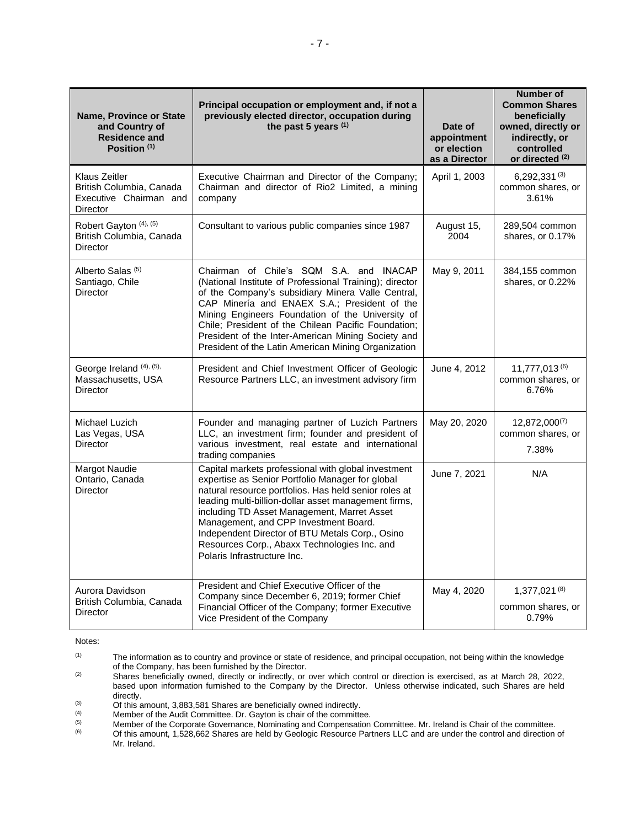| Name, Province or State<br>and Country of<br><b>Residence and</b><br>Position (1)             | Principal occupation or employment and, if not a<br>previously elected director, occupation during<br>the past 5 years (1)                                                                                                                                                                                                                                                                                                                         | Date of<br>appointment<br>or election<br>as a Director | Number of<br><b>Common Shares</b><br>beneficially<br>owned, directly or<br>indirectly, or<br>controlled<br>or directed (2) |
|-----------------------------------------------------------------------------------------------|----------------------------------------------------------------------------------------------------------------------------------------------------------------------------------------------------------------------------------------------------------------------------------------------------------------------------------------------------------------------------------------------------------------------------------------------------|--------------------------------------------------------|----------------------------------------------------------------------------------------------------------------------------|
| <b>Klaus Zeitler</b><br>British Columbia, Canada<br>Executive Chairman and<br><b>Director</b> | Executive Chairman and Director of the Company;<br>Chairman and director of Rio2 Limited, a mining<br>company                                                                                                                                                                                                                                                                                                                                      | April 1, 2003                                          | $6,292,331^{(3)}$<br>common shares, or<br>3.61%                                                                            |
| Robert Gayton (4), (5)<br>British Columbia, Canada<br><b>Director</b>                         | Consultant to various public companies since 1987                                                                                                                                                                                                                                                                                                                                                                                                  | August 15,<br>2004                                     | 289,504 common<br>shares, or 0.17%                                                                                         |
| Alberto Salas <sup>(5)</sup><br>Santiago, Chile<br><b>Director</b>                            | Chairman of Chile's SQM S.A. and INACAP<br>(National Institute of Professional Training); director<br>of the Company's subsidiary Minera Valle Central,<br>CAP Minería and ENAEX S.A.; President of the<br>Mining Engineers Foundation of the University of<br>Chile; President of the Chilean Pacific Foundation;<br>President of the Inter-American Mining Society and<br>President of the Latin American Mining Organization                    | May 9, 2011                                            | 384,155 common<br>shares, or 0.22%                                                                                         |
| George Ireland (4), (5),<br>Massachusetts, USA<br>Director                                    | President and Chief Investment Officer of Geologic<br>Resource Partners LLC, an investment advisory firm                                                                                                                                                                                                                                                                                                                                           | June 4, 2012                                           | $11,777,013^{(6)}$<br>common shares, or<br>6.76%                                                                           |
| Michael Luzich<br>Las Vegas, USA<br><b>Director</b>                                           | Founder and managing partner of Luzich Partners<br>LLC, an investment firm; founder and president of<br>various investment, real estate and international<br>trading companies                                                                                                                                                                                                                                                                     | May 20, 2020                                           | $12,872,000^{(7)}$<br>common shares, or<br>7.38%                                                                           |
| Margot Naudie<br>Ontario, Canada<br>Director                                                  | Capital markets professional with global investment<br>expertise as Senior Portfolio Manager for global<br>natural resource portfolios. Has held senior roles at<br>leading multi-billion-dollar asset management firms,<br>including TD Asset Management, Marret Asset<br>Management, and CPP Investment Board.<br>Independent Director of BTU Metals Corp., Osino<br>Resources Corp., Abaxx Technologies Inc. and<br>Polaris Infrastructure Inc. | June 7, 2021                                           | N/A                                                                                                                        |
| Aurora Davidson<br>British Columbia, Canada<br><b>Director</b>                                | President and Chief Executive Officer of the<br>Company since December 6, 2019; former Chief<br>Financial Officer of the Company; former Executive<br>Vice President of the Company                                                                                                                                                                                                                                                                | May 4, 2020                                            | $1,377,021^{(8)}$<br>common shares, or<br>0.79%                                                                            |

Notes:

<sup>(1)</sup> The information as to country and province or state of residence, and principal occupation, not being within the knowledge of the Company, has been furnished by the Director.

<sup>&</sup>lt;sup>(2)</sup> Shares beneficially owned, directly or indirectly, or over which control or direction is exercised, as at March 28, 2022, based upon information furnished to the Company by the Director. Unless otherwise indicated, such Shares are held directly.

<sup>(3)</sup>  $\frac{1}{2}$  Of this amount, 3,883,581 Shares are beneficially owned indirectly.<br>(4) Member of the Audit Committee. Dr. Gayton is chair of the committe

<sup>(4)</sup> Member of the Audit Committee. Dr. Gayton is chair of the committee.<br>(5) Member of the Corporate Governance, Nominating and Compensation

<sup>(5)</sup> Member of the Corporate Governance, Nominating and Compensation Committee. Mr. Ireland is Chair of the committee.<br>
Of this amount 1.528.662 Shares are held by Geologic Besource Partners LLC and are under the control a

<sup>(6)</sup> Of this amount, 1,528,662 Shares are held by Geologic Resource Partners LLC and are under the control and direction of Mr. Ireland.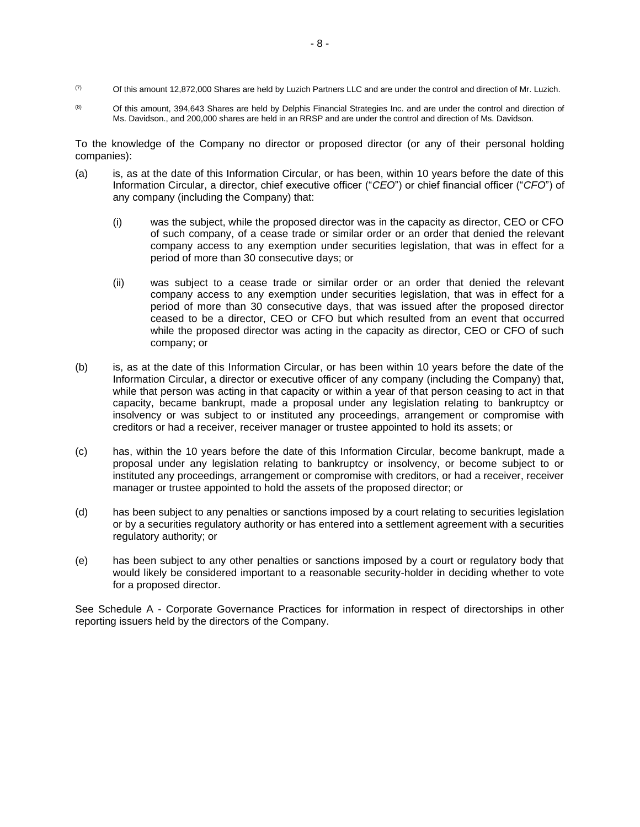- $(7)$  Of this amount 12,872,000 Shares are held by Luzich Partners LLC and are under the control and direction of Mr. Luzich.
- (8) Of this amount, 394,643 Shares are held by Delphis Financial Strategies Inc. and are under the control and direction of Ms. Davidson., and 200,000 shares are held in an RRSP and are under the control and direction of Ms. Davidson.

To the knowledge of the Company no director or proposed director (or any of their personal holding companies):

- (a) is, as at the date of this Information Circular, or has been, within 10 years before the date of this Information Circular, a director, chief executive officer ("*CEO*") or chief financial officer ("*CFO*") of any company (including the Company) that:
	- (i) was the subject, while the proposed director was in the capacity as director, CEO or CFO of such company, of a cease trade or similar order or an order that denied the relevant company access to any exemption under securities legislation, that was in effect for a period of more than 30 consecutive days; or
	- (ii) was subject to a cease trade or similar order or an order that denied the relevant company access to any exemption under securities legislation, that was in effect for a period of more than 30 consecutive days, that was issued after the proposed director ceased to be a director, CEO or CFO but which resulted from an event that occurred while the proposed director was acting in the capacity as director, CEO or CFO of such company; or
- (b) is, as at the date of this Information Circular, or has been within 10 years before the date of the Information Circular, a director or executive officer of any company (including the Company) that, while that person was acting in that capacity or within a year of that person ceasing to act in that capacity, became bankrupt, made a proposal under any legislation relating to bankruptcy or insolvency or was subject to or instituted any proceedings, arrangement or compromise with creditors or had a receiver, receiver manager or trustee appointed to hold its assets; or
- (c) has, within the 10 years before the date of this Information Circular, become bankrupt, made a proposal under any legislation relating to bankruptcy or insolvency, or become subject to or instituted any proceedings, arrangement or compromise with creditors, or had a receiver, receiver manager or trustee appointed to hold the assets of the proposed director; or
- (d) has been subject to any penalties or sanctions imposed by a court relating to securities legislation or by a securities regulatory authority or has entered into a settlement agreement with a securities regulatory authority; or
- (e) has been subject to any other penalties or sanctions imposed by a court or regulatory body that would likely be considered important to a reasonable security-holder in deciding whether to vote for a proposed director.

See Schedule A - Corporate Governance Practices for information in respect of directorships in other reporting issuers held by the directors of the Company.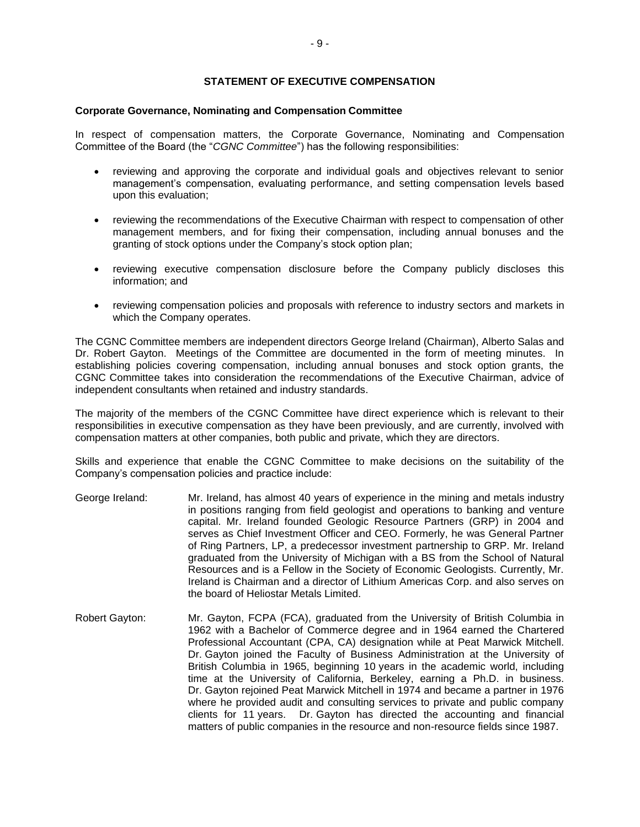## **STATEMENT OF EXECUTIVE COMPENSATION**

#### **Corporate Governance, Nominating and Compensation Committee**

In respect of compensation matters, the Corporate Governance, Nominating and Compensation Committee of the Board (the "*CGNC Committee*") has the following responsibilities:

- reviewing and approving the corporate and individual goals and objectives relevant to senior management's compensation, evaluating performance, and setting compensation levels based upon this evaluation;
- reviewing the recommendations of the Executive Chairman with respect to compensation of other management members, and for fixing their compensation, including annual bonuses and the granting of stock options under the Company's stock option plan;
- reviewing executive compensation disclosure before the Company publicly discloses this information; and
- reviewing compensation policies and proposals with reference to industry sectors and markets in which the Company operates.

The CGNC Committee members are independent directors George Ireland (Chairman), Alberto Salas and Dr. Robert Gayton. Meetings of the Committee are documented in the form of meeting minutes. In establishing policies covering compensation, including annual bonuses and stock option grants, the CGNC Committee takes into consideration the recommendations of the Executive Chairman, advice of independent consultants when retained and industry standards.

The majority of the members of the CGNC Committee have direct experience which is relevant to their responsibilities in executive compensation as they have been previously, and are currently, involved with compensation matters at other companies, both public and private, which they are directors.

Skills and experience that enable the CGNC Committee to make decisions on the suitability of the Company's compensation policies and practice include:

- George Ireland: Mr. Ireland, has almost 40 years of experience in the mining and metals industry in positions ranging from field geologist and operations to banking and venture capital. Mr. Ireland founded Geologic Resource Partners (GRP) in 2004 and serves as Chief Investment Officer and CEO. Formerly, he was General Partner of Ring Partners, LP, a predecessor investment partnership to GRP. Mr. Ireland graduated from the University of Michigan with a BS from the School of Natural Resources and is a Fellow in the Society of Economic Geologists. Currently, Mr. Ireland is Chairman and a director of Lithium Americas Corp. and also serves on the board of Heliostar Metals Limited.
- Robert Gayton: Mr. Gayton, FCPA (FCA), graduated from the University of British Columbia in 1962 with a Bachelor of Commerce degree and in 1964 earned the Chartered Professional Accountant (CPA, CA) designation while at Peat Marwick Mitchell. Dr. Gayton joined the Faculty of Business Administration at the University of British Columbia in 1965, beginning 10 years in the academic world, including time at the University of California, Berkeley, earning a Ph.D. in business. Dr. Gayton rejoined Peat Marwick Mitchell in 1974 and became a partner in 1976 where he provided audit and consulting services to private and public company clients for 11 years. Dr. Gayton has directed the accounting and financial matters of public companies in the resource and non-resource fields since 1987.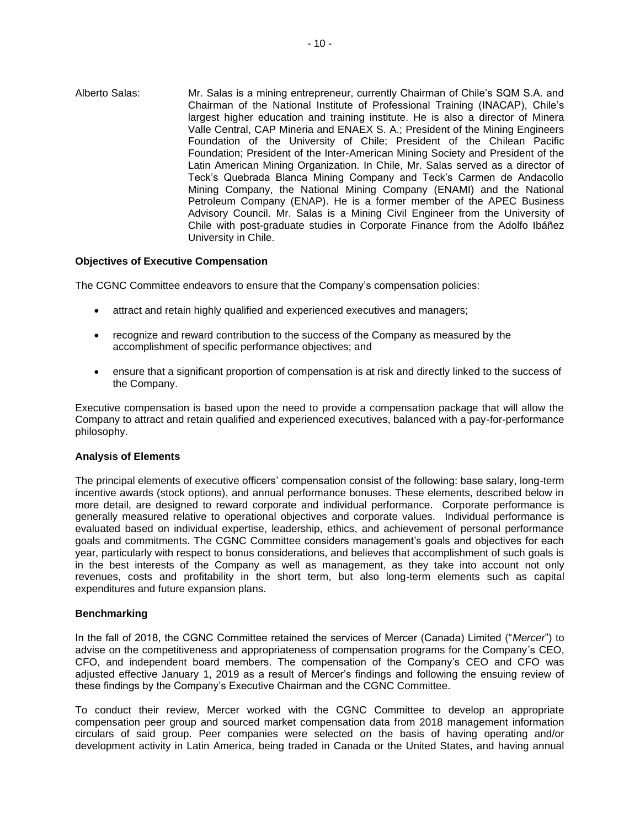Alberto Salas: Mr. Salas is a mining entrepreneur, currently Chairman of Chile's SQM S.A. and Chairman of the National Institute of Professional Training (INACAP), Chile's largest higher education and training institute. He is also a director of Minera Valle Central, CAP Mineria and ENAEX S. A.; President of the Mining Engineers Foundation of the University of Chile; President of the Chilean Pacific Foundation; President of the Inter-American Mining Society and President of the Latin American Mining Organization. In Chile, Mr. Salas served as a director of Teck's Quebrada Blanca Mining Company and Teck's Carmen de Andacollo Mining Company, the National Mining Company (ENAMI) and the National Petroleum Company (ENAP). He is a former member of the APEC Business Advisory Council. Mr. Salas is a Mining Civil Engineer from the University of Chile with post-graduate studies in Corporate Finance from the Adolfo Ibáñez University in Chile.

## **Objectives of Executive Compensation**

The CGNC Committee endeavors to ensure that the Company's compensation policies:

- attract and retain highly qualified and experienced executives and managers;
- recognize and reward contribution to the success of the Company as measured by the accomplishment of specific performance objectives; and
- ensure that a significant proportion of compensation is at risk and directly linked to the success of the Company.

Executive compensation is based upon the need to provide a compensation package that will allow the Company to attract and retain qualified and experienced executives, balanced with a pay-for-performance philosophy.

## **Analysis of Elements**

The principal elements of executive officers' compensation consist of the following: base salary, long-term incentive awards (stock options), and annual performance bonuses. These elements, described below in more detail, are designed to reward corporate and individual performance. Corporate performance is generally measured relative to operational objectives and corporate values. Individual performance is evaluated based on individual expertise, leadership, ethics, and achievement of personal performance goals and commitments. The CGNC Committee considers management's goals and objectives for each year, particularly with respect to bonus considerations, and believes that accomplishment of such goals is in the best interests of the Company as well as management, as they take into account not only revenues, costs and profitability in the short term, but also long-term elements such as capital expenditures and future expansion plans.

#### **Benchmarking**

In the fall of 2018, the CGNC Committee retained the services of Mercer (Canada) Limited ("*Mercer*") to advise on the competitiveness and appropriateness of compensation programs for the Company's CEO, CFO, and independent board members. The compensation of the Company's CEO and CFO was adjusted effective January 1, 2019 as a result of Mercer's findings and following the ensuing review of these findings by the Company's Executive Chairman and the CGNC Committee.

To conduct their review, Mercer worked with the CGNC Committee to develop an appropriate compensation peer group and sourced market compensation data from 2018 management information circulars of said group. Peer companies were selected on the basis of having operating and/or development activity in Latin America, being traded in Canada or the United States, and having annual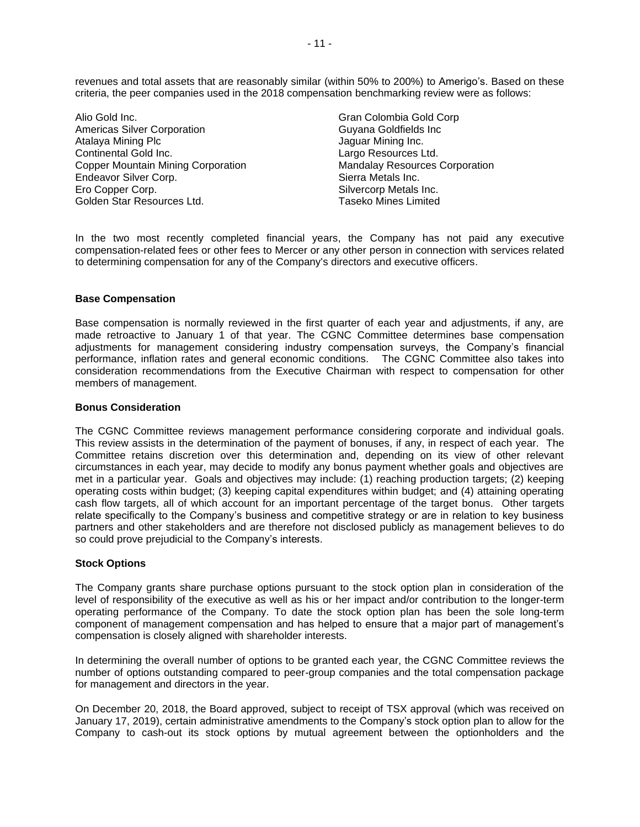revenues and total assets that are reasonably similar (within 50% to 200%) to Amerigo's. Based on these criteria, the peer companies used in the 2018 compensation benchmarking review were as follows:

Alio Gold Inc. Americas Silver Corporation Atalaya Mining Plc Continental Gold Inc. Copper Mountain Mining Corporation Endeavor Silver Corp. Ero Copper Corp. Golden Star Resources Ltd.

Gran Colombia Gold Corp Guyana Goldfields Inc Jaguar Mining Inc. Largo Resources Ltd. Mandalay Resources Corporation Sierra Metals Inc. Silvercorp Metals Inc. Taseko Mines Limited

In the two most recently completed financial years, the Company has not paid any executive compensation-related fees or other fees to Mercer or any other person in connection with services related to determining compensation for any of the Company's directors and executive officers.

## **Base Compensation**

Base compensation is normally reviewed in the first quarter of each year and adjustments, if any, are made retroactive to January 1 of that year. The CGNC Committee determines base compensation adjustments for management considering industry compensation surveys, the Company's financial performance, inflation rates and general economic conditions. The CGNC Committee also takes into consideration recommendations from the Executive Chairman with respect to compensation for other members of management.

#### **Bonus Consideration**

The CGNC Committee reviews management performance considering corporate and individual goals. This review assists in the determination of the payment of bonuses, if any, in respect of each year. The Committee retains discretion over this determination and, depending on its view of other relevant circumstances in each year, may decide to modify any bonus payment whether goals and objectives are met in a particular year. Goals and objectives may include: (1) reaching production targets; (2) keeping operating costs within budget; (3) keeping capital expenditures within budget; and (4) attaining operating cash flow targets, all of which account for an important percentage of the target bonus. Other targets relate specifically to the Company's business and competitive strategy or are in relation to key business partners and other stakeholders and are therefore not disclosed publicly as management believes to do so could prove prejudicial to the Company's interests.

## **Stock Options**

The Company grants share purchase options pursuant to the stock option plan in consideration of the level of responsibility of the executive as well as his or her impact and/or contribution to the longer-term operating performance of the Company. To date the stock option plan has been the sole long-term component of management compensation and has helped to ensure that a major part of management's compensation is closely aligned with shareholder interests.

In determining the overall number of options to be granted each year, the CGNC Committee reviews the number of options outstanding compared to peer-group companies and the total compensation package for management and directors in the year.

On December 20, 2018, the Board approved, subject to receipt of TSX approval (which was received on January 17, 2019), certain administrative amendments to the Company's stock option plan to allow for the Company to cash-out its stock options by mutual agreement between the optionholders and the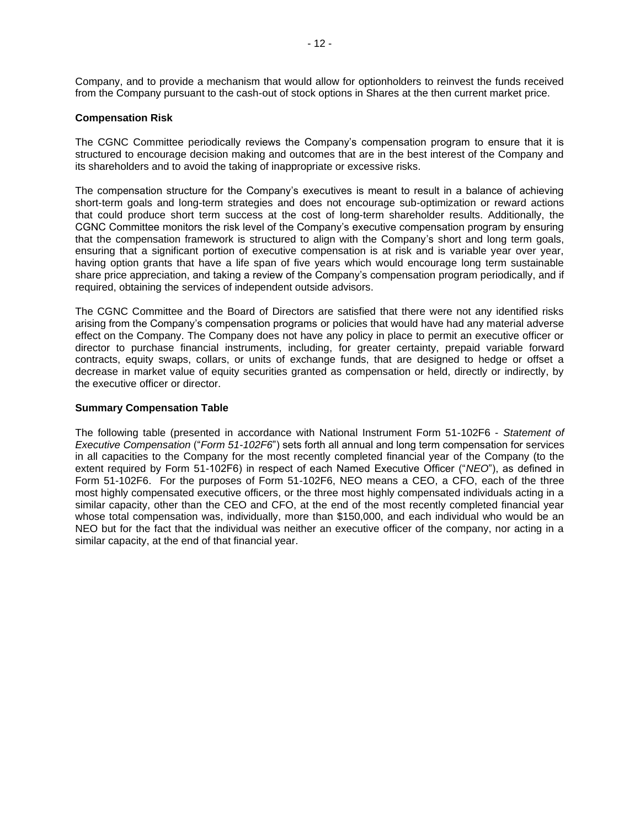Company, and to provide a mechanism that would allow for optionholders to reinvest the funds received from the Company pursuant to the cash-out of stock options in Shares at the then current market price.

## **Compensation Risk**

The CGNC Committee periodically reviews the Company's compensation program to ensure that it is structured to encourage decision making and outcomes that are in the best interest of the Company and its shareholders and to avoid the taking of inappropriate or excessive risks.

The compensation structure for the Company's executives is meant to result in a balance of achieving short-term goals and long-term strategies and does not encourage sub-optimization or reward actions that could produce short term success at the cost of long-term shareholder results. Additionally, the CGNC Committee monitors the risk level of the Company's executive compensation program by ensuring that the compensation framework is structured to align with the Company's short and long term goals, ensuring that a significant portion of executive compensation is at risk and is variable year over year, having option grants that have a life span of five years which would encourage long term sustainable share price appreciation, and taking a review of the Company's compensation program periodically, and if required, obtaining the services of independent outside advisors.

The CGNC Committee and the Board of Directors are satisfied that there were not any identified risks arising from the Company's compensation programs or policies that would have had any material adverse effect on the Company. The Company does not have any policy in place to permit an executive officer or director to purchase financial instruments, including, for greater certainty, prepaid variable forward contracts, equity swaps, collars, or units of exchange funds, that are designed to hedge or offset a decrease in market value of equity securities granted as compensation or held, directly or indirectly, by the executive officer or director.

## **Summary Compensation Table**

The following table (presented in accordance with National Instrument Form 51-102F6 - *Statement of Executive Compensation* ("*Form 51-102F6*") sets forth all annual and long term compensation for services in all capacities to the Company for the most recently completed financial year of the Company (to the extent required by Form 51-102F6) in respect of each Named Executive Officer ("*NEO*"), as defined in Form 51-102F6. For the purposes of Form 51-102F6, NEO means a CEO, a CFO, each of the three most highly compensated executive officers, or the three most highly compensated individuals acting in a similar capacity, other than the CEO and CFO, at the end of the most recently completed financial year whose total compensation was, individually, more than \$150,000, and each individual who would be an NEO but for the fact that the individual was neither an executive officer of the company, nor acting in a similar capacity, at the end of that financial year.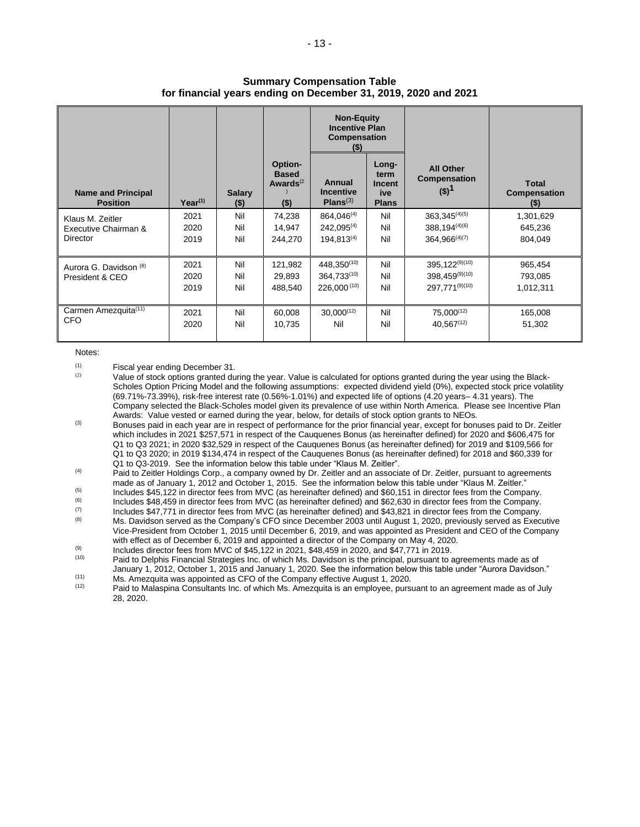#### **Summary Compensation Table for financial years ending on December 31, 2019, 2020 and 2021**

|                                                      |                      |                          |                                                    | <b>Non-Equity</b><br><b>Incentive Plan</b><br>Compensation<br>$($ \$) |                                                       |                                                                |                                                |
|------------------------------------------------------|----------------------|--------------------------|----------------------------------------------------|-----------------------------------------------------------------------|-------------------------------------------------------|----------------------------------------------------------------|------------------------------------------------|
| <b>Name and Principal</b><br><b>Position</b>         | $Year^{(1)}$         | <b>Salary</b><br>$($ \$) | Option-<br><b>Based</b><br>Awards $(2)$<br>$($ \$) | Annual<br><b>Incentive</b><br>Plans <sup>(3)</sup>                    | Long-<br>term<br><b>Incent</b><br>ive<br><b>Plans</b> | <b>All Other</b><br><b>Compensation</b><br>$(5)^1$             | <b>Total</b><br><b>Compensation</b><br>$($ \$) |
| Klaus M. Zeitler<br>Executive Chairman &<br>Director | 2021<br>2020<br>2019 | Nil<br>Nil<br>Nil        | 74,238<br>14,947<br>244,270                        | 864.046 <sup>(4)</sup><br>$242.095^{(4)}$<br>$194.813^{(4)}$          | Nil<br>Nil<br>Nil                                     | $363,345^{(4)(5)}$<br>$388,194^{(4)(6)}$<br>$364.966^{(4)(7)}$ | 1,301,629<br>645,236<br>804.049                |
| Aurora G. Davidson (8)<br>President & CEO            | 2021<br>2020<br>2019 | Nil<br>Nil<br>Nil        | 121,982<br>29,893<br>488,540                       | 448.350 <sup>(10)</sup><br>364.733(10)<br>226.000(10)                 | Nil<br>Nil<br>Nil                                     | $395.122^{(9)(10)}$<br>$398.459^{(9)(10)}$<br>297.771(9)(10)   | 965,454<br>793,085<br>1,012,311                |
| Carmen Amezquita <sup>(11)</sup><br><b>CFO</b>       | 2021<br>2020         | Nil<br>Nil               | 60,008<br>10,735                                   | $30,000^{(12)}$<br>Nil                                                | Nil<br>Nil                                            | $75,000^{(12)}$<br>$40.567^{(12)}$                             | 165,008<br>51,302                              |

#### Notes:

 $\begin{array}{cc}\n \text{(1)} & \text{Fiscal year ending December 31.} \\
 \text{(2)} & \text{Value of stock entries carried due}\n \end{array}$ 

Value of stock options granted during the year. Value is calculated for options granted during the year using the Black-Scholes Option Pricing Model and the following assumptions: expected dividend yield (0%), expected stock price volatility (69.71%-73.39%), risk-free interest rate (0.56%-1.01%) and expected life of options (4.20 years– 4.31 years). The Company selected the Black-Scholes model given its prevalence of use within North America. Please see Incentive Plan Awards: Value vested or earned during the year, below, for details of stock option grants to NEOs.

(3) Bonuses paid in each year are in respect of performance for the prior financial year, except for bonuses paid to Dr. Zeitler which includes in 2021 \$257,571 in respect of the Cauquenes Bonus (as hereinafter defined) for 2020 and \$606,475 for Q1 to Q3 2021; in 2020 \$32,529 in respect of the Cauquenes Bonus (as hereinafter defined) for 2019 and \$109,566 for Q1 to Q3 2020; in 2019 \$134,474 in respect of the Cauquenes Bonus (as hereinafter defined) for 2018 and \$60,339 for Q1 to Q3-2019. See the information below this table under "Klaus M. Zeitler".

(4) Paid to Zeitler Holdings Corp., a company owned by Dr. Zeitler and an associate of Dr. Zeitler, pursuant to agreements made as of January 1, 2012 and October 1, 2015. See the information below this table under "Klaus M. Zeitler."

(5) Includes \$45,122 in director fees from MVC (as hereinafter defined) and \$60,151 in director fees from the Company.

(6) Includes \$48,459 in director fees from MVC (as hereinafter defined) and \$62,630 in director fees from the Company.

- (7) Includes \$47,771 in director fees from MVC (as hereinafter defined) and \$43,821 in director fees from the Company.
- (8) Ms. Davidson served as the Company's CFO since December 2003 until August 1, 2020, previously served as Executive Vice-President from October 1, 2015 until December 6, 2019, and was appointed as President and CEO of the Company with effect as of December 6, 2019 and appointed a director of the Company on May 4, 2020.

(9) Includes director fees from MVC of \$45,122 in 2021, \$48,459 in 2020, and \$47,771 in 2019.

 $(10)$  Paid to Delphis Financial Strategies Inc. of which Ms. Davidson is the principal, pursuant to agreements made as of January 1, 2012, October 1, 2015 and January 1, 2020. See the information below this table under "Aurora Davidson."

 $\frac{(11)}{(12)}$  Ms. Amezquita was appointed as CFO of the Company effective August 1, 2020. Paid to Malaspina Consultants Inc. of which Ms. Amezquita is an employee, pursuant to an agreement made as of July 28, 2020.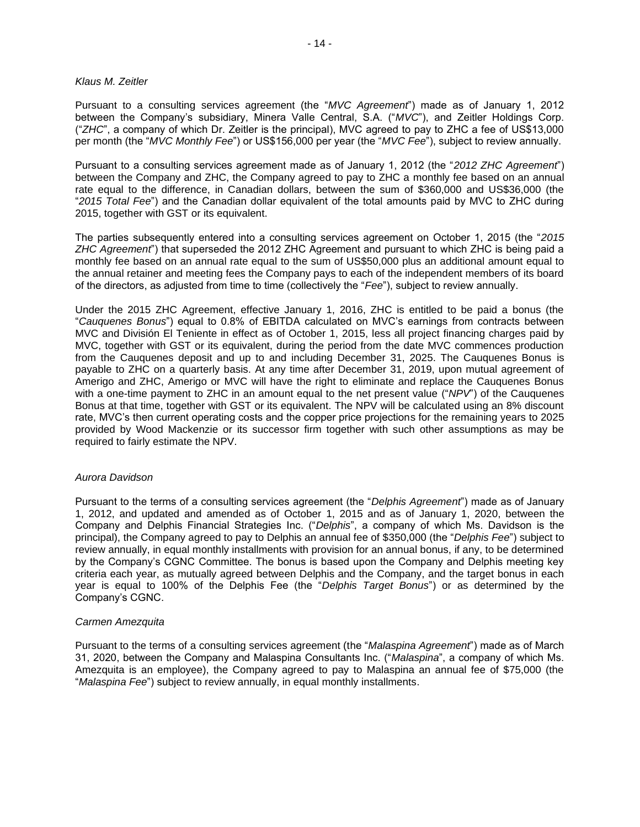#### *Klaus M. Zeitler*

Pursuant to a consulting services agreement (the "*MVC Agreement*") made as of January 1, 2012 between the Company's subsidiary, Minera Valle Central, S.A. ("*MVC*"), and Zeitler Holdings Corp. ("*ZHC*", a company of which Dr. Zeitler is the principal), MVC agreed to pay to ZHC a fee of US\$13,000 per month (the "*MVC Monthly Fee*") or US\$156,000 per year (the "*MVC Fee*"), subject to review annually.

Pursuant to a consulting services agreement made as of January 1, 2012 (the "*2012 ZHC Agreement*") between the Company and ZHC, the Company agreed to pay to ZHC a monthly fee based on an annual rate equal to the difference, in Canadian dollars, between the sum of \$360,000 and US\$36,000 (the "*2015 Total Fee*") and the Canadian dollar equivalent of the total amounts paid by MVC to ZHC during 2015, together with GST or its equivalent.

The parties subsequently entered into a consulting services agreement on October 1, 2015 (the "*2015 ZHC Agreement*") that superseded the 2012 ZHC Agreement and pursuant to which ZHC is being paid a monthly fee based on an annual rate equal to the sum of US\$50,000 plus an additional amount equal to the annual retainer and meeting fees the Company pays to each of the independent members of its board of the directors, as adjusted from time to time (collectively the "*Fee*"), subject to review annually.

Under the 2015 ZHC Agreement, effective January 1, 2016, ZHC is entitled to be paid a bonus (the "*Cauquenes Bonus*") equal to 0.8% of EBITDA calculated on MVC's earnings from contracts between MVC and División El Teniente in effect as of October 1, 2015, less all project financing charges paid by MVC, together with GST or its equivalent, during the period from the date MVC commences production from the Cauquenes deposit and up to and including December 31, 2025. The Cauquenes Bonus is payable to ZHC on a quarterly basis. At any time after December 31, 2019, upon mutual agreement of Amerigo and ZHC, Amerigo or MVC will have the right to eliminate and replace the Cauquenes Bonus with a one-time payment to ZHC in an amount equal to the net present value ("*NPV*") of the Cauquenes Bonus at that time, together with GST or its equivalent. The NPV will be calculated using an 8% discount rate, MVC's then current operating costs and the copper price projections for the remaining years to 2025 provided by Wood Mackenzie or its successor firm together with such other assumptions as may be required to fairly estimate the NPV.

## *Aurora Davidson*

Pursuant to the terms of a consulting services agreement (the "*Delphis Agreement*") made as of January 1, 2012, and updated and amended as of October 1, 2015 and as of January 1, 2020, between the Company and Delphis Financial Strategies Inc. ("*Delphis*", a company of which Ms. Davidson is the principal), the Company agreed to pay to Delphis an annual fee of \$350,000 (the "*Delphis Fee*") subject to review annually, in equal monthly installments with provision for an annual bonus, if any, to be determined by the Company's CGNC Committee. The bonus is based upon the Company and Delphis meeting key criteria each year, as mutually agreed between Delphis and the Company, and the target bonus in each year is equal to 100% of the Delphis Fee (the "*Delphis Target Bonus*") or as determined by the Company's CGNC.

## *Carmen Amezquita*

Pursuant to the terms of a consulting services agreement (the "*Malaspina Agreement*") made as of March 31, 2020, between the Company and Malaspina Consultants Inc. ("*Malaspina*", a company of which Ms. Amezquita is an employee), the Company agreed to pay to Malaspina an annual fee of \$75,000 (the "*Malaspina Fee*") subject to review annually, in equal monthly installments.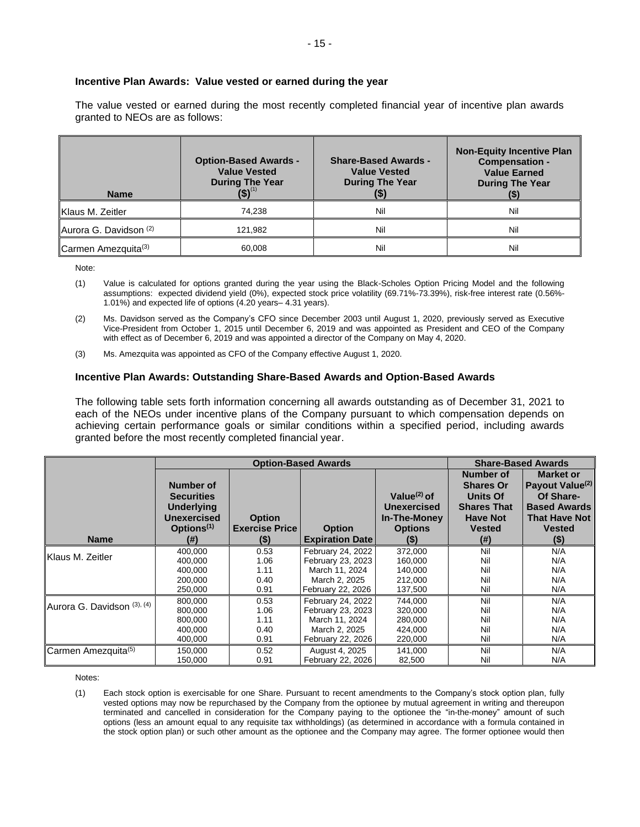#### **Incentive Plan Awards: Value vested or earned during the year**

The value vested or earned during the most recently completed financial year of incentive plan awards granted to NEOs are as follows:

| <b>Name</b>                       | <b>Option-Based Awards -</b><br><b>Value Vested</b><br><b>During The Year</b> | <b>Share-Based Awards -</b><br><b>Value Vested</b><br><b>During The Year</b> | <b>Non-Equity Incentive Plan</b><br><b>Compensation -</b><br><b>Value Earned</b><br><b>During The Year</b> |
|-----------------------------------|-------------------------------------------------------------------------------|------------------------------------------------------------------------------|------------------------------------------------------------------------------------------------------------|
| Klaus M. Zeitler                  | 74,238                                                                        | Nil                                                                          | Nil                                                                                                        |
| Aurora G. Davidson <sup>(2)</sup> | 121,982                                                                       | Nil                                                                          | Nil                                                                                                        |
| Carmen Amezquita <sup>(3)</sup>   | 60,008                                                                        | Nil                                                                          | Nil                                                                                                        |

Note:

- (1) Value is calculated for options granted during the year using the Black-Scholes Option Pricing Model and the following assumptions: expected dividend yield (0%), expected stock price volatility (69.71%-73.39%), risk-free interest rate (0.56%- 1.01%) and expected life of options (4.20 years– 4.31 years).
- (2) Ms. Davidson served as the Company's CFO since December 2003 until August 1, 2020, previously served as Executive Vice-President from October 1, 2015 until December 6, 2019 and was appointed as President and CEO of the Company with effect as of December 6, 2019 and was appointed a director of the Company on May 4, 2020.
- (3) Ms. Amezquita was appointed as CFO of the Company effective August 1, 2020.

#### **Incentive Plan Awards: Outstanding Share-Based Awards and Option-Based Awards**

The following table sets forth information concerning all awards outstanding as of December 31, 2021 to each of the NEOs under incentive plans of the Company pursuant to which compensation depends on achieving certain performance goals or similar conditions within a specified period, including awards granted before the most recently completed financial year.

|                             |                                                                                                     | <b>Option-Based Awards</b>                        |                                         | <b>Share-Based Awards</b>                                                        |                                                                                                             |                                                                                                                                         |
|-----------------------------|-----------------------------------------------------------------------------------------------------|---------------------------------------------------|-----------------------------------------|----------------------------------------------------------------------------------|-------------------------------------------------------------------------------------------------------------|-----------------------------------------------------------------------------------------------------------------------------------------|
| <b>Name</b>                 | Number of<br><b>Securities</b><br><b>Underlying</b><br>Unexercised<br>Options <sup>(1)</sup><br>(#) | <b>Option</b><br><b>Exercise Price</b><br>$($ \$) | <b>Option</b><br><b>Expiration Date</b> | Value $(2)$ of<br><b>Unexercised</b><br>In-The-Money<br><b>Options</b><br>$($ \$ | Number of<br><b>Shares Or</b><br>Units Of<br><b>Shares That</b><br><b>Have Not</b><br><b>Vested</b><br>(# ) | <b>Market or</b><br>Payout Value <sup>(2)</sup><br>Of Share-<br><b>Based Awards</b><br><b>That Have Not</b><br><b>Vested</b><br>$($ \$) |
| <b>IKlaus M. Zeitler</b>    | 400.000                                                                                             | 0.53                                              | February 24, 2022                       | 372,000                                                                          | Nil                                                                                                         | N/A                                                                                                                                     |
|                             | 400,000                                                                                             | 1.06                                              | February 23, 2023                       | 160,000                                                                          | Nil                                                                                                         | N/A                                                                                                                                     |
|                             | 400.000                                                                                             | 1.11                                              | March 11, 2024                          | 140,000                                                                          | Nil                                                                                                         | N/A                                                                                                                                     |
|                             | 200,000                                                                                             | 0.40                                              | March 2, 2025                           | 212,000                                                                          | Nil                                                                                                         | N/A                                                                                                                                     |
|                             | 250,000                                                                                             | 0.91                                              | February 22, 2026                       | 137,500                                                                          | Nil                                                                                                         | N/A                                                                                                                                     |
| Aurora G. Davidson (3), (4) | 800,000                                                                                             | 0.53                                              | February 24, 2022                       | 744,000                                                                          | Nil                                                                                                         | N/A                                                                                                                                     |
|                             | 800,000                                                                                             | 1.06                                              | February 23, 2023                       | 320,000                                                                          | Nil                                                                                                         | N/A                                                                                                                                     |
|                             | 800,000                                                                                             | 1.11                                              | March 11, 2024                          | 280,000                                                                          | Nil                                                                                                         | N/A                                                                                                                                     |
|                             | 400.000                                                                                             | 0.40                                              | March 2, 2025                           | 424,000                                                                          | Nil                                                                                                         | N/A                                                                                                                                     |
|                             | 400,000                                                                                             | 0.91                                              | February 22, 2026                       | 220,000                                                                          | Nil                                                                                                         | N/A                                                                                                                                     |
| Carmen Amezquita(5)         | 150,000                                                                                             | 0.52                                              | August 4, 2025                          | 141,000                                                                          | Nil                                                                                                         | N/A                                                                                                                                     |
|                             | 150,000                                                                                             | 0.91                                              | February 22, 2026                       | 82,500                                                                           | Nil                                                                                                         | N/A                                                                                                                                     |

Notes:

(1) Each stock option is exercisable for one Share. Pursuant to recent amendments to the Company's stock option plan, fully vested options may now be repurchased by the Company from the optionee by mutual agreement in writing and thereupon terminated and cancelled in consideration for the Company paying to the optionee the "in-the-money" amount of such options (less an amount equal to any requisite tax withholdings) (as determined in accordance with a formula contained in the stock option plan) or such other amount as the optionee and the Company may agree. The former optionee would then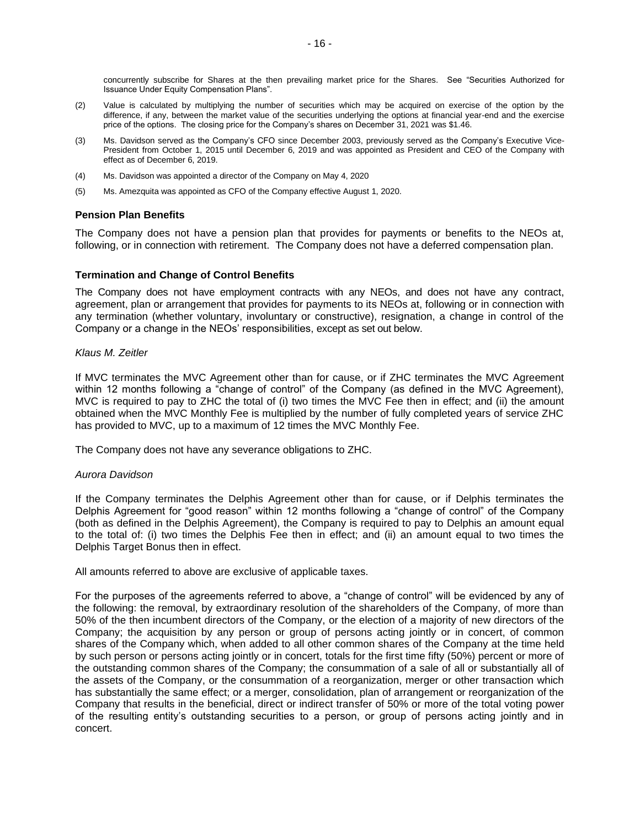concurrently subscribe for Shares at the then prevailing market price for the Shares. See "Securities Authorized for Issuance Under Equity Compensation Plans".

- (2) Value is calculated by multiplying the number of securities which may be acquired on exercise of the option by the difference, if any, between the market value of the securities underlying the options at financial year-end and the exercise price of the options. The closing price for the Company's shares on December 31, 2021 was \$1.46.
- (3) Ms. Davidson served as the Company's CFO since December 2003, previously served as the Company's Executive Vice-President from October 1, 2015 until December 6, 2019 and was appointed as President and CEO of the Company with effect as of December 6, 2019.
- (4) Ms. Davidson was appointed a director of the Company on May 4, 2020
- (5) Ms. Amezquita was appointed as CFO of the Company effective August 1, 2020.

## **Pension Plan Benefits**

The Company does not have a pension plan that provides for payments or benefits to the NEOs at, following, or in connection with retirement. The Company does not have a deferred compensation plan.

## **Termination and Change of Control Benefits**

The Company does not have employment contracts with any NEOs, and does not have any contract, agreement, plan or arrangement that provides for payments to its NEOs at, following or in connection with any termination (whether voluntary, involuntary or constructive), resignation, a change in control of the Company or a change in the NEOs' responsibilities, except as set out below.

#### *Klaus M. Zeitler*

If MVC terminates the MVC Agreement other than for cause, or if ZHC terminates the MVC Agreement within 12 months following a "change of control" of the Company (as defined in the MVC Agreement), MVC is required to pay to ZHC the total of (i) two times the MVC Fee then in effect; and (ii) the amount obtained when the MVC Monthly Fee is multiplied by the number of fully completed years of service ZHC has provided to MVC, up to a maximum of 12 times the MVC Monthly Fee.

The Company does not have any severance obligations to ZHC.

## *Aurora Davidson*

If the Company terminates the Delphis Agreement other than for cause, or if Delphis terminates the Delphis Agreement for "good reason" within 12 months following a "change of control" of the Company (both as defined in the Delphis Agreement), the Company is required to pay to Delphis an amount equal to the total of: (i) two times the Delphis Fee then in effect; and (ii) an amount equal to two times the Delphis Target Bonus then in effect.

All amounts referred to above are exclusive of applicable taxes.

For the purposes of the agreements referred to above, a "change of control" will be evidenced by any of the following: the removal, by extraordinary resolution of the shareholders of the Company, of more than 50% of the then incumbent directors of the Company, or the election of a majority of new directors of the Company; the acquisition by any person or group of persons acting jointly or in concert, of common shares of the Company which, when added to all other common shares of the Company at the time held by such person or persons acting jointly or in concert, totals for the first time fifty (50%) percent or more of the outstanding common shares of the Company; the consummation of a sale of all or substantially all of the assets of the Company, or the consummation of a reorganization, merger or other transaction which has substantially the same effect; or a merger, consolidation, plan of arrangement or reorganization of the Company that results in the beneficial, direct or indirect transfer of 50% or more of the total voting power of the resulting entity's outstanding securities to a person, or group of persons acting jointly and in concert.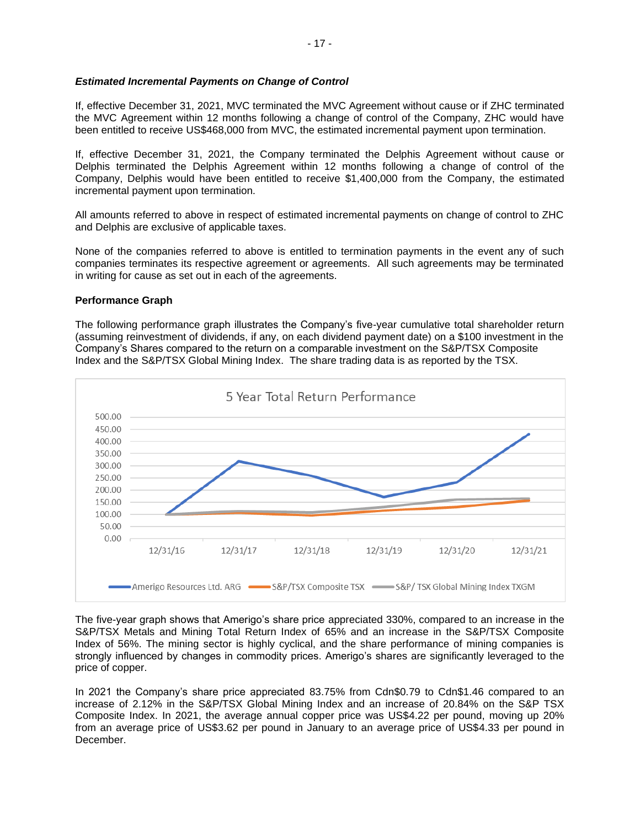## *Estimated Incremental Payments on Change of Control*

If, effective December 31, 2021, MVC terminated the MVC Agreement without cause or if ZHC terminated the MVC Agreement within 12 months following a change of control of the Company, ZHC would have been entitled to receive US\$468,000 from MVC, the estimated incremental payment upon termination.

If, effective December 31, 2021, the Company terminated the Delphis Agreement without cause or Delphis terminated the Delphis Agreement within 12 months following a change of control of the Company, Delphis would have been entitled to receive \$1,400,000 from the Company, the estimated incremental payment upon termination.

All amounts referred to above in respect of estimated incremental payments on change of control to ZHC and Delphis are exclusive of applicable taxes.

None of the companies referred to above is entitled to termination payments in the event any of such companies terminates its respective agreement or agreements. All such agreements may be terminated in writing for cause as set out in each of the agreements.

#### **Performance Graph**

The following performance graph illustrates the Company's five-year cumulative total shareholder return (assuming reinvestment of dividends, if any, on each dividend payment date) on a \$100 investment in the Company's Shares compared to the return on a comparable investment on the S&P/TSX Composite Index and the S&P/TSX Global Mining Index. The share trading data is as reported by the TSX.



The five-year graph shows that Amerigo's share price appreciated 330%, compared to an increase in the S&P/TSX Metals and Mining Total Return Index of 65% and an increase in the S&P/TSX Composite Index of 56%. The mining sector is highly cyclical, and the share performance of mining companies is strongly influenced by changes in commodity prices. Amerigo's shares are significantly leveraged to the price of copper.

In 2021 the Company's share price appreciated 83.75% from Cdn\$0.79 to Cdn\$1.46 compared to an increase of 2.12% in the S&P/TSX Global Mining Index and an increase of 20.84% on the S&P TSX Composite Index. In 2021, the average annual copper price was US\$4.22 per pound, moving up 20% from an average price of US\$3.62 per pound in January to an average price of US\$4.33 per pound in **December**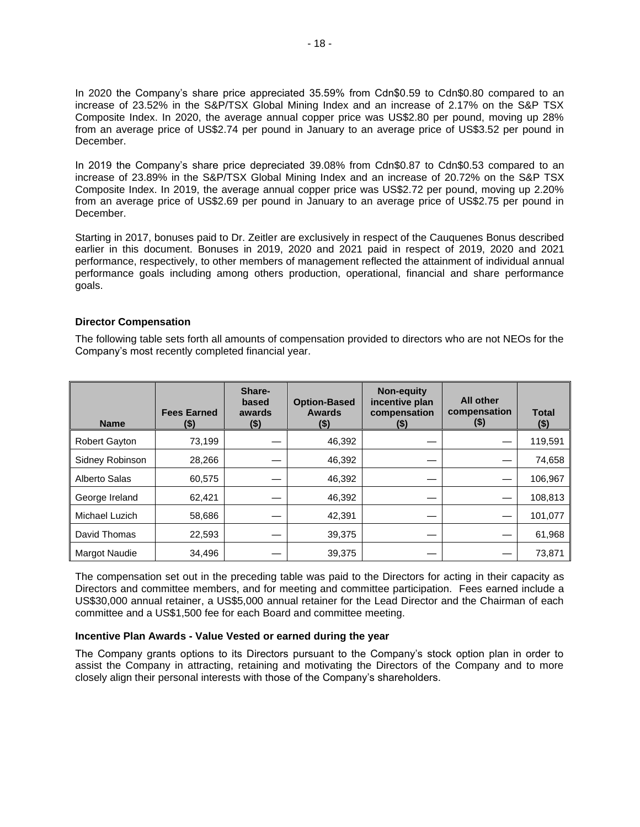In 2020 the Company's share price appreciated 35.59% from Cdn\$0.59 to Cdn\$0.80 compared to an increase of 23.52% in the S&P/TSX Global Mining Index and an increase of 2.17% on the S&P TSX Composite Index. In 2020, the average annual copper price was US\$2.80 per pound, moving up 28% from an average price of US\$2.74 per pound in January to an average price of US\$3.52 per pound in December.

In 2019 the Company's share price depreciated 39.08% from Cdn\$0.87 to Cdn\$0.53 compared to an increase of 23.89% in the S&P/TSX Global Mining Index and an increase of 20.72% on the S&P TSX Composite Index. In 2019, the average annual copper price was US\$2.72 per pound, moving up 2.20% from an average price of US\$2.69 per pound in January to an average price of US\$2.75 per pound in December.

Starting in 2017, bonuses paid to Dr. Zeitler are exclusively in respect of the Cauquenes Bonus described earlier in this document. Bonuses in 2019, 2020 and 2021 paid in respect of 2019, 2020 and 2021 performance, respectively, to other members of management reflected the attainment of individual annual performance goals including among others production, operational, financial and share performance goals.

## **Director Compensation**

The following table sets forth all amounts of compensation provided to directors who are not NEOs for the Company's most recently completed financial year.

| <b>Name</b>          | <b>Fees Earned</b><br>(\$) | Share-<br>based<br>awards<br>(\$) | <b>Option-Based</b><br><b>Awards</b><br>(\$) | <b>Non-equity</b><br>incentive plan<br>compensation<br>$(\$)$ | <b>All other</b><br>compensation<br>(\$) | <b>Total</b><br>$($ \$) |
|----------------------|----------------------------|-----------------------------------|----------------------------------------------|---------------------------------------------------------------|------------------------------------------|-------------------------|
| <b>Robert Gayton</b> | 73,199                     |                                   | 46,392                                       |                                                               |                                          | 119,591                 |
| Sidney Robinson      | 28,266                     |                                   | 46,392                                       |                                                               |                                          | 74,658                  |
| Alberto Salas        | 60,575                     |                                   | 46.392                                       |                                                               |                                          | 106,967                 |
| George Ireland       | 62,421                     |                                   | 46,392                                       |                                                               |                                          | 108,813                 |
| Michael Luzich       | 58,686                     |                                   | 42,391                                       |                                                               |                                          | 101,077                 |
| David Thomas         | 22,593                     |                                   | 39,375                                       |                                                               |                                          | 61,968                  |
| <b>Margot Naudie</b> | 34,496                     |                                   | 39,375                                       |                                                               |                                          | 73,871                  |

The compensation set out in the preceding table was paid to the Directors for acting in their capacity as Directors and committee members, and for meeting and committee participation. Fees earned include a US\$30,000 annual retainer, a US\$5,000 annual retainer for the Lead Director and the Chairman of each committee and a US\$1,500 fee for each Board and committee meeting.

## **Incentive Plan Awards - Value Vested or earned during the year**

The Company grants options to its Directors pursuant to the Company's stock option plan in order to assist the Company in attracting, retaining and motivating the Directors of the Company and to more closely align their personal interests with those of the Company's shareholders.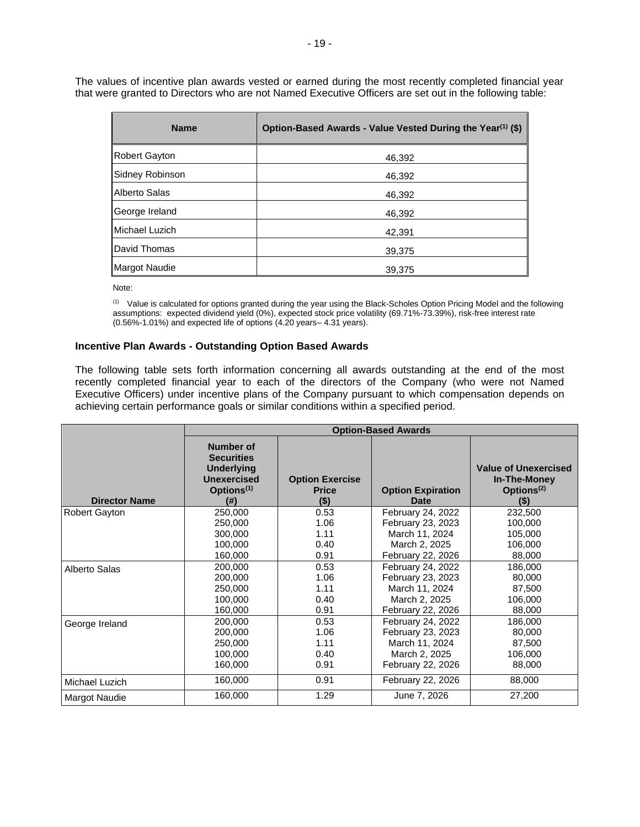The values of incentive plan awards vested or earned during the most recently completed financial year that were granted to Directors who are not Named Executive Officers are set out in the following table:

| <b>Name</b>     | Option-Based Awards - Value Vested During the Year <sup>(1)</sup> (\$) |
|-----------------|------------------------------------------------------------------------|
| Robert Gayton   | 46,392                                                                 |
| Sidney Robinson | 46,392                                                                 |
| Alberto Salas   | 46,392                                                                 |
| George Ireland  | 46,392                                                                 |
| Michael Luzich  | 42,391                                                                 |
| David Thomas    | 39,375                                                                 |
| Margot Naudie   | 39.375                                                                 |

Note:

(1) Value is calculated for options granted during the year using the Black-Scholes Option Pricing Model and the following assumptions: expected dividend yield (0%), expected stock price volatility (69.71%-73.39%), risk-free interest rate (0.56%-1.01%) and expected life of options (4.20 years– 4.31 years).

#### **Incentive Plan Awards - Outstanding Option Based Awards**

The following table sets forth information concerning all awards outstanding at the end of the most recently completed financial year to each of the directors of the Company (who were not Named Executive Officers) under incentive plans of the Company pursuant to which compensation depends on achieving certain performance goals or similar conditions within a specified period.

|                      | <b>Option-Based Awards</b>                                                                                         |                                                   |                                         |                                                                               |  |
|----------------------|--------------------------------------------------------------------------------------------------------------------|---------------------------------------------------|-----------------------------------------|-------------------------------------------------------------------------------|--|
| <b>Director Name</b> | <b>Number of</b><br><b>Securities</b><br><b>Underlying</b><br><b>Unexercised</b><br>Options <sup>(1)</sup><br>(# ) | <b>Option Exercise</b><br><b>Price</b><br>$($ \$) | <b>Option Expiration</b><br><b>Date</b> | <b>Value of Unexercised</b><br>In-The-Money<br>Options <sup>(2)</sup><br>(\$) |  |
| <b>Robert Gayton</b> | 250,000                                                                                                            | 0.53                                              | February 24, 2022                       | 232,500                                                                       |  |
|                      | 250,000                                                                                                            | 1.06                                              | February 23, 2023                       | 100,000                                                                       |  |
|                      | 300,000                                                                                                            | 1.11                                              | March 11, 2024                          | 105,000                                                                       |  |
|                      | 100.000                                                                                                            | 0.40                                              | March 2, 2025                           | 106,000                                                                       |  |
|                      | 160,000                                                                                                            | 0.91                                              | February 22, 2026                       | 88,000                                                                        |  |
| Alberto Salas        | 200,000                                                                                                            | 0.53                                              | February 24, 2022                       | 186,000                                                                       |  |
|                      | 200,000                                                                                                            | 1.06                                              | February 23, 2023                       | 80,000                                                                        |  |
|                      | 250,000                                                                                                            | 1.11                                              | March 11, 2024                          | 87,500                                                                        |  |
|                      | 100,000                                                                                                            | 0.40                                              | March 2, 2025                           | 106,000                                                                       |  |
|                      | 160,000                                                                                                            | 0.91                                              | February 22, 2026                       | 88,000                                                                        |  |
| George Ireland       | 200,000                                                                                                            | 0.53                                              | February 24, 2022                       | 186,000                                                                       |  |
|                      | 200,000                                                                                                            | 1.06                                              | February 23, 2023                       | 80,000                                                                        |  |
|                      | 250,000                                                                                                            | 1.11                                              | March 11, 2024                          | 87,500                                                                        |  |
|                      | 100,000                                                                                                            | 0.40                                              | March 2, 2025                           | 106,000                                                                       |  |
|                      | 160,000                                                                                                            | 0.91                                              | February 22, 2026                       | 88,000                                                                        |  |
| Michael Luzich       | 160,000                                                                                                            | 0.91                                              | February 22, 2026                       | 88,000                                                                        |  |
| <b>Margot Naudie</b> | 160,000                                                                                                            | 1.29                                              | June 7, 2026                            | 27,200                                                                        |  |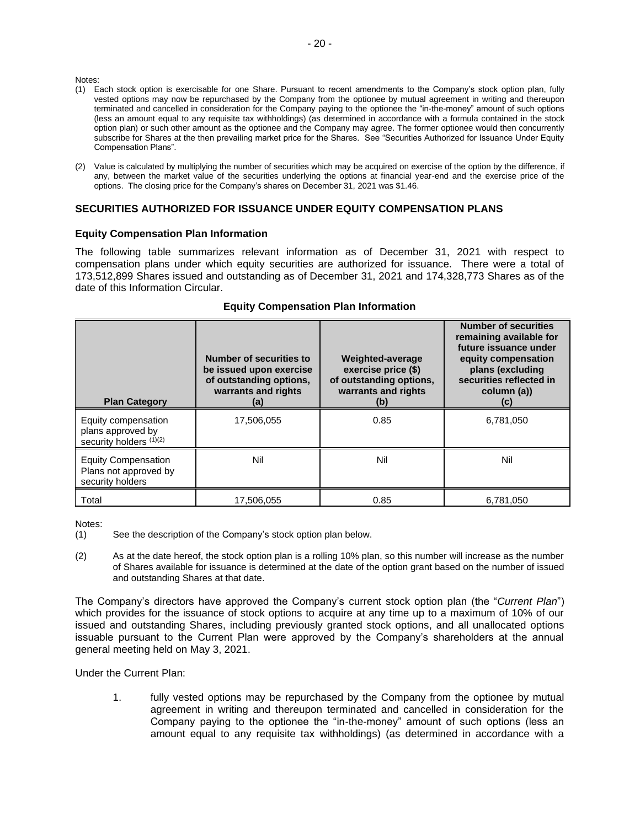Notes:

- (1) Each stock option is exercisable for one Share. Pursuant to recent amendments to the Company's stock option plan, fully vested options may now be repurchased by the Company from the optionee by mutual agreement in writing and thereupon terminated and cancelled in consideration for the Company paying to the optionee the "in-the-money" amount of such options (less an amount equal to any requisite tax withholdings) (as determined in accordance with a formula contained in the stock option plan) or such other amount as the optionee and the Company may agree. The former optionee would then concurrently subscribe for Shares at the then prevailing market price for the Shares. See "Securities Authorized for Issuance Under Equity Compensation Plans".
- (2) Value is calculated by multiplying the number of securities which may be acquired on exercise of the option by the difference, if any, between the market value of the securities underlying the options at financial year-end and the exercise price of the options. The closing price for the Company's shares on December 31, 2021 was \$1.46.

## **SECURITIES AUTHORIZED FOR ISSUANCE UNDER EQUITY COMPENSATION PLANS**

#### **Equity Compensation Plan Information**

The following table summarizes relevant information as of December 31, 2021 with respect to compensation plans under which equity securities are authorized for issuance. There were a total of 173,512,899 Shares issued and outstanding as of December 31, 2021 and 174,328,773 Shares as of the date of this Information Circular.

| <b>Plan Category</b>                                                    | Number of securities to<br>be issued upon exercise<br>of outstanding options,<br>warrants and rights<br>(a) | <b>Weighted-average</b><br>exercise price (\$)<br>of outstanding options,<br>warrants and rights<br>(b) | <b>Number of securities</b><br>remaining available for<br>future issuance under<br>equity compensation<br>plans (excluding<br>securities reflected in<br>column (a))<br>(C) |
|-------------------------------------------------------------------------|-------------------------------------------------------------------------------------------------------------|---------------------------------------------------------------------------------------------------------|-----------------------------------------------------------------------------------------------------------------------------------------------------------------------------|
| Equity compensation<br>plans approved by<br>security holders (1)(2)     | 17,506,055                                                                                                  | 0.85                                                                                                    | 6,781,050                                                                                                                                                                   |
| <b>Equity Compensation</b><br>Plans not approved by<br>security holders | Nil                                                                                                         | Nil                                                                                                     | Nil                                                                                                                                                                         |
| Total                                                                   | 17,506,055                                                                                                  | 0.85                                                                                                    | 6,781,050                                                                                                                                                                   |

#### **Equity Compensation Plan Information**

Notes:

(2) As at the date hereof, the stock option plan is a rolling 10% plan, so this number will increase as the number of Shares available for issuance is determined at the date of the option grant based on the number of issued and outstanding Shares at that date.

The Company's directors have approved the Company's current stock option plan (the "*Current Plan*") which provides for the issuance of stock options to acquire at any time up to a maximum of 10% of our issued and outstanding Shares, including previously granted stock options, and all unallocated options issuable pursuant to the Current Plan were approved by the Company's shareholders at the annual general meeting held on May 3, 2021.

Under the Current Plan:

1. fully vested options may be repurchased by the Company from the optionee by mutual agreement in writing and thereupon terminated and cancelled in consideration for the Company paying to the optionee the "in-the-money" amount of such options (less an amount equal to any requisite tax withholdings) (as determined in accordance with a

<sup>(1)</sup> See the description of the Company's stock option plan below.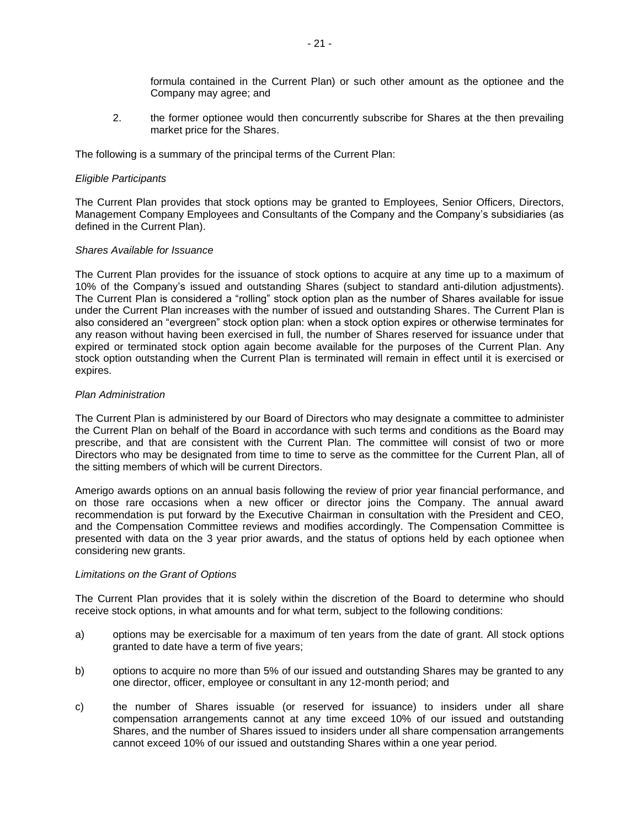formula contained in the Current Plan) or such other amount as the optionee and the Company may agree; and

2. the former optionee would then concurrently subscribe for Shares at the then prevailing market price for the Shares.

The following is a summary of the principal terms of the Current Plan:

#### *Eligible Participants*

The Current Plan provides that stock options may be granted to Employees, Senior Officers, Directors, Management Company Employees and Consultants of the Company and the Company's subsidiaries (as defined in the Current Plan).

#### *Shares Available for Issuance*

The Current Plan provides for the issuance of stock options to acquire at any time up to a maximum of 10% of the Company's issued and outstanding Shares (subject to standard anti-dilution adjustments). The Current Plan is considered a "rolling" stock option plan as the number of Shares available for issue under the Current Plan increases with the number of issued and outstanding Shares. The Current Plan is also considered an "evergreen" stock option plan: when a stock option expires or otherwise terminates for any reason without having been exercised in full, the number of Shares reserved for issuance under that expired or terminated stock option again become available for the purposes of the Current Plan. Any stock option outstanding when the Current Plan is terminated will remain in effect until it is exercised or expires.

#### *Plan Administration*

The Current Plan is administered by our Board of Directors who may designate a committee to administer the Current Plan on behalf of the Board in accordance with such terms and conditions as the Board may prescribe, and that are consistent with the Current Plan. The committee will consist of two or more Directors who may be designated from time to time to serve as the committee for the Current Plan, all of the sitting members of which will be current Directors.

Amerigo awards options on an annual basis following the review of prior year financial performance, and on those rare occasions when a new officer or director joins the Company. The annual award recommendation is put forward by the Executive Chairman in consultation with the President and CEO, and the Compensation Committee reviews and modifies accordingly. The Compensation Committee is presented with data on the 3 year prior awards, and the status of options held by each optionee when considering new grants.

#### *Limitations on the Grant of Options*

The Current Plan provides that it is solely within the discretion of the Board to determine who should receive stock options, in what amounts and for what term, subject to the following conditions:

- a) options may be exercisable for a maximum of ten years from the date of grant. All stock options granted to date have a term of five years;
- b) options to acquire no more than 5% of our issued and outstanding Shares may be granted to any one director, officer, employee or consultant in any 12-month period; and
- c) the number of Shares issuable (or reserved for issuance) to insiders under all share compensation arrangements cannot at any time exceed 10% of our issued and outstanding Shares, and the number of Shares issued to insiders under all share compensation arrangements cannot exceed 10% of our issued and outstanding Shares within a one year period.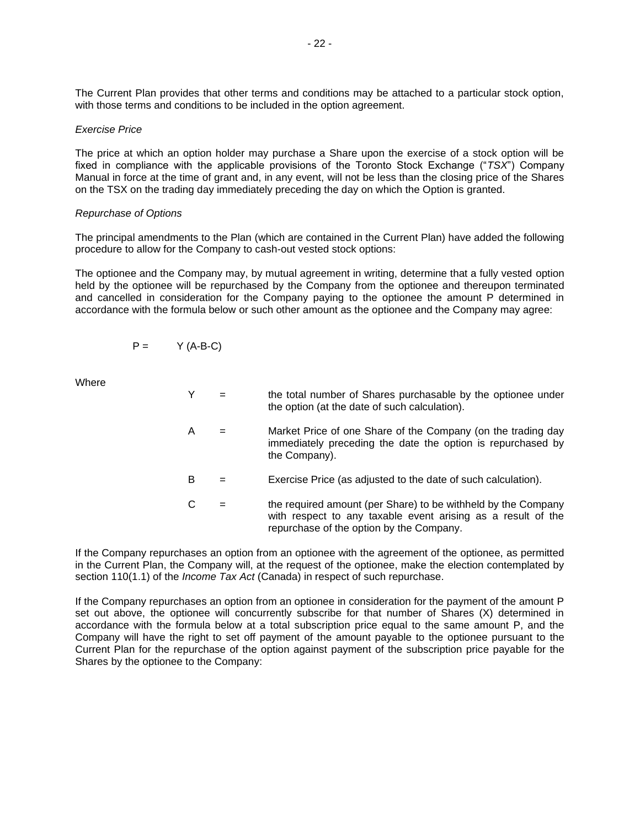The Current Plan provides that other terms and conditions may be attached to a particular stock option, with those terms and conditions to be included in the option agreement.

#### *Exercise Price*

The price at which an option holder may purchase a Share upon the exercise of a stock option will be fixed in compliance with the applicable provisions of the Toronto Stock Exchange ("*TSX*") Company Manual in force at the time of grant and, in any event, will not be less than the closing price of the Shares on the TSX on the trading day immediately preceding the day on which the Option is granted.

#### *Repurchase of Options*

The principal amendments to the Plan (which are contained in the Current Plan) have added the following procedure to allow for the Company to cash-out vested stock options:

The optionee and the Company may, by mutual agreement in writing, determine that a fully vested option held by the optionee will be repurchased by the Company from the optionee and thereupon terminated and cancelled in consideration for the Company paying to the optionee the amount P determined in accordance with the formula below or such other amount as the optionee and the Company may agree:

$$
P = \qquad \qquad Y (A-B-C)
$$

Where

- Y = the total number of Shares purchasable by the optionee under the option (at the date of such calculation).
- A = Market Price of one Share of the Company (on the trading day immediately preceding the date the option is repurchased by the Company).
- $B =$  Exercise Price (as adjusted to the date of such calculation).
- $C =$  the required amount (per Share) to be withheld by the Company with respect to any taxable event arising as a result of the repurchase of the option by the Company.

If the Company repurchases an option from an optionee with the agreement of the optionee, as permitted in the Current Plan, the Company will, at the request of the optionee, make the election contemplated by section 110(1.1) of the *Income Tax Act* (Canada) in respect of such repurchase.

If the Company repurchases an option from an optionee in consideration for the payment of the amount P set out above, the optionee will concurrently subscribe for that number of Shares (X) determined in accordance with the formula below at a total subscription price equal to the same amount P, and the Company will have the right to set off payment of the amount payable to the optionee pursuant to the Current Plan for the repurchase of the option against payment of the subscription price payable for the Shares by the optionee to the Company: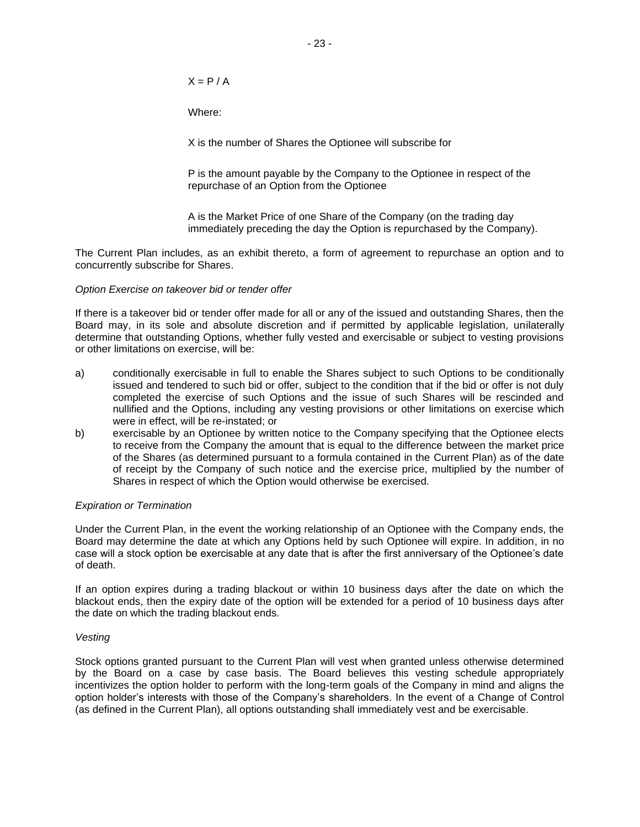$X = P / A$ 

Where:

X is the number of Shares the Optionee will subscribe for

P is the amount payable by the Company to the Optionee in respect of the repurchase of an Option from the Optionee

A is the Market Price of one Share of the Company (on the trading day immediately preceding the day the Option is repurchased by the Company).

The Current Plan includes, as an exhibit thereto, a form of agreement to repurchase an option and to concurrently subscribe for Shares.

#### *Option Exercise on takeover bid or tender offer*

If there is a takeover bid or tender offer made for all or any of the issued and outstanding Shares, then the Board may, in its sole and absolute discretion and if permitted by applicable legislation, unilaterally determine that outstanding Options, whether fully vested and exercisable or subject to vesting provisions or other limitations on exercise, will be:

- a) conditionally exercisable in full to enable the Shares subject to such Options to be conditionally issued and tendered to such bid or offer, subject to the condition that if the bid or offer is not duly completed the exercise of such Options and the issue of such Shares will be rescinded and nullified and the Options, including any vesting provisions or other limitations on exercise which were in effect, will be re-instated; or
- b) exercisable by an Optionee by written notice to the Company specifying that the Optionee elects to receive from the Company the amount that is equal to the difference between the market price of the Shares (as determined pursuant to a formula contained in the Current Plan) as of the date of receipt by the Company of such notice and the exercise price, multiplied by the number of Shares in respect of which the Option would otherwise be exercised.

## *Expiration or Termination*

Under the Current Plan, in the event the working relationship of an Optionee with the Company ends, the Board may determine the date at which any Options held by such Optionee will expire. In addition, in no case will a stock option be exercisable at any date that is after the first anniversary of the Optionee's date of death.

If an option expires during a trading blackout or within 10 business days after the date on which the blackout ends, then the expiry date of the option will be extended for a period of 10 business days after the date on which the trading blackout ends.

## *Vesting*

Stock options granted pursuant to the Current Plan will vest when granted unless otherwise determined by the Board on a case by case basis. The Board believes this vesting schedule appropriately incentivizes the option holder to perform with the long-term goals of the Company in mind and aligns the option holder's interests with those of the Company's shareholders. In the event of a Change of Control (as defined in the Current Plan), all options outstanding shall immediately vest and be exercisable.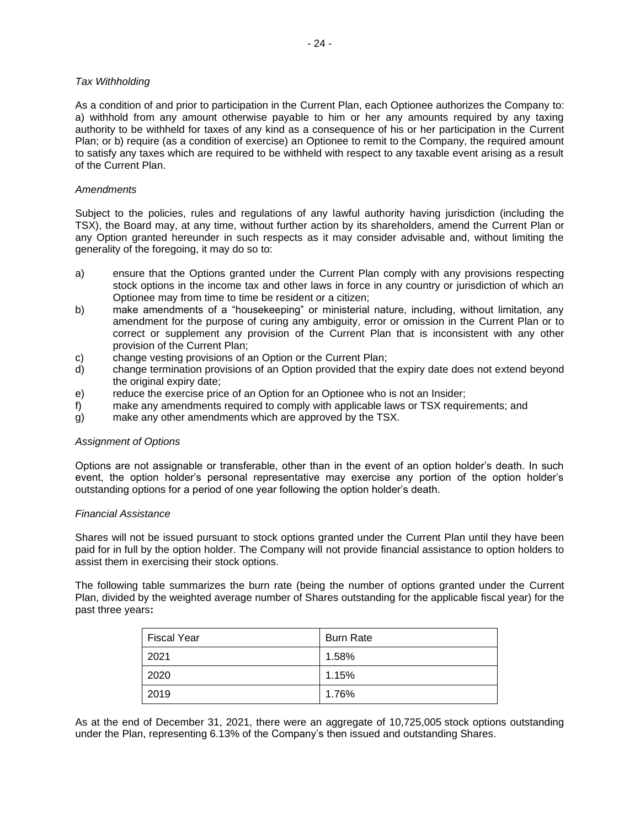As a condition of and prior to participation in the Current Plan, each Optionee authorizes the Company to: a) withhold from any amount otherwise payable to him or her any amounts required by any taxing authority to be withheld for taxes of any kind as a consequence of his or her participation in the Current Plan; or b) require (as a condition of exercise) an Optionee to remit to the Company, the required amount to satisfy any taxes which are required to be withheld with respect to any taxable event arising as a result of the Current Plan.

## *Amendments*

Subject to the policies, rules and regulations of any lawful authority having jurisdiction (including the TSX), the Board may, at any time, without further action by its shareholders, amend the Current Plan or any Option granted hereunder in such respects as it may consider advisable and, without limiting the generality of the foregoing, it may do so to:

- a) ensure that the Options granted under the Current Plan comply with any provisions respecting stock options in the income tax and other laws in force in any country or jurisdiction of which an Optionee may from time to time be resident or a citizen;
- b) make amendments of a "housekeeping" or ministerial nature, including, without limitation, any amendment for the purpose of curing any ambiguity, error or omission in the Current Plan or to correct or supplement any provision of the Current Plan that is inconsistent with any other provision of the Current Plan;
- c) change vesting provisions of an Option or the Current Plan;
- d) change termination provisions of an Option provided that the expiry date does not extend beyond the original expiry date;
- e) reduce the exercise price of an Option for an Optionee who is not an Insider;
- f) make any amendments required to comply with applicable laws or TSX requirements; and
- g) make any other amendments which are approved by the TSX.

## *Assignment of Options*

Options are not assignable or transferable, other than in the event of an option holder's death. In such event, the option holder's personal representative may exercise any portion of the option holder's outstanding options for a period of one year following the option holder's death.

## *Financial Assistance*

Shares will not be issued pursuant to stock options granted under the Current Plan until they have been paid for in full by the option holder. The Company will not provide financial assistance to option holders to assist them in exercising their stock options.

The following table summarizes the burn rate (being the number of options granted under the Current Plan, divided by the weighted average number of Shares outstanding for the applicable fiscal year) for the past three years**:**

| <b>Fiscal Year</b> | <b>Burn Rate</b> |
|--------------------|------------------|
| 2021               | 1.58%            |
| 2020               | 1.15%            |
| 2019               | 1.76%            |

As at the end of December 31, 2021, there were an aggregate of 10,725,005 stock options outstanding under the Plan, representing 6.13% of the Company's then issued and outstanding Shares.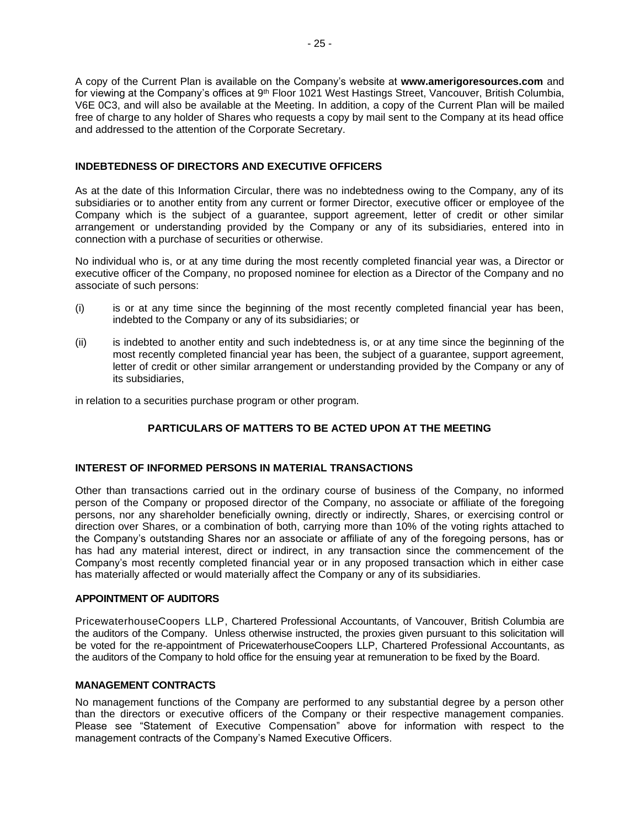A copy of the Current Plan is available on the Company's website at **www.amerigoresources.com** and for viewing at the Company's offices at 9<sup>th</sup> Floor 1021 West Hastings Street, Vancouver, British Columbia, V6E 0C3, and will also be available at the Meeting. In addition, a copy of the Current Plan will be mailed free of charge to any holder of Shares who requests a copy by mail sent to the Company at its head office and addressed to the attention of the Corporate Secretary.

## **INDEBTEDNESS OF DIRECTORS AND EXECUTIVE OFFICERS**

As at the date of this Information Circular, there was no indebtedness owing to the Company, any of its subsidiaries or to another entity from any current or former Director, executive officer or employee of the Company which is the subject of a guarantee, support agreement, letter of credit or other similar arrangement or understanding provided by the Company or any of its subsidiaries, entered into in connection with a purchase of securities or otherwise.

No individual who is, or at any time during the most recently completed financial year was, a Director or executive officer of the Company, no proposed nominee for election as a Director of the Company and no associate of such persons:

- (i) is or at any time since the beginning of the most recently completed financial year has been, indebted to the Company or any of its subsidiaries; or
- (ii) is indebted to another entity and such indebtedness is, or at any time since the beginning of the most recently completed financial year has been, the subject of a guarantee, support agreement, letter of credit or other similar arrangement or understanding provided by the Company or any of its subsidiaries,

in relation to a securities purchase program or other program.

## **PARTICULARS OF MATTERS TO BE ACTED UPON AT THE MEETING**

## **INTEREST OF INFORMED PERSONS IN MATERIAL TRANSACTIONS**

Other than transactions carried out in the ordinary course of business of the Company, no informed person of the Company or proposed director of the Company, no associate or affiliate of the foregoing persons, nor any shareholder beneficially owning, directly or indirectly, Shares, or exercising control or direction over Shares, or a combination of both, carrying more than 10% of the voting rights attached to the Company's outstanding Shares nor an associate or affiliate of any of the foregoing persons, has or has had any material interest, direct or indirect, in any transaction since the commencement of the Company's most recently completed financial year or in any proposed transaction which in either case has materially affected or would materially affect the Company or any of its subsidiaries.

## **APPOINTMENT OF AUDITORS**

PricewaterhouseCoopers LLP, Chartered Professional Accountants, of Vancouver, British Columbia are the auditors of the Company. Unless otherwise instructed, the proxies given pursuant to this solicitation will be voted for the re-appointment of PricewaterhouseCoopers LLP, Chartered Professional Accountants, as the auditors of the Company to hold office for the ensuing year at remuneration to be fixed by the Board.

## **MANAGEMENT CONTRACTS**

No management functions of the Company are performed to any substantial degree by a person other than the directors or executive officers of the Company or their respective management companies. Please see "Statement of Executive Compensation" above for information with respect to the management contracts of the Company's Named Executive Officers.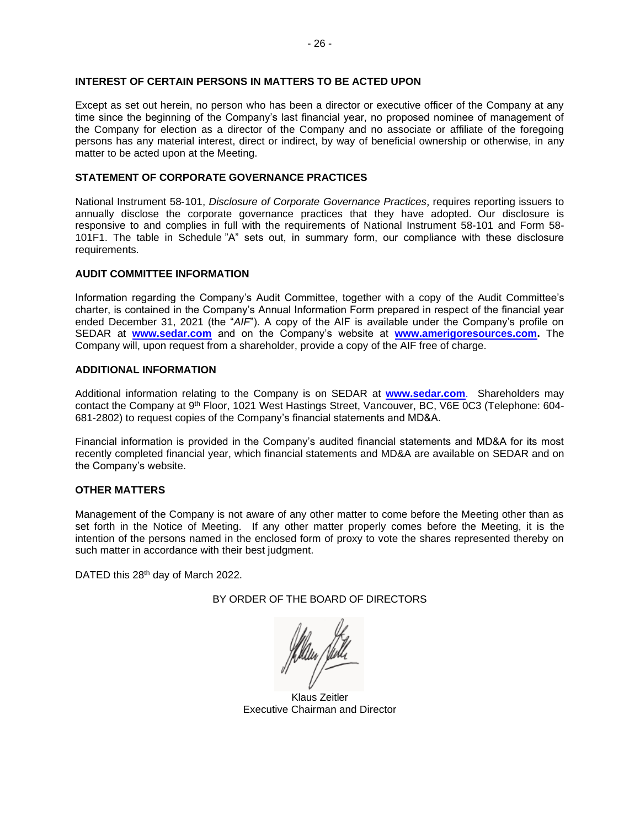## **INTEREST OF CERTAIN PERSONS IN MATTERS TO BE ACTED UPON**

Except as set out herein, no person who has been a director or executive officer of the Company at any time since the beginning of the Company's last financial year, no proposed nominee of management of the Company for election as a director of the Company and no associate or affiliate of the foregoing persons has any material interest, direct or indirect, by way of beneficial ownership or otherwise, in any matter to be acted upon at the Meeting.

#### **STATEMENT OF CORPORATE GOVERNANCE PRACTICES**

National Instrument 58‐101, *Disclosure of Corporate Governance Practices*, requires reporting issuers to annually disclose the corporate governance practices that they have adopted. Our disclosure is responsive to and complies in full with the requirements of National Instrument 58-101 and Form 58- 101F1. The table in Schedule "A" sets out, in summary form, our compliance with these disclosure requirements.

#### **AUDIT COMMITTEE INFORMATION**

Information regarding the Company's Audit Committee, together with a copy of the Audit Committee's charter, is contained in the Company's Annual Information Form prepared in respect of the financial year ended December 31, 2021 (the "*AIF*"). A copy of the AIF is available under the Company's profile on SEDAR at **[www.sedar.com](http://www.sedar.com/)** and on the Company's website at **[www.amerigoresources.com.](http://www.amerigoresources.com/)** The Company will, upon request from a shareholder, provide a copy of the AIF free of charge.

#### **ADDITIONAL INFORMATION**

Additional information relating to the Company is on SEDAR at **[www.sedar.com](http://www.sedar.com/)**. Shareholders may contact the Company at 9<sup>th</sup> Floor, 1021 West Hastings Street, Vancouver, BC, V6E 0C3 (Telephone: 604-681-2802) to request copies of the Company's financial statements and MD&A.

Financial information is provided in the Company's audited financial statements and MD&A for its most recently completed financial year, which financial statements and MD&A are available on SEDAR and on the Company's website.

## **OTHER MATTERS**

Management of the Company is not aware of any other matter to come before the Meeting other than as set forth in the Notice of Meeting. If any other matter properly comes before the Meeting, it is the intention of the persons named in the enclosed form of proxy to vote the shares represented thereby on such matter in accordance with their best judgment.

DATED this 28<sup>th</sup> day of March 2022.

## BY ORDER OF THE BOARD OF DIRECTORS

Klaus Zeitler Executive Chairman and Director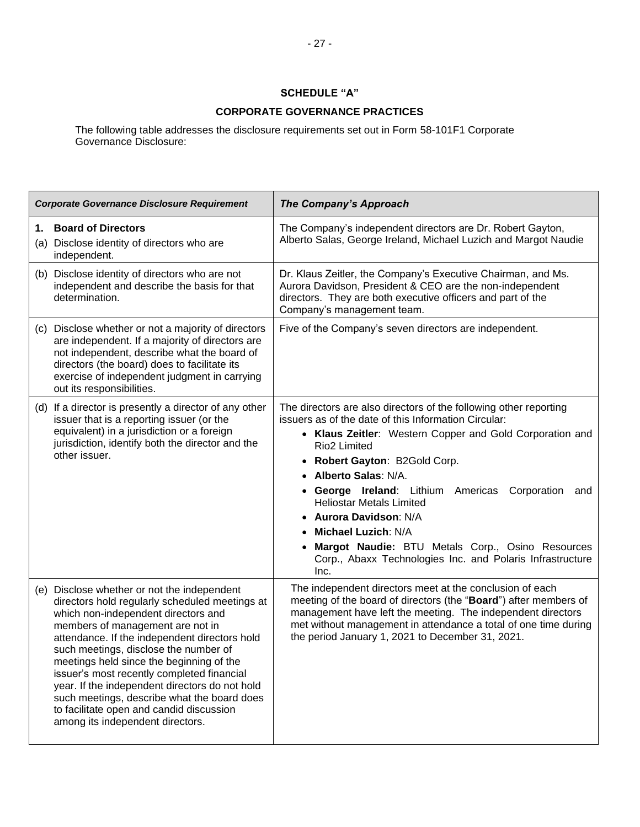## **SCHEDULE "A"**

## **CORPORATE GOVERNANCE PRACTICES**

The following table addresses the disclosure requirements set out in Form 58-101F1 Corporate Governance Disclosure:

| <b>Corporate Governance Disclosure Requirement</b>                                                                                                                                                                                                                                                                                                                                                                                                                                                                                            | <b>The Company's Approach</b>                                                                                                                                                                                                                                                                                                                                                                                                                                                                                                                          |
|-----------------------------------------------------------------------------------------------------------------------------------------------------------------------------------------------------------------------------------------------------------------------------------------------------------------------------------------------------------------------------------------------------------------------------------------------------------------------------------------------------------------------------------------------|--------------------------------------------------------------------------------------------------------------------------------------------------------------------------------------------------------------------------------------------------------------------------------------------------------------------------------------------------------------------------------------------------------------------------------------------------------------------------------------------------------------------------------------------------------|
| <b>Board of Directors</b><br>(a) Disclose identity of directors who are<br>independent.                                                                                                                                                                                                                                                                                                                                                                                                                                                       | The Company's independent directors are Dr. Robert Gayton,<br>Alberto Salas, George Ireland, Michael Luzich and Margot Naudie                                                                                                                                                                                                                                                                                                                                                                                                                          |
| (b) Disclose identity of directors who are not<br>independent and describe the basis for that<br>determination.                                                                                                                                                                                                                                                                                                                                                                                                                               | Dr. Klaus Zeitler, the Company's Executive Chairman, and Ms.<br>Aurora Davidson, President & CEO are the non-independent<br>directors. They are both executive officers and part of the<br>Company's management team.                                                                                                                                                                                                                                                                                                                                  |
| (c) Disclose whether or not a majority of directors<br>are independent. If a majority of directors are<br>not independent, describe what the board of<br>directors (the board) does to facilitate its<br>exercise of independent judgment in carrying<br>out its responsibilities.                                                                                                                                                                                                                                                            | Five of the Company's seven directors are independent.                                                                                                                                                                                                                                                                                                                                                                                                                                                                                                 |
| (d) If a director is presently a director of any other<br>issuer that is a reporting issuer (or the<br>equivalent) in a jurisdiction or a foreign<br>jurisdiction, identify both the director and the<br>other issuer.                                                                                                                                                                                                                                                                                                                        | The directors are also directors of the following other reporting<br>issuers as of the date of this Information Circular:<br>• Klaus Zeitler: Western Copper and Gold Corporation and<br>Rio2 Limited<br>Robert Gayton: B2Gold Corp.<br>$\bullet$<br>Alberto Salas: N/A.<br>George Ireland: Lithium Americas<br>Corporation<br>and<br><b>Heliostar Metals Limited</b><br>• Aurora Davidson: N/A<br><b>Michael Luzich: N/A</b><br>Margot Naudie: BTU Metals Corp., Osino Resources<br>Corp., Abaxx Technologies Inc. and Polaris Infrastructure<br>Inc. |
| (e) Disclose whether or not the independent<br>directors hold regularly scheduled meetings at<br>which non-independent directors and<br>members of management are not in<br>attendance. If the independent directors hold<br>such meetings, disclose the number of<br>meetings held since the beginning of the<br>issuer's most recently completed financial<br>year. If the independent directors do not hold<br>such meetings, describe what the board does<br>to facilitate open and candid discussion<br>among its independent directors. | The independent directors meet at the conclusion of each<br>meeting of the board of directors (the "Board") after members of<br>management have left the meeting. The independent directors<br>met without management in attendance a total of one time during<br>the period January 1, 2021 to December 31, 2021.                                                                                                                                                                                                                                     |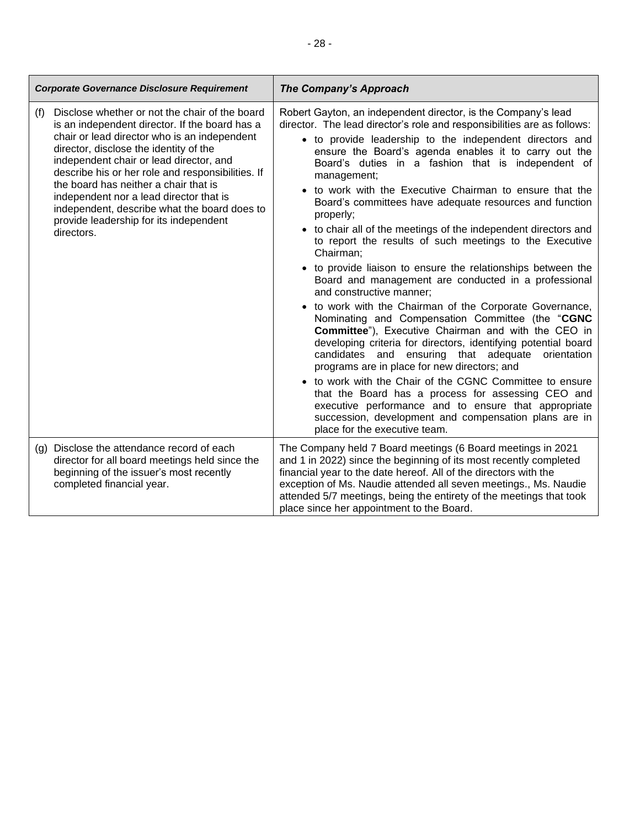| <b>Corporate Governance Disclosure Requirement</b>                                                                                                                                                                                                                                                                                                                                                                                                                                            | <b>The Company's Approach</b>                                                                                                                                                                                                                                                                                                                                                                                                                                                                                                                                                                                                                                                                                                                                                                                                                                                                                                                                                                                                                                                                                                                                                                                                                                                                                                                                                                      |
|-----------------------------------------------------------------------------------------------------------------------------------------------------------------------------------------------------------------------------------------------------------------------------------------------------------------------------------------------------------------------------------------------------------------------------------------------------------------------------------------------|----------------------------------------------------------------------------------------------------------------------------------------------------------------------------------------------------------------------------------------------------------------------------------------------------------------------------------------------------------------------------------------------------------------------------------------------------------------------------------------------------------------------------------------------------------------------------------------------------------------------------------------------------------------------------------------------------------------------------------------------------------------------------------------------------------------------------------------------------------------------------------------------------------------------------------------------------------------------------------------------------------------------------------------------------------------------------------------------------------------------------------------------------------------------------------------------------------------------------------------------------------------------------------------------------------------------------------------------------------------------------------------------------|
| Disclose whether or not the chair of the board<br>(f)<br>is an independent director. If the board has a<br>chair or lead director who is an independent<br>director, disclose the identity of the<br>independent chair or lead director, and<br>describe his or her role and responsibilities. If<br>the board has neither a chair that is<br>independent nor a lead director that is<br>independent, describe what the board does to<br>provide leadership for its independent<br>directors. | Robert Gayton, an independent director, is the Company's lead<br>director. The lead director's role and responsibilities are as follows:<br>• to provide leadership to the independent directors and<br>ensure the Board's agenda enables it to carry out the<br>Board's duties in a fashion that is independent of<br>management;<br>• to work with the Executive Chairman to ensure that the<br>Board's committees have adequate resources and function<br>properly;<br>• to chair all of the meetings of the independent directors and<br>to report the results of such meetings to the Executive<br>Chairman;<br>• to provide liaison to ensure the relationships between the<br>Board and management are conducted in a professional<br>and constructive manner;<br>• to work with the Chairman of the Corporate Governance,<br>Nominating and Compensation Committee (the "CGNC<br><b>Committee</b> "), Executive Chairman and with the CEO in<br>developing criteria for directors, identifying potential board<br>candidates and ensuring that adequate<br>orientation<br>programs are in place for new directors; and<br>• to work with the Chair of the CGNC Committee to ensure<br>that the Board has a process for assessing CEO and<br>executive performance and to ensure that appropriate<br>succession, development and compensation plans are in<br>place for the executive team. |
| (g) Disclose the attendance record of each<br>director for all board meetings held since the<br>beginning of the issuer's most recently<br>completed financial year.                                                                                                                                                                                                                                                                                                                          | The Company held 7 Board meetings (6 Board meetings in 2021<br>and 1 in 2022) since the beginning of its most recently completed<br>financial year to the date hereof. All of the directors with the<br>exception of Ms. Naudie attended all seven meetings., Ms. Naudie<br>attended 5/7 meetings, being the entirety of the meetings that took<br>place since her appointment to the Board.                                                                                                                                                                                                                                                                                                                                                                                                                                                                                                                                                                                                                                                                                                                                                                                                                                                                                                                                                                                                       |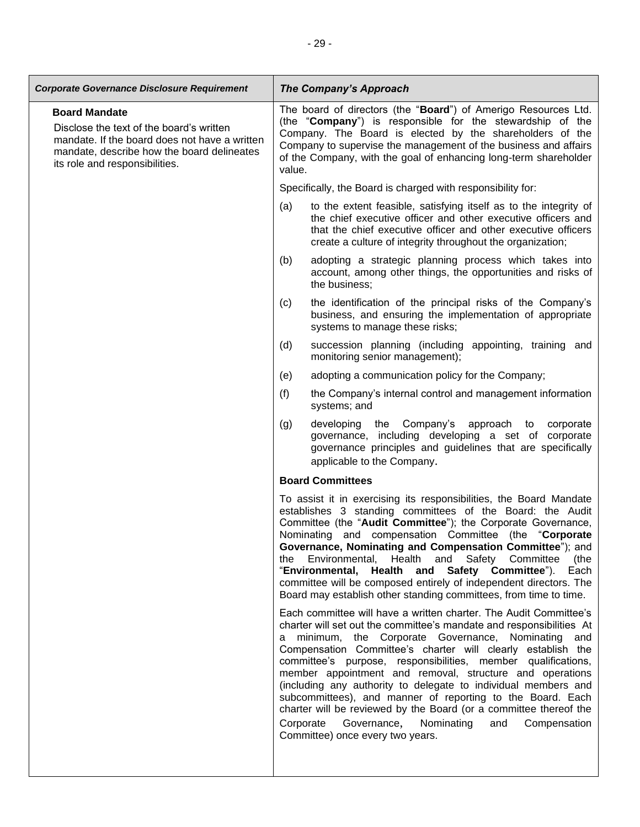| <b>Corporate Governance Disclosure Requirement</b>                                                                                                                                                | <b>The Company's Approach</b>                                                                                                                                                                                                                                                                                                                                                                                                                                                                                                                                                                                                                                                                       |  |
|---------------------------------------------------------------------------------------------------------------------------------------------------------------------------------------------------|-----------------------------------------------------------------------------------------------------------------------------------------------------------------------------------------------------------------------------------------------------------------------------------------------------------------------------------------------------------------------------------------------------------------------------------------------------------------------------------------------------------------------------------------------------------------------------------------------------------------------------------------------------------------------------------------------------|--|
| <b>Board Mandate</b><br>Disclose the text of the board's written<br>mandate. If the board does not have a written<br>mandate, describe how the board delineates<br>its role and responsibilities. | The board of directors (the "Board") of Amerigo Resources Ltd.<br>(the "Company") is responsible for the stewardship of the<br>Company. The Board is elected by the shareholders of the<br>Company to supervise the management of the business and affairs<br>of the Company, with the goal of enhancing long-term shareholder<br>value.                                                                                                                                                                                                                                                                                                                                                            |  |
|                                                                                                                                                                                                   | Specifically, the Board is charged with responsibility for:                                                                                                                                                                                                                                                                                                                                                                                                                                                                                                                                                                                                                                         |  |
|                                                                                                                                                                                                   | (a)<br>to the extent feasible, satisfying itself as to the integrity of<br>the chief executive officer and other executive officers and<br>that the chief executive officer and other executive officers<br>create a culture of integrity throughout the organization;                                                                                                                                                                                                                                                                                                                                                                                                                              |  |
|                                                                                                                                                                                                   | adopting a strategic planning process which takes into<br>(b)<br>account, among other things, the opportunities and risks of<br>the business;                                                                                                                                                                                                                                                                                                                                                                                                                                                                                                                                                       |  |
|                                                                                                                                                                                                   | the identification of the principal risks of the Company's<br>(c)<br>business, and ensuring the implementation of appropriate<br>systems to manage these risks;                                                                                                                                                                                                                                                                                                                                                                                                                                                                                                                                     |  |
|                                                                                                                                                                                                   | (d)<br>succession planning (including appointing, training and<br>monitoring senior management);                                                                                                                                                                                                                                                                                                                                                                                                                                                                                                                                                                                                    |  |
|                                                                                                                                                                                                   | (e)<br>adopting a communication policy for the Company;                                                                                                                                                                                                                                                                                                                                                                                                                                                                                                                                                                                                                                             |  |
|                                                                                                                                                                                                   | the Company's internal control and management information<br>(f)<br>systems; and                                                                                                                                                                                                                                                                                                                                                                                                                                                                                                                                                                                                                    |  |
|                                                                                                                                                                                                   | developing the Company's<br>(g)<br>approach to<br>corporate<br>governance, including developing a set of corporate<br>governance principles and guidelines that are specifically<br>applicable to the Company.                                                                                                                                                                                                                                                                                                                                                                                                                                                                                      |  |
|                                                                                                                                                                                                   | <b>Board Committees</b>                                                                                                                                                                                                                                                                                                                                                                                                                                                                                                                                                                                                                                                                             |  |
|                                                                                                                                                                                                   | To assist it in exercising its responsibilities, the Board Mandate<br>establishes 3 standing committees of the Board: the Audit<br>Committee (the "Audit Committee"); the Corporate Governance,<br>Nominating and compensation Committee (the "Corporate<br>Governance, Nominating and Compensation Committee"); and<br>Environmental,<br>Health<br>and Safety Committee<br>(the<br>the<br>"Environmental, Health and Safety Committee").<br>Each<br>committee will be composed entirely of independent directors. The<br>Board may establish other standing committees, from time to time.                                                                                                         |  |
|                                                                                                                                                                                                   | Each committee will have a written charter. The Audit Committee's<br>charter will set out the committee's mandate and responsibilities At<br>a minimum, the Corporate Governance, Nominating and<br>Compensation Committee's charter will clearly establish the<br>committee's purpose, responsibilities, member qualifications,<br>member appointment and removal, structure and operations<br>(including any authority to delegate to individual members and<br>subcommittees), and manner of reporting to the Board. Each<br>charter will be reviewed by the Board (or a committee thereof the<br>Corporate<br>Governance, Nominating<br>Compensation<br>and<br>Committee) once every two years. |  |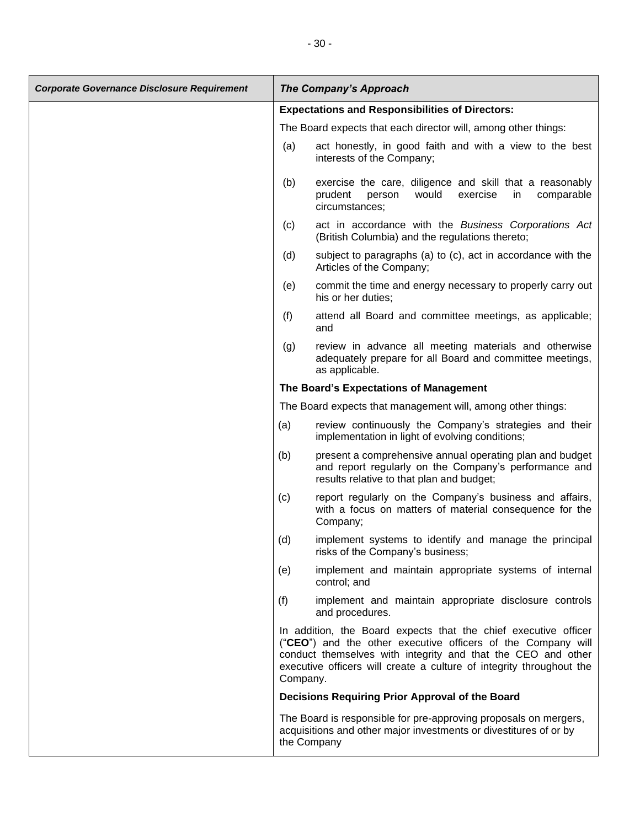| <b>Corporate Governance Disclosure Requirement</b> |                                                        | <b>The Company's Approach</b>                                                                                                                                                                                                                                           |
|----------------------------------------------------|--------------------------------------------------------|-------------------------------------------------------------------------------------------------------------------------------------------------------------------------------------------------------------------------------------------------------------------------|
|                                                    | <b>Expectations and Responsibilities of Directors:</b> |                                                                                                                                                                                                                                                                         |
|                                                    |                                                        | The Board expects that each director will, among other things:                                                                                                                                                                                                          |
|                                                    | (a)                                                    | act honestly, in good faith and with a view to the best<br>interests of the Company;                                                                                                                                                                                    |
|                                                    | (b)                                                    | exercise the care, diligence and skill that a reasonably<br>exercise<br>prudent<br>would<br>in<br>comparable<br>person<br>circumstances;                                                                                                                                |
|                                                    | (c)                                                    | act in accordance with the Business Corporations Act<br>(British Columbia) and the regulations thereto;                                                                                                                                                                 |
|                                                    | (d)                                                    | subject to paragraphs (a) to (c), act in accordance with the<br>Articles of the Company;                                                                                                                                                                                |
|                                                    | (e)                                                    | commit the time and energy necessary to properly carry out<br>his or her duties;                                                                                                                                                                                        |
|                                                    | (f)                                                    | attend all Board and committee meetings, as applicable;<br>and                                                                                                                                                                                                          |
|                                                    | (g)                                                    | review in advance all meeting materials and otherwise<br>adequately prepare for all Board and committee meetings,<br>as applicable.                                                                                                                                     |
|                                                    |                                                        | The Board's Expectations of Management                                                                                                                                                                                                                                  |
|                                                    |                                                        | The Board expects that management will, among other things:                                                                                                                                                                                                             |
|                                                    | (a)                                                    | review continuously the Company's strategies and their<br>implementation in light of evolving conditions;                                                                                                                                                               |
|                                                    | (b)                                                    | present a comprehensive annual operating plan and budget<br>and report regularly on the Company's performance and<br>results relative to that plan and budget;                                                                                                          |
|                                                    | (c)                                                    | report regularly on the Company's business and affairs,<br>with a focus on matters of material consequence for the<br>Company;                                                                                                                                          |
|                                                    | (d)                                                    | implement systems to identify and manage the principal<br>risks of the Company's business;                                                                                                                                                                              |
|                                                    | (e)                                                    | implement and maintain appropriate systems of internal<br>control; and                                                                                                                                                                                                  |
|                                                    | (f)                                                    | implement and maintain appropriate disclosure controls<br>and procedures.                                                                                                                                                                                               |
|                                                    | Company.                                               | In addition, the Board expects that the chief executive officer<br>("CEO") and the other executive officers of the Company will<br>conduct themselves with integrity and that the CEO and other<br>executive officers will create a culture of integrity throughout the |
|                                                    |                                                        | Decisions Requiring Prior Approval of the Board                                                                                                                                                                                                                         |
|                                                    |                                                        | The Board is responsible for pre-approving proposals on mergers,<br>acquisitions and other major investments or divestitures of or by<br>the Company                                                                                                                    |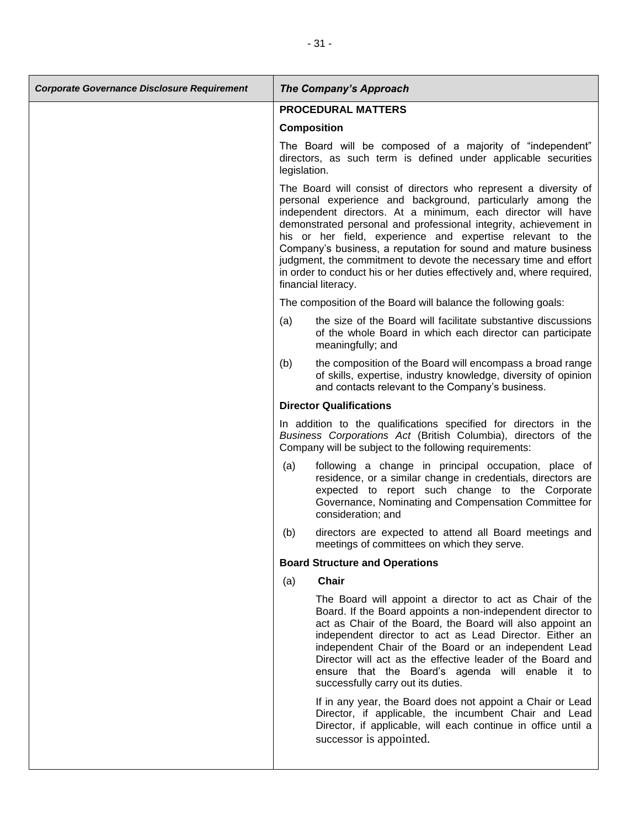| <b>Corporate Governance Disclosure Requirement</b> |                                                                                                                                                                                                                                                                                                                                                                                                                                                                                                                                                                         | <b>The Company's Approach</b>                                                                                                                                                                                                                                                                                                                                                                                                                                   |
|----------------------------------------------------|-------------------------------------------------------------------------------------------------------------------------------------------------------------------------------------------------------------------------------------------------------------------------------------------------------------------------------------------------------------------------------------------------------------------------------------------------------------------------------------------------------------------------------------------------------------------------|-----------------------------------------------------------------------------------------------------------------------------------------------------------------------------------------------------------------------------------------------------------------------------------------------------------------------------------------------------------------------------------------------------------------------------------------------------------------|
|                                                    | <b>PROCEDURAL MATTERS</b>                                                                                                                                                                                                                                                                                                                                                                                                                                                                                                                                               |                                                                                                                                                                                                                                                                                                                                                                                                                                                                 |
|                                                    | <b>Composition</b>                                                                                                                                                                                                                                                                                                                                                                                                                                                                                                                                                      |                                                                                                                                                                                                                                                                                                                                                                                                                                                                 |
|                                                    | legislation.                                                                                                                                                                                                                                                                                                                                                                                                                                                                                                                                                            | The Board will be composed of a majority of "independent"<br>directors, as such term is defined under applicable securities                                                                                                                                                                                                                                                                                                                                     |
|                                                    | The Board will consist of directors who represent a diversity of<br>personal experience and background, particularly among the<br>independent directors. At a minimum, each director will have<br>demonstrated personal and professional integrity, achievement in<br>his or her field, experience and expertise relevant to the<br>Company's business, a reputation for sound and mature business<br>judgment, the commitment to devote the necessary time and effort<br>in order to conduct his or her duties effectively and, where required,<br>financial literacy. |                                                                                                                                                                                                                                                                                                                                                                                                                                                                 |
|                                                    |                                                                                                                                                                                                                                                                                                                                                                                                                                                                                                                                                                         | The composition of the Board will balance the following goals:                                                                                                                                                                                                                                                                                                                                                                                                  |
|                                                    | (a)                                                                                                                                                                                                                                                                                                                                                                                                                                                                                                                                                                     | the size of the Board will facilitate substantive discussions<br>of the whole Board in which each director can participate<br>meaningfully; and                                                                                                                                                                                                                                                                                                                 |
|                                                    | (b)                                                                                                                                                                                                                                                                                                                                                                                                                                                                                                                                                                     | the composition of the Board will encompass a broad range<br>of skills, expertise, industry knowledge, diversity of opinion<br>and contacts relevant to the Company's business.                                                                                                                                                                                                                                                                                 |
|                                                    |                                                                                                                                                                                                                                                                                                                                                                                                                                                                                                                                                                         | <b>Director Qualifications</b>                                                                                                                                                                                                                                                                                                                                                                                                                                  |
|                                                    |                                                                                                                                                                                                                                                                                                                                                                                                                                                                                                                                                                         | In addition to the qualifications specified for directors in the<br>Business Corporations Act (British Columbia), directors of the<br>Company will be subject to the following requirements:                                                                                                                                                                                                                                                                    |
|                                                    | (a)                                                                                                                                                                                                                                                                                                                                                                                                                                                                                                                                                                     | following a change in principal occupation, place of<br>residence, or a similar change in credentials, directors are<br>expected to report such change to the Corporate<br>Governance, Nominating and Compensation Committee for<br>consideration; and                                                                                                                                                                                                          |
|                                                    | (b)                                                                                                                                                                                                                                                                                                                                                                                                                                                                                                                                                                     | directors are expected to attend all Board meetings and<br>meetings of committees on which they serve.                                                                                                                                                                                                                                                                                                                                                          |
|                                                    |                                                                                                                                                                                                                                                                                                                                                                                                                                                                                                                                                                         | <b>Board Structure and Operations</b>                                                                                                                                                                                                                                                                                                                                                                                                                           |
|                                                    | (a)                                                                                                                                                                                                                                                                                                                                                                                                                                                                                                                                                                     | <b>Chair</b>                                                                                                                                                                                                                                                                                                                                                                                                                                                    |
|                                                    |                                                                                                                                                                                                                                                                                                                                                                                                                                                                                                                                                                         | The Board will appoint a director to act as Chair of the<br>Board. If the Board appoints a non-independent director to<br>act as Chair of the Board, the Board will also appoint an<br>independent director to act as Lead Director. Either an<br>independent Chair of the Board or an independent Lead<br>Director will act as the effective leader of the Board and<br>ensure that the Board's agenda will enable it to<br>successfully carry out its duties. |
|                                                    |                                                                                                                                                                                                                                                                                                                                                                                                                                                                                                                                                                         | If in any year, the Board does not appoint a Chair or Lead<br>Director, if applicable, the incumbent Chair and Lead<br>Director, if applicable, will each continue in office until a<br>successor is appointed.                                                                                                                                                                                                                                                 |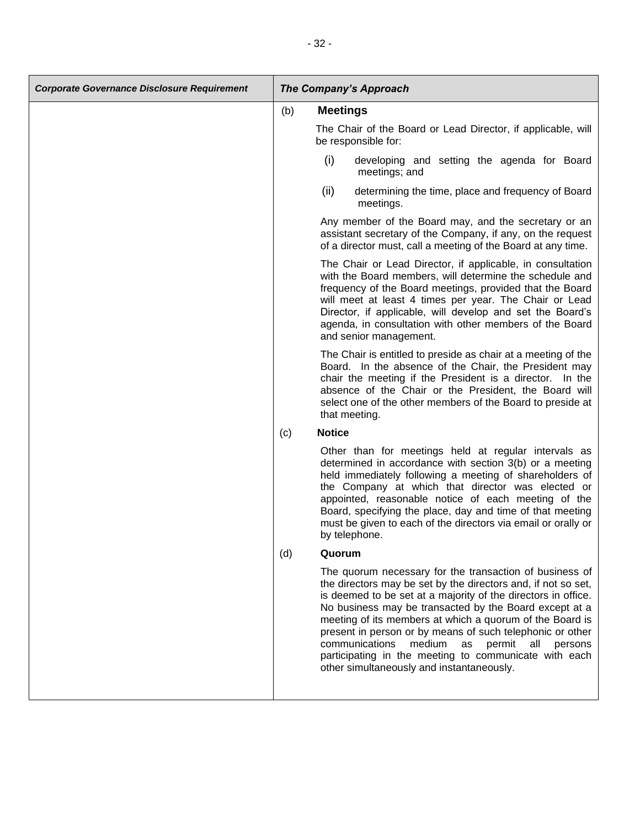| <b>Corporate Governance Disclosure Requirement</b> | <b>The Company's Approach</b> |                                                                                                                                                                                                                                                                                                                                                                                                                                       |
|----------------------------------------------------|-------------------------------|---------------------------------------------------------------------------------------------------------------------------------------------------------------------------------------------------------------------------------------------------------------------------------------------------------------------------------------------------------------------------------------------------------------------------------------|
|                                                    | (b)                           | <b>Meetings</b>                                                                                                                                                                                                                                                                                                                                                                                                                       |
|                                                    |                               | The Chair of the Board or Lead Director, if applicable, will<br>be responsible for:                                                                                                                                                                                                                                                                                                                                                   |
|                                                    |                               | (i)<br>developing and setting the agenda for Board<br>meetings; and                                                                                                                                                                                                                                                                                                                                                                   |
|                                                    |                               | (ii)<br>determining the time, place and frequency of Board<br>meetings.                                                                                                                                                                                                                                                                                                                                                               |
|                                                    |                               | Any member of the Board may, and the secretary or an<br>assistant secretary of the Company, if any, on the request<br>of a director must, call a meeting of the Board at any time.                                                                                                                                                                                                                                                    |
|                                                    |                               | The Chair or Lead Director, if applicable, in consultation<br>with the Board members, will determine the schedule and<br>frequency of the Board meetings, provided that the Board<br>will meet at least 4 times per year. The Chair or Lead<br>Director, if applicable, will develop and set the Board's<br>agenda, in consultation with other members of the Board<br>and senior management.                                         |
|                                                    |                               | The Chair is entitled to preside as chair at a meeting of the<br>Board. In the absence of the Chair, the President may<br>chair the meeting if the President is a director. In the<br>absence of the Chair or the President, the Board will<br>select one of the other members of the Board to preside at<br>that meeting.                                                                                                            |
|                                                    | (c)                           | <b>Notice</b>                                                                                                                                                                                                                                                                                                                                                                                                                         |
|                                                    |                               | Other than for meetings held at regular intervals as<br>determined in accordance with section 3(b) or a meeting<br>held immediately following a meeting of shareholders of<br>the Company at which that director was elected or<br>appointed, reasonable notice of each meeting of the<br>Board, specifying the place, day and time of that meeting<br>must be given to each of the directors via email or orally or<br>by telephone. |
|                                                    | (d)                           | Quorum                                                                                                                                                                                                                                                                                                                                                                                                                                |
|                                                    |                               | The quorum necessary for the transaction of business of<br>the directors may be set by the directors and, if not so set,                                                                                                                                                                                                                                                                                                              |

the directors may be set by the directors and, if not so set, is deemed to be set at a majority of the directors in office. No business may be transacted by the Board except at a meeting of its members at which a quorum of the Board is present in person or by means of such telephonic or other communications medium as permit all persons participating in the meeting to communicate with each other simultaneously and instantaneously.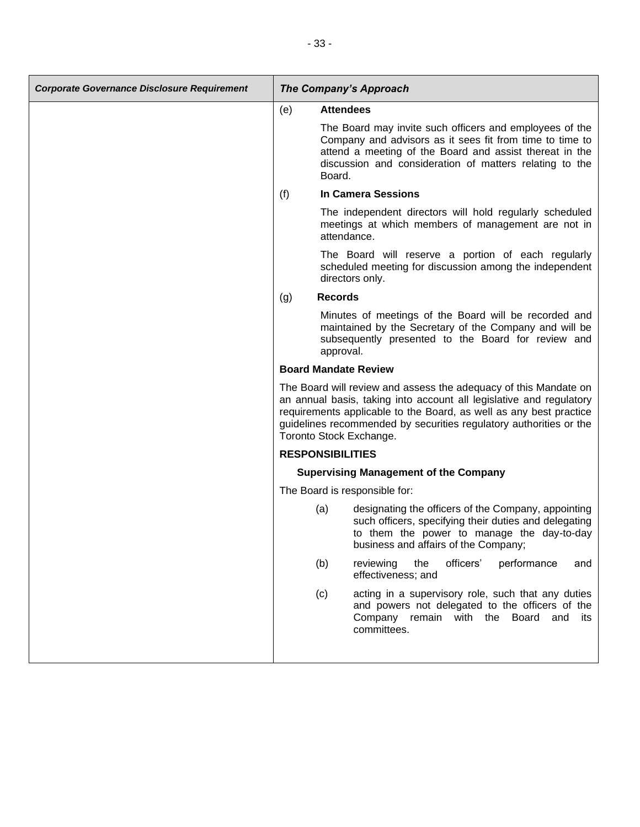| <b>Corporate Governance Disclosure Requirement</b> | <b>The Company's Approach</b> |                                                                                                                                                                                                                                                                                                                |
|----------------------------------------------------|-------------------------------|----------------------------------------------------------------------------------------------------------------------------------------------------------------------------------------------------------------------------------------------------------------------------------------------------------------|
|                                                    | (e)                           | <b>Attendees</b>                                                                                                                                                                                                                                                                                               |
|                                                    |                               | The Board may invite such officers and employees of the<br>Company and advisors as it sees fit from time to time to<br>attend a meeting of the Board and assist thereat in the<br>discussion and consideration of matters relating to the<br>Board.                                                            |
|                                                    | (f)                           | <b>In Camera Sessions</b>                                                                                                                                                                                                                                                                                      |
|                                                    |                               | The independent directors will hold regularly scheduled<br>meetings at which members of management are not in<br>attendance.                                                                                                                                                                                   |
|                                                    |                               | The Board will reserve a portion of each regularly<br>scheduled meeting for discussion among the independent<br>directors only.                                                                                                                                                                                |
|                                                    | (g)                           | <b>Records</b>                                                                                                                                                                                                                                                                                                 |
|                                                    |                               | Minutes of meetings of the Board will be recorded and<br>maintained by the Secretary of the Company and will be<br>subsequently presented to the Board for review and<br>approval.                                                                                                                             |
|                                                    |                               | <b>Board Mandate Review</b>                                                                                                                                                                                                                                                                                    |
|                                                    |                               | The Board will review and assess the adequacy of this Mandate on<br>an annual basis, taking into account all legislative and regulatory<br>requirements applicable to the Board, as well as any best practice<br>guidelines recommended by securities regulatory authorities or the<br>Toronto Stock Exchange. |
|                                                    |                               | <b>RESPONSIBILITIES</b>                                                                                                                                                                                                                                                                                        |
|                                                    |                               | <b>Supervising Management of the Company</b>                                                                                                                                                                                                                                                                   |
|                                                    |                               | The Board is responsible for:                                                                                                                                                                                                                                                                                  |
|                                                    |                               | (a)<br>designating the officers of the Company, appointing<br>such officers, specifying their duties and delegating<br>to them the power to manage the day-to-day<br>business and affairs of the Company;                                                                                                      |
|                                                    |                               | officers'<br>performance<br>(b)<br>reviewing<br>the<br>and<br>effectiveness; and                                                                                                                                                                                                                               |
|                                                    |                               | acting in a supervisory role, such that any duties<br>(c)<br>and powers not delegated to the officers of the<br>Company remain with the Board and its<br>committees.                                                                                                                                           |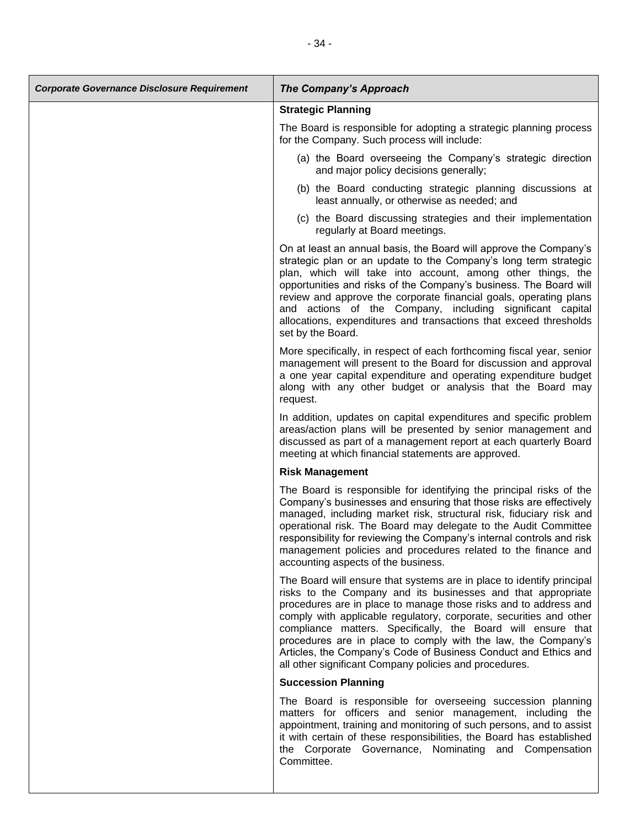| <b>Corporate Governance Disclosure Requirement</b> | The Company's Approach                                                                                                                                                                                                                                                                                                                                                                                                                                                                                                                        |
|----------------------------------------------------|-----------------------------------------------------------------------------------------------------------------------------------------------------------------------------------------------------------------------------------------------------------------------------------------------------------------------------------------------------------------------------------------------------------------------------------------------------------------------------------------------------------------------------------------------|
|                                                    | <b>Strategic Planning</b>                                                                                                                                                                                                                                                                                                                                                                                                                                                                                                                     |
|                                                    | The Board is responsible for adopting a strategic planning process<br>for the Company. Such process will include:                                                                                                                                                                                                                                                                                                                                                                                                                             |
|                                                    | (a) the Board overseeing the Company's strategic direction<br>and major policy decisions generally;                                                                                                                                                                                                                                                                                                                                                                                                                                           |
|                                                    | (b) the Board conducting strategic planning discussions at<br>least annually, or otherwise as needed; and                                                                                                                                                                                                                                                                                                                                                                                                                                     |
|                                                    | (c) the Board discussing strategies and their implementation<br>regularly at Board meetings.                                                                                                                                                                                                                                                                                                                                                                                                                                                  |
|                                                    | On at least an annual basis, the Board will approve the Company's<br>strategic plan or an update to the Company's long term strategic<br>plan, which will take into account, among other things, the<br>opportunities and risks of the Company's business. The Board will<br>review and approve the corporate financial goals, operating plans<br>and actions of the Company, including significant capital<br>allocations, expenditures and transactions that exceed thresholds<br>set by the Board.                                         |
|                                                    | More specifically, in respect of each forthcoming fiscal year, senior<br>management will present to the Board for discussion and approval<br>a one year capital expenditure and operating expenditure budget<br>along with any other budget or analysis that the Board may<br>request.                                                                                                                                                                                                                                                        |
|                                                    | In addition, updates on capital expenditures and specific problem<br>areas/action plans will be presented by senior management and<br>discussed as part of a management report at each quarterly Board<br>meeting at which financial statements are approved.                                                                                                                                                                                                                                                                                 |
|                                                    | <b>Risk Management</b>                                                                                                                                                                                                                                                                                                                                                                                                                                                                                                                        |
|                                                    | The Board is responsible for identifying the principal risks of the<br>Company's businesses and ensuring that those risks are effectively<br>managed, including market risk, structural risk, fiduciary risk and<br>operational risk. The Board may delegate to the Audit Committee<br>responsibility for reviewing the Company's internal controls and risk<br>management policies and procedures related to the finance and<br>accounting aspects of the business.                                                                          |
|                                                    | The Board will ensure that systems are in place to identify principal<br>risks to the Company and its businesses and that appropriate<br>procedures are in place to manage those risks and to address and<br>comply with applicable regulatory, corporate, securities and other<br>compliance matters. Specifically, the Board will ensure that<br>procedures are in place to comply with the law, the Company's<br>Articles, the Company's Code of Business Conduct and Ethics and<br>all other significant Company policies and procedures. |
|                                                    | <b>Succession Planning</b>                                                                                                                                                                                                                                                                                                                                                                                                                                                                                                                    |
|                                                    | The Board is responsible for overseeing succession planning<br>matters for officers and senior management, including the<br>appointment, training and monitoring of such persons, and to assist<br>it with certain of these responsibilities, the Board has established<br>the Corporate Governance, Nominating and Compensation<br>Committee.                                                                                                                                                                                                |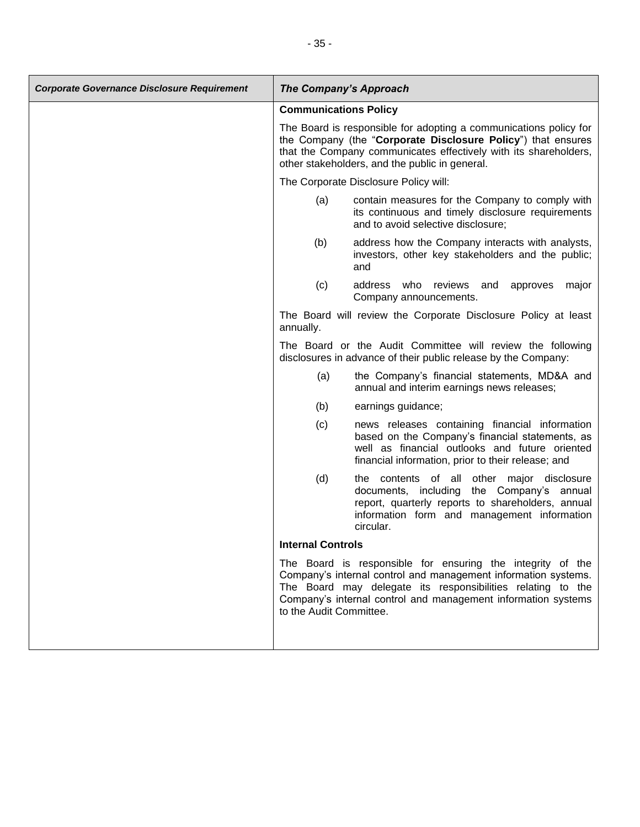| <b>Communications Policy</b>                                                                                                                                                                                                                                                            |       |
|-----------------------------------------------------------------------------------------------------------------------------------------------------------------------------------------------------------------------------------------------------------------------------------------|-------|
|                                                                                                                                                                                                                                                                                         |       |
| The Board is responsible for adopting a communications policy for<br>the Company (the "Corporate Disclosure Policy") that ensures<br>that the Company communicates effectively with its shareholders,<br>other stakeholders, and the public in general.                                 |       |
| The Corporate Disclosure Policy will:                                                                                                                                                                                                                                                   |       |
| contain measures for the Company to comply with<br>(a)<br>its continuous and timely disclosure requirements<br>and to avoid selective disclosure;                                                                                                                                       |       |
| (b)<br>address how the Company interacts with analysts,<br>investors, other key stakeholders and the public;<br>and                                                                                                                                                                     |       |
| (c)<br>address who reviews and<br>approves<br>Company announcements.                                                                                                                                                                                                                    | major |
| The Board will review the Corporate Disclosure Policy at least<br>annually.                                                                                                                                                                                                             |       |
| The Board or the Audit Committee will review the following<br>disclosures in advance of their public release by the Company:                                                                                                                                                            |       |
| the Company's financial statements, MD&A and<br>(a)<br>annual and interim earnings news releases;                                                                                                                                                                                       |       |
| (b)<br>earnings guidance;                                                                                                                                                                                                                                                               |       |
| news releases containing financial information<br>(c)<br>based on the Company's financial statements, as<br>well as financial outlooks and future oriented<br>financial information, prior to their release; and                                                                        |       |
| (d)<br>the contents of all other major disclosure<br>documents, including<br>the Company's annual<br>report, quarterly reports to shareholders, annual<br>information form and management information<br>circular.                                                                      |       |
| <b>Internal Controls</b>                                                                                                                                                                                                                                                                |       |
| The Board is responsible for ensuring the integrity of the<br>Company's internal control and management information systems.<br>The Board may delegate its responsibilities relating to the<br>Company's internal control and management information systems<br>to the Audit Committee. |       |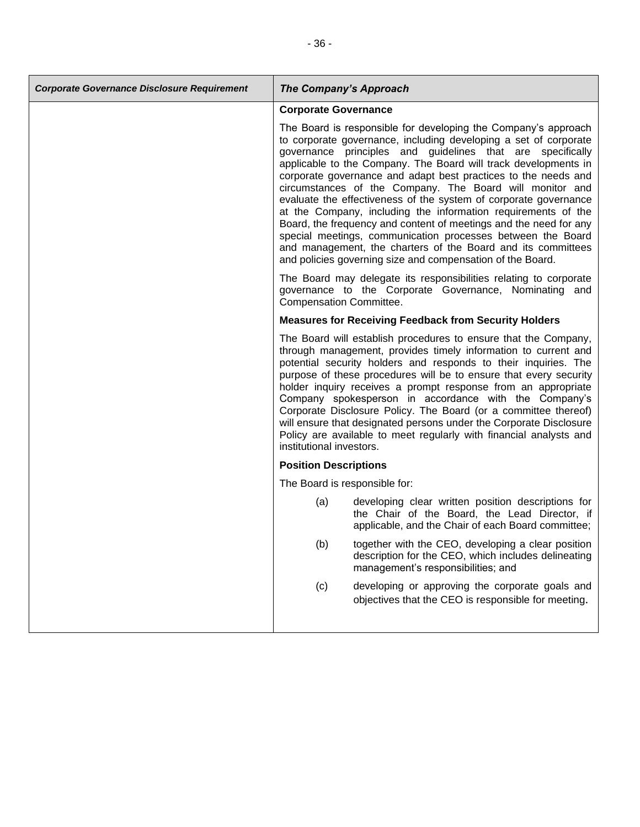| <b>Corporate Governance Disclosure Requirement</b> | The Company's Approach         |                                                                                                                                                                                                                                                                                                                                                                                                                                                                                                                                                                                                                                                                                                                                                                                                          |
|----------------------------------------------------|--------------------------------|----------------------------------------------------------------------------------------------------------------------------------------------------------------------------------------------------------------------------------------------------------------------------------------------------------------------------------------------------------------------------------------------------------------------------------------------------------------------------------------------------------------------------------------------------------------------------------------------------------------------------------------------------------------------------------------------------------------------------------------------------------------------------------------------------------|
|                                                    | <b>Corporate Governance</b>    |                                                                                                                                                                                                                                                                                                                                                                                                                                                                                                                                                                                                                                                                                                                                                                                                          |
|                                                    |                                | The Board is responsible for developing the Company's approach<br>to corporate governance, including developing a set of corporate<br>governance principles and guidelines that are specifically<br>applicable to the Company. The Board will track developments in<br>corporate governance and adapt best practices to the needs and<br>circumstances of the Company. The Board will monitor and<br>evaluate the effectiveness of the system of corporate governance<br>at the Company, including the information requirements of the<br>Board, the frequency and content of meetings and the need for any<br>special meetings, communication processes between the Board<br>and management, the charters of the Board and its committees<br>and policies governing size and compensation of the Board. |
|                                                    | <b>Compensation Committee.</b> | The Board may delegate its responsibilities relating to corporate<br>governance to the Corporate Governance, Nominating and                                                                                                                                                                                                                                                                                                                                                                                                                                                                                                                                                                                                                                                                              |
|                                                    |                                | <b>Measures for Receiving Feedback from Security Holders</b>                                                                                                                                                                                                                                                                                                                                                                                                                                                                                                                                                                                                                                                                                                                                             |
|                                                    | institutional investors.       | The Board will establish procedures to ensure that the Company,<br>through management, provides timely information to current and<br>potential security holders and responds to their inquiries. The<br>purpose of these procedures will be to ensure that every security<br>holder inquiry receives a prompt response from an appropriate<br>Company spokesperson in accordance with the Company's<br>Corporate Disclosure Policy. The Board (or a committee thereof)<br>will ensure that designated persons under the Corporate Disclosure<br>Policy are available to meet regularly with financial analysts and                                                                                                                                                                                       |
|                                                    | <b>Position Descriptions</b>   |                                                                                                                                                                                                                                                                                                                                                                                                                                                                                                                                                                                                                                                                                                                                                                                                          |
|                                                    | The Board is responsible for:  |                                                                                                                                                                                                                                                                                                                                                                                                                                                                                                                                                                                                                                                                                                                                                                                                          |
|                                                    | (a)                            | developing clear written position descriptions for<br>the Chair of the Board, the Lead Director, if<br>applicable, and the Chair of each Board committee;                                                                                                                                                                                                                                                                                                                                                                                                                                                                                                                                                                                                                                                |
|                                                    | (b)                            | together with the CEO, developing a clear position<br>description for the CEO, which includes delineating<br>management's responsibilities; and                                                                                                                                                                                                                                                                                                                                                                                                                                                                                                                                                                                                                                                          |
|                                                    | (c)                            | developing or approving the corporate goals and<br>objectives that the CEO is responsible for meeting.                                                                                                                                                                                                                                                                                                                                                                                                                                                                                                                                                                                                                                                                                                   |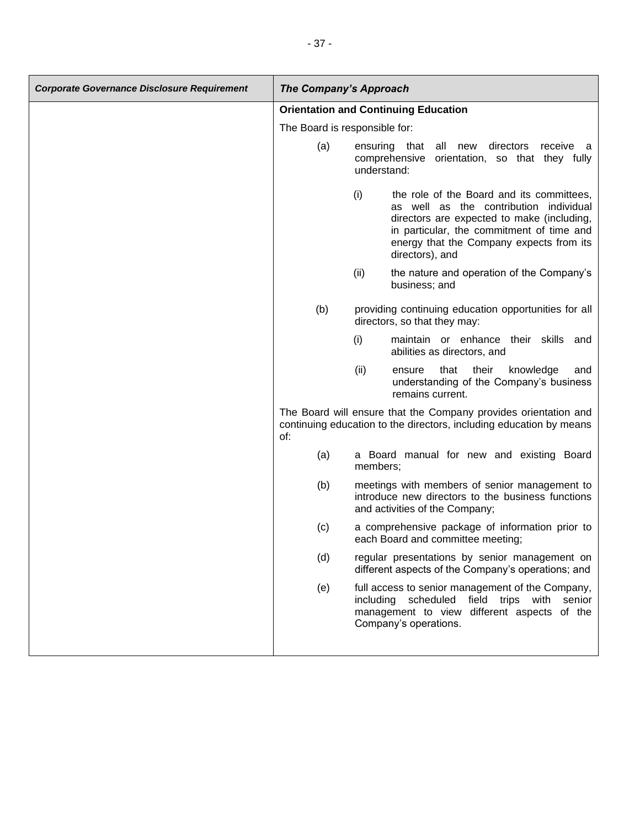| <b>Corporate Governance Disclosure Requirement</b> | <b>The Company's Approach</b> |                                                                                                                                                                                                                                                      |
|----------------------------------------------------|-------------------------------|------------------------------------------------------------------------------------------------------------------------------------------------------------------------------------------------------------------------------------------------------|
|                                                    |                               | <b>Orientation and Continuing Education</b>                                                                                                                                                                                                          |
|                                                    |                               | The Board is responsible for:                                                                                                                                                                                                                        |
|                                                    | (a)                           | all<br>ensuring that<br>new directors<br>receive a<br>comprehensive<br>orientation, so that they fully<br>understand:                                                                                                                                |
|                                                    |                               | (i)<br>the role of the Board and its committees,<br>as well as the contribution individual<br>directors are expected to make (including,<br>in particular, the commitment of time and<br>energy that the Company expects from its<br>directors), and |
|                                                    |                               | (ii)<br>the nature and operation of the Company's<br>business; and                                                                                                                                                                                   |
|                                                    | (b)                           | providing continuing education opportunities for all<br>directors, so that they may:                                                                                                                                                                 |
|                                                    |                               | (i)<br>maintain or enhance their skills<br>and<br>abilities as directors, and                                                                                                                                                                        |
|                                                    |                               | (ii)<br>their<br>that<br>knowledge<br>ensure<br>and<br>understanding of the Company's business<br>remains current.                                                                                                                                   |
|                                                    | of:                           | The Board will ensure that the Company provides orientation and<br>continuing education to the directors, including education by means                                                                                                               |
|                                                    | (a)                           | a Board manual for new and existing Board<br>members;                                                                                                                                                                                                |
|                                                    | (b)                           | meetings with members of senior management to<br>introduce new directors to the business functions<br>and activities of the Company;                                                                                                                 |
|                                                    | (c)                           | a comprehensive package of information prior to<br>each Board and committee meeting;                                                                                                                                                                 |
|                                                    | (d)                           | regular presentations by senior management on<br>different aspects of the Company's operations; and                                                                                                                                                  |
|                                                    | (e)                           | full access to senior management of the Company,<br>including scheduled field trips with<br>senior<br>management to view different aspects of the<br>Company's operations.                                                                           |
|                                                    |                               |                                                                                                                                                                                                                                                      |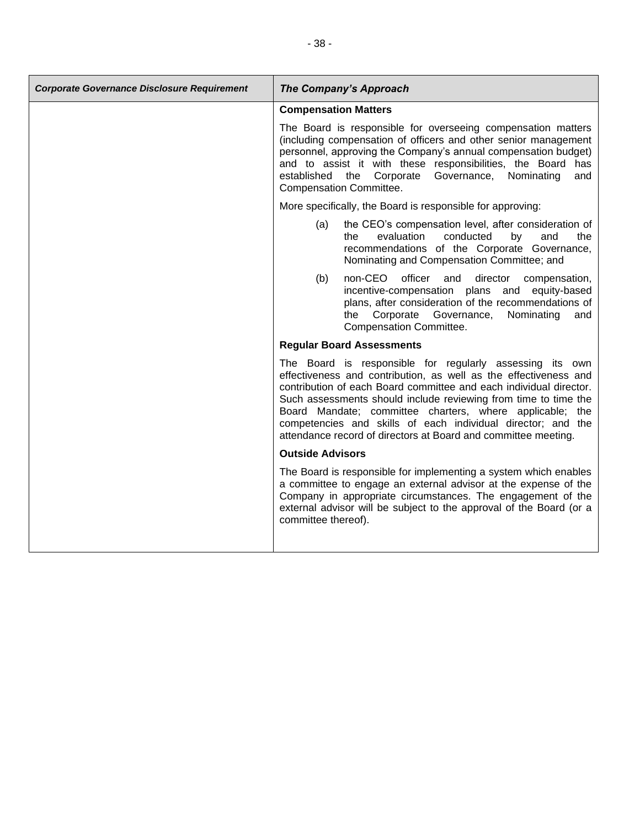| <b>Corporate Governance Disclosure Requirement</b> | <b>The Company's Approach</b>                                                                                                                                                                                                                                                                                                                                                                                                                                       |
|----------------------------------------------------|---------------------------------------------------------------------------------------------------------------------------------------------------------------------------------------------------------------------------------------------------------------------------------------------------------------------------------------------------------------------------------------------------------------------------------------------------------------------|
|                                                    | <b>Compensation Matters</b>                                                                                                                                                                                                                                                                                                                                                                                                                                         |
|                                                    | The Board is responsible for overseeing compensation matters<br>(including compensation of officers and other senior management<br>personnel, approving the Company's annual compensation budget)<br>and to assist it with these responsibilities, the Board has<br>established the Corporate Governance,<br>Nominating<br>and<br><b>Compensation Committee.</b>                                                                                                    |
|                                                    | More specifically, the Board is responsible for approving:                                                                                                                                                                                                                                                                                                                                                                                                          |
|                                                    | the CEO's compensation level, after consideration of<br>(a)<br>conducted<br>evaluation<br>by<br>and<br>the<br>the<br>recommendations of the Corporate Governance,<br>Nominating and Compensation Committee; and                                                                                                                                                                                                                                                     |
|                                                    | officer<br>non-CEO<br>and<br>director<br>(b)<br>compensation,<br>incentive-compensation plans and equity-based<br>plans, after consideration of the recommendations of<br>Corporate Governance,<br>Nominating<br>the<br>and<br>Compensation Committee.                                                                                                                                                                                                              |
|                                                    | <b>Regular Board Assessments</b>                                                                                                                                                                                                                                                                                                                                                                                                                                    |
|                                                    | The Board is responsible for regularly assessing its own<br>effectiveness and contribution, as well as the effectiveness and<br>contribution of each Board committee and each individual director.<br>Such assessments should include reviewing from time to time the<br>Board Mandate; committee charters, where applicable; the<br>competencies and skills of each individual director; and the<br>attendance record of directors at Board and committee meeting. |
|                                                    | <b>Outside Advisors</b>                                                                                                                                                                                                                                                                                                                                                                                                                                             |
|                                                    | The Board is responsible for implementing a system which enables<br>a committee to engage an external advisor at the expense of the<br>Company in appropriate circumstances. The engagement of the<br>external advisor will be subject to the approval of the Board (or a<br>committee thereof).                                                                                                                                                                    |
|                                                    |                                                                                                                                                                                                                                                                                                                                                                                                                                                                     |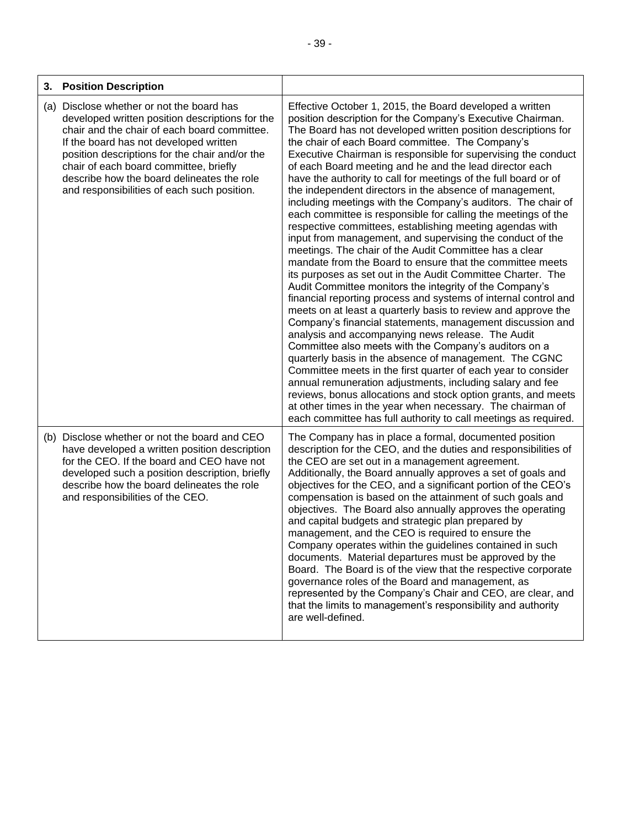| <b>Position Description</b><br>3.                                                                                                                                                                                                                                                                                                                                               |                                                                                                                                                                                                                                                                                                                                                                                                                                                                                                                                                                                                                                                                                                                                                                                                                                                                                                                                                                                                                                                                                                                                                                                                                                                                                                                                                                                                                                                                                                                                                                                                                                                                                                                           |
|---------------------------------------------------------------------------------------------------------------------------------------------------------------------------------------------------------------------------------------------------------------------------------------------------------------------------------------------------------------------------------|---------------------------------------------------------------------------------------------------------------------------------------------------------------------------------------------------------------------------------------------------------------------------------------------------------------------------------------------------------------------------------------------------------------------------------------------------------------------------------------------------------------------------------------------------------------------------------------------------------------------------------------------------------------------------------------------------------------------------------------------------------------------------------------------------------------------------------------------------------------------------------------------------------------------------------------------------------------------------------------------------------------------------------------------------------------------------------------------------------------------------------------------------------------------------------------------------------------------------------------------------------------------------------------------------------------------------------------------------------------------------------------------------------------------------------------------------------------------------------------------------------------------------------------------------------------------------------------------------------------------------------------------------------------------------------------------------------------------------|
| (a) Disclose whether or not the board has<br>developed written position descriptions for the<br>chair and the chair of each board committee.<br>If the board has not developed written<br>position descriptions for the chair and/or the<br>chair of each board committee, briefly<br>describe how the board delineates the role<br>and responsibilities of each such position. | Effective October 1, 2015, the Board developed a written<br>position description for the Company's Executive Chairman.<br>The Board has not developed written position descriptions for<br>the chair of each Board committee. The Company's<br>Executive Chairman is responsible for supervising the conduct<br>of each Board meeting and he and the lead director each<br>have the authority to call for meetings of the full board or of<br>the independent directors in the absence of management,<br>including meetings with the Company's auditors. The chair of<br>each committee is responsible for calling the meetings of the<br>respective committees, establishing meeting agendas with<br>input from management, and supervising the conduct of the<br>meetings. The chair of the Audit Committee has a clear<br>mandate from the Board to ensure that the committee meets<br>its purposes as set out in the Audit Committee Charter. The<br>Audit Committee monitors the integrity of the Company's<br>financial reporting process and systems of internal control and<br>meets on at least a quarterly basis to review and approve the<br>Company's financial statements, management discussion and<br>analysis and accompanying news release. The Audit<br>Committee also meets with the Company's auditors on a<br>quarterly basis in the absence of management. The CGNC<br>Committee meets in the first quarter of each year to consider<br>annual remuneration adjustments, including salary and fee<br>reviews, bonus allocations and stock option grants, and meets<br>at other times in the year when necessary. The chairman of<br>each committee has full authority to call meetings as required. |
| (b) Disclose whether or not the board and CEO<br>have developed a written position description<br>for the CEO. If the board and CEO have not<br>developed such a position description, briefly<br>describe how the board delineates the role<br>and responsibilities of the CEO.                                                                                                | The Company has in place a formal, documented position<br>description for the CEO, and the duties and responsibilities of<br>the CEO are set out in a management agreement.<br>Additionally, the Board annually approves a set of goals and<br>objectives for the CEO, and a significant portion of the CEO's<br>compensation is based on the attainment of such goals and<br>objectives. The Board also annually approves the operating<br>and capital budgets and strategic plan prepared by<br>management, and the CEO is required to ensure the<br>Company operates within the guidelines contained in such<br>documents. Material departures must be approved by the<br>Board. The Board is of the view that the respective corporate<br>governance roles of the Board and management, as<br>represented by the Company's Chair and CEO, are clear, and<br>that the limits to management's responsibility and authority<br>are well-defined.                                                                                                                                                                                                                                                                                                                                                                                                                                                                                                                                                                                                                                                                                                                                                                         |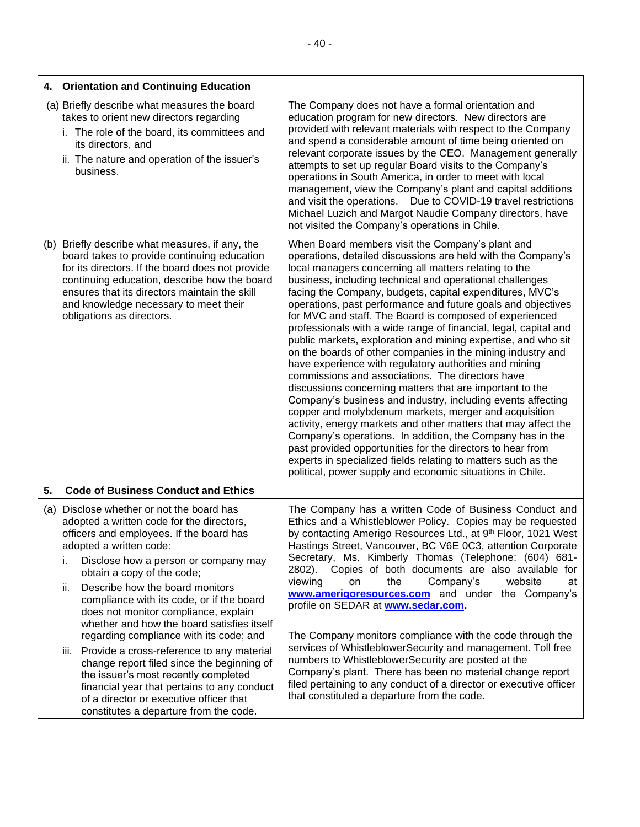| 4. | <b>Orientation and Continuing Education</b>                                                                                                                                                                                                                                                                               |                                                                                                                                                                                                                                                                                                                                                                                                                                                                                                                                                                                                                                                                                                                                                                                                                                                                                                                                                                                                                                                                                                                                                                                                                                                               |
|----|---------------------------------------------------------------------------------------------------------------------------------------------------------------------------------------------------------------------------------------------------------------------------------------------------------------------------|---------------------------------------------------------------------------------------------------------------------------------------------------------------------------------------------------------------------------------------------------------------------------------------------------------------------------------------------------------------------------------------------------------------------------------------------------------------------------------------------------------------------------------------------------------------------------------------------------------------------------------------------------------------------------------------------------------------------------------------------------------------------------------------------------------------------------------------------------------------------------------------------------------------------------------------------------------------------------------------------------------------------------------------------------------------------------------------------------------------------------------------------------------------------------------------------------------------------------------------------------------------|
|    | (a) Briefly describe what measures the board<br>takes to orient new directors regarding<br>i. The role of the board, its committees and<br>its directors, and<br>ii. The nature and operation of the issuer's<br>business.                                                                                                | The Company does not have a formal orientation and<br>education program for new directors. New directors are<br>provided with relevant materials with respect to the Company<br>and spend a considerable amount of time being oriented on<br>relevant corporate issues by the CEO. Management generally<br>attempts to set up regular Board visits to the Company's<br>operations in South America, in order to meet with local<br>management, view the Company's plant and capital additions<br>and visit the operations.  Due to COVID-19 travel restrictions<br>Michael Luzich and Margot Naudie Company directors, have<br>not visited the Company's operations in Chile.                                                                                                                                                                                                                                                                                                                                                                                                                                                                                                                                                                                 |
|    | (b) Briefly describe what measures, if any, the<br>board takes to provide continuing education<br>for its directors. If the board does not provide<br>continuing education, describe how the board<br>ensures that its directors maintain the skill<br>and knowledge necessary to meet their<br>obligations as directors. | When Board members visit the Company's plant and<br>operations, detailed discussions are held with the Company's<br>local managers concerning all matters relating to the<br>business, including technical and operational challenges<br>facing the Company, budgets, capital expenditures, MVC's<br>operations, past performance and future goals and objectives<br>for MVC and staff. The Board is composed of experienced<br>professionals with a wide range of financial, legal, capital and<br>public markets, exploration and mining expertise, and who sit<br>on the boards of other companies in the mining industry and<br>have experience with regulatory authorities and mining<br>commissions and associations. The directors have<br>discussions concerning matters that are important to the<br>Company's business and industry, including events affecting<br>copper and molybdenum markets, merger and acquisition<br>activity, energy markets and other matters that may affect the<br>Company's operations. In addition, the Company has in the<br>past provided opportunities for the directors to hear from<br>experts in specialized fields relating to matters such as the<br>political, power supply and economic situations in Chile. |
| 5. | <b>Code of Business Conduct and Ethics</b>                                                                                                                                                                                                                                                                                |                                                                                                                                                                                                                                                                                                                                                                                                                                                                                                                                                                                                                                                                                                                                                                                                                                                                                                                                                                                                                                                                                                                                                                                                                                                               |
|    | (a) Disclose whether or not the board has<br>adopted a written code for the directors,<br>officers and employees. If the board has<br>adopted a written code:<br>Disclose how a person or company may<br>i.<br>obtain a copy of the code;                                                                                 | The Company has a written Code of Business Conduct and<br>Ethics and a Whistleblower Policy. Copies may be requested<br>by contacting Amerigo Resources Ltd., at 9th Floor, 1021 West<br>Hastings Street, Vancouver, BC V6E 0C3, attention Corporate<br>Secretary, Ms. Kimberly Thomas (Telephone: (604) 681-<br>2802). Copies of both documents are also available for                                                                                                                                                                                                                                                                                                                                                                                                                                                                                                                                                                                                                                                                                                                                                                                                                                                                                       |
|    | Describe how the board monitors<br>ii.<br>compliance with its code, or if the board<br>does not monitor compliance, explain<br>whether and how the board satisfies itself                                                                                                                                                 | viewing<br>Company's<br>website<br>on<br>the<br>at<br>www.amerigoresources.com and under the Company's<br>profile on SEDAR at www.sedar.com.                                                                                                                                                                                                                                                                                                                                                                                                                                                                                                                                                                                                                                                                                                                                                                                                                                                                                                                                                                                                                                                                                                                  |
|    | regarding compliance with its code; and<br>Provide a cross-reference to any material<br>Ш.<br>change report filed since the beginning of<br>the issuer's most recently completed<br>financial year that pertains to any conduct<br>of a director or executive officer that<br>constitutes a departure from the code.      | The Company monitors compliance with the code through the<br>services of WhistleblowerSecurity and management. Toll free<br>numbers to WhistleblowerSecurity are posted at the<br>Company's plant. There has been no material change report<br>filed pertaining to any conduct of a director or executive officer<br>that constituted a departure from the code.                                                                                                                                                                                                                                                                                                                                                                                                                                                                                                                                                                                                                                                                                                                                                                                                                                                                                              |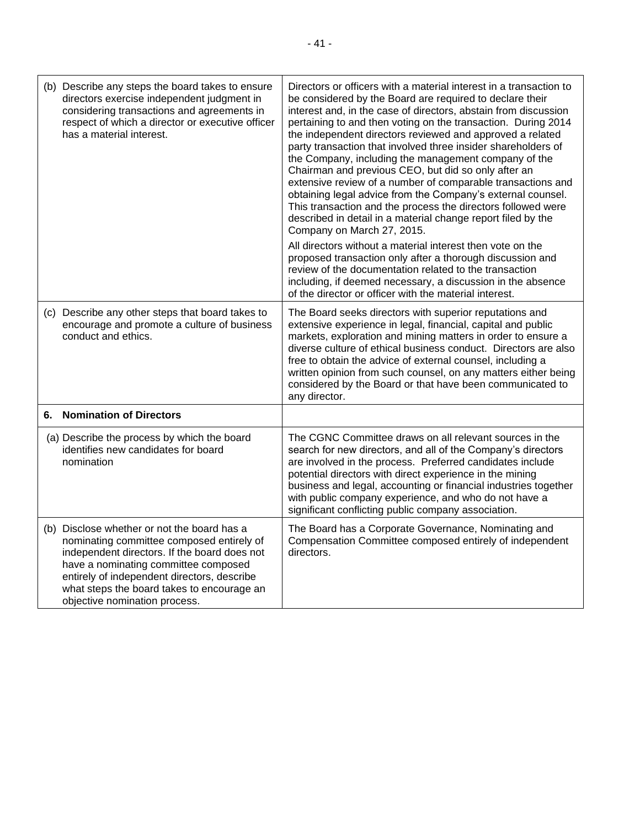|    | (b) Describe any steps the board takes to ensure<br>directors exercise independent judgment in<br>considering transactions and agreements in<br>respect of which a director or executive officer<br>has a material interest.                                                                                   | Directors or officers with a material interest in a transaction to<br>be considered by the Board are required to declare their<br>interest and, in the case of directors, abstain from discussion<br>pertaining to and then voting on the transaction. During 2014<br>the independent directors reviewed and approved a related<br>party transaction that involved three insider shareholders of<br>the Company, including the management company of the<br>Chairman and previous CEO, but did so only after an<br>extensive review of a number of comparable transactions and<br>obtaining legal advice from the Company's external counsel.<br>This transaction and the process the directors followed were<br>described in detail in a material change report filed by the<br>Company on March 27, 2015.<br>All directors without a material interest then vote on the<br>proposed transaction only after a thorough discussion and<br>review of the documentation related to the transaction<br>including, if deemed necessary, a discussion in the absence<br>of the director or officer with the material interest. |
|----|----------------------------------------------------------------------------------------------------------------------------------------------------------------------------------------------------------------------------------------------------------------------------------------------------------------|---------------------------------------------------------------------------------------------------------------------------------------------------------------------------------------------------------------------------------------------------------------------------------------------------------------------------------------------------------------------------------------------------------------------------------------------------------------------------------------------------------------------------------------------------------------------------------------------------------------------------------------------------------------------------------------------------------------------------------------------------------------------------------------------------------------------------------------------------------------------------------------------------------------------------------------------------------------------------------------------------------------------------------------------------------------------------------------------------------------------------|
|    | (c) Describe any other steps that board takes to<br>encourage and promote a culture of business<br>conduct and ethics.                                                                                                                                                                                         | The Board seeks directors with superior reputations and<br>extensive experience in legal, financial, capital and public<br>markets, exploration and mining matters in order to ensure a<br>diverse culture of ethical business conduct. Directors are also<br>free to obtain the advice of external counsel, including a<br>written opinion from such counsel, on any matters either being<br>considered by the Board or that have been communicated to<br>any director.                                                                                                                                                                                                                                                                                                                                                                                                                                                                                                                                                                                                                                                  |
| 6. | <b>Nomination of Directors</b>                                                                                                                                                                                                                                                                                 |                                                                                                                                                                                                                                                                                                                                                                                                                                                                                                                                                                                                                                                                                                                                                                                                                                                                                                                                                                                                                                                                                                                           |
|    | (a) Describe the process by which the board<br>identifies new candidates for board<br>nomination                                                                                                                                                                                                               | The CGNC Committee draws on all relevant sources in the<br>search for new directors, and all of the Company's directors<br>are involved in the process. Preferred candidates include<br>potential directors with direct experience in the mining<br>business and legal, accounting or financial industries together<br>with public company experience, and who do not have a<br>significant conflicting public company association.                                                                                                                                                                                                                                                                                                                                                                                                                                                                                                                                                                                                                                                                                       |
|    | (b) Disclose whether or not the board has a<br>nominating committee composed entirely of<br>independent directors. If the board does not<br>have a nominating committee composed<br>entirely of independent directors, describe<br>what steps the board takes to encourage an<br>objective nomination process. | The Board has a Corporate Governance, Nominating and<br>Compensation Committee composed entirely of independent<br>directors.                                                                                                                                                                                                                                                                                                                                                                                                                                                                                                                                                                                                                                                                                                                                                                                                                                                                                                                                                                                             |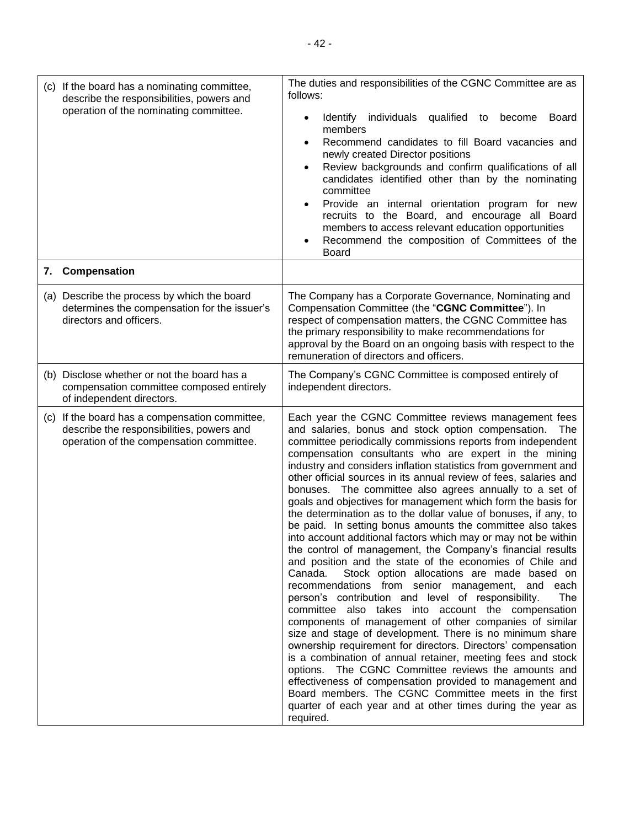| (c) If the board has a nominating committee,<br>describe the responsibilities, powers and<br>operation of the nominating committee.     | The duties and responsibilities of the CGNC Committee are as<br>follows:<br>Identify individuals<br>qualified<br>become<br><b>Board</b><br>to<br>members<br>Recommend candidates to fill Board vacancies and<br>newly created Director positions<br>Review backgrounds and confirm qualifications of all<br>candidates identified other than by the nominating<br>committee<br>Provide an internal orientation program for new<br>recruits to the Board, and encourage all Board<br>members to access relevant education opportunities<br>Recommend the composition of Committees of the<br>Board                                                                                                                                                                                                                                                                                                                                                                                                                                                                                                                                                                                                                                                                                                                                                                                                                                                                                                                                                                                    |
|-----------------------------------------------------------------------------------------------------------------------------------------|--------------------------------------------------------------------------------------------------------------------------------------------------------------------------------------------------------------------------------------------------------------------------------------------------------------------------------------------------------------------------------------------------------------------------------------------------------------------------------------------------------------------------------------------------------------------------------------------------------------------------------------------------------------------------------------------------------------------------------------------------------------------------------------------------------------------------------------------------------------------------------------------------------------------------------------------------------------------------------------------------------------------------------------------------------------------------------------------------------------------------------------------------------------------------------------------------------------------------------------------------------------------------------------------------------------------------------------------------------------------------------------------------------------------------------------------------------------------------------------------------------------------------------------------------------------------------------------|
| 7. Compensation                                                                                                                         |                                                                                                                                                                                                                                                                                                                                                                                                                                                                                                                                                                                                                                                                                                                                                                                                                                                                                                                                                                                                                                                                                                                                                                                                                                                                                                                                                                                                                                                                                                                                                                                      |
| (a) Describe the process by which the board<br>determines the compensation for the issuer's<br>directors and officers.                  | The Company has a Corporate Governance, Nominating and<br>Compensation Committee (the "CGNC Committee"). In<br>respect of compensation matters, the CGNC Committee has<br>the primary responsibility to make recommendations for<br>approval by the Board on an ongoing basis with respect to the<br>remuneration of directors and officers.                                                                                                                                                                                                                                                                                                                                                                                                                                                                                                                                                                                                                                                                                                                                                                                                                                                                                                                                                                                                                                                                                                                                                                                                                                         |
| (b) Disclose whether or not the board has a<br>compensation committee composed entirely<br>of independent directors.                    | The Company's CGNC Committee is composed entirely of<br>independent directors.                                                                                                                                                                                                                                                                                                                                                                                                                                                                                                                                                                                                                                                                                                                                                                                                                                                                                                                                                                                                                                                                                                                                                                                                                                                                                                                                                                                                                                                                                                       |
| (c) If the board has a compensation committee,<br>describe the responsibilities, powers and<br>operation of the compensation committee. | Each year the CGNC Committee reviews management fees<br>and salaries, bonus and stock option compensation.<br>The<br>committee periodically commissions reports from independent<br>compensation consultants who are expert in the mining<br>industry and considers inflation statistics from government and<br>other official sources in its annual review of fees, salaries and<br>bonuses. The committee also agrees annually to a set of<br>goals and objectives for management which form the basis for<br>the determination as to the dollar value of bonuses, if any, to<br>be paid. In setting bonus amounts the committee also takes<br>into account additional factors which may or may not be within<br>the control of management, the Company's financial results<br>and position and the state of the economies of Chile and<br>Stock option allocations are made based on<br>Canada.<br>recommendations from senior management, and each<br>person's contribution and level of responsibility.<br>The<br>committee also takes into account the compensation<br>components of management of other companies of similar<br>size and stage of development. There is no minimum share<br>ownership requirement for directors. Directors' compensation<br>is a combination of annual retainer, meeting fees and stock<br>options. The CGNC Committee reviews the amounts and<br>effectiveness of compensation provided to management and<br>Board members. The CGNC Committee meets in the first<br>quarter of each year and at other times during the year as<br>required. |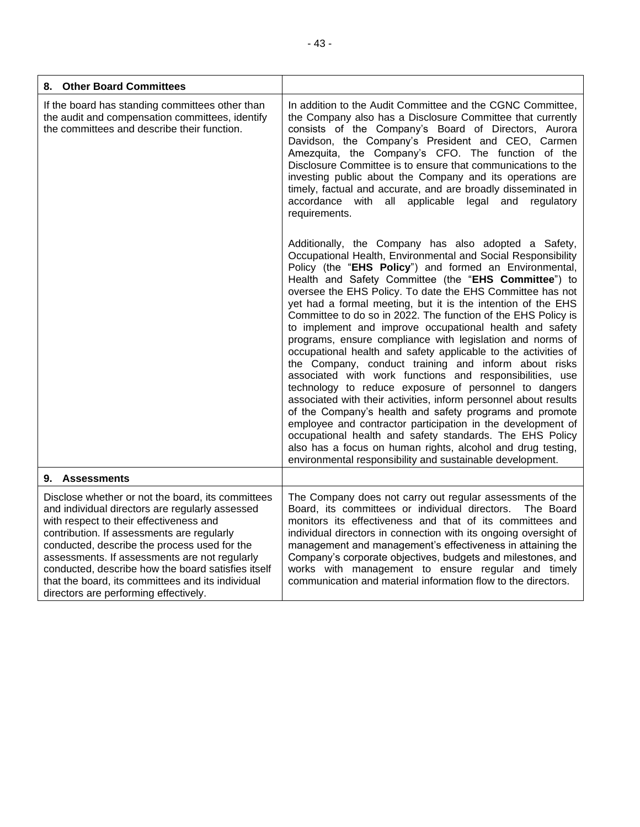| <b>Other Board Committees</b><br>8.                                                                                                                                                                                                                                                                                                                                                                                                                |                                                                                                                                                                                                                                                                                                                                                                                                                                                                                                                                                                                                                                                                                                                                                                                                                                                                                                                                                                                                                                                                                                                                                                                                   |
|----------------------------------------------------------------------------------------------------------------------------------------------------------------------------------------------------------------------------------------------------------------------------------------------------------------------------------------------------------------------------------------------------------------------------------------------------|---------------------------------------------------------------------------------------------------------------------------------------------------------------------------------------------------------------------------------------------------------------------------------------------------------------------------------------------------------------------------------------------------------------------------------------------------------------------------------------------------------------------------------------------------------------------------------------------------------------------------------------------------------------------------------------------------------------------------------------------------------------------------------------------------------------------------------------------------------------------------------------------------------------------------------------------------------------------------------------------------------------------------------------------------------------------------------------------------------------------------------------------------------------------------------------------------|
| If the board has standing committees other than<br>the audit and compensation committees, identify<br>the committees and describe their function.                                                                                                                                                                                                                                                                                                  | In addition to the Audit Committee and the CGNC Committee,<br>the Company also has a Disclosure Committee that currently<br>consists of the Company's Board of Directors, Aurora<br>Davidson, the Company's President and CEO, Carmen<br>Amezquita, the Company's CFO. The function of the<br>Disclosure Committee is to ensure that communications to the<br>investing public about the Company and its operations are<br>timely, factual and accurate, and are broadly disseminated in<br>accordance with all applicable legal and<br>regulatory<br>requirements.                                                                                                                                                                                                                                                                                                                                                                                                                                                                                                                                                                                                                               |
|                                                                                                                                                                                                                                                                                                                                                                                                                                                    | Additionally, the Company has also adopted a Safety,<br>Occupational Health, Environmental and Social Responsibility<br>Policy (the "EHS Policy") and formed an Environmental,<br>Health and Safety Committee (the "EHS Committee") to<br>oversee the EHS Policy. To date the EHS Committee has not<br>yet had a formal meeting, but it is the intention of the EHS<br>Committee to do so in 2022. The function of the EHS Policy is<br>to implement and improve occupational health and safety<br>programs, ensure compliance with legislation and norms of<br>occupational health and safety applicable to the activities of<br>the Company, conduct training and inform about risks<br>associated with work functions and responsibilities, use<br>technology to reduce exposure of personnel to dangers<br>associated with their activities, inform personnel about results<br>of the Company's health and safety programs and promote<br>employee and contractor participation in the development of<br>occupational health and safety standards. The EHS Policy<br>also has a focus on human rights, alcohol and drug testing,<br>environmental responsibility and sustainable development. |
| 9. Assessments                                                                                                                                                                                                                                                                                                                                                                                                                                     |                                                                                                                                                                                                                                                                                                                                                                                                                                                                                                                                                                                                                                                                                                                                                                                                                                                                                                                                                                                                                                                                                                                                                                                                   |
| Disclose whether or not the board, its committees<br>and individual directors are regularly assessed<br>with respect to their effectiveness and<br>contribution. If assessments are regularly<br>conducted, describe the process used for the<br>assessments. If assessments are not regularly<br>conducted, describe how the board satisfies itself<br>that the board, its committees and its individual<br>directors are performing effectively. | The Company does not carry out regular assessments of the<br>Board, its committees or individual directors.<br>The Board<br>monitors its effectiveness and that of its committees and<br>individual directors in connection with its ongoing oversight of<br>management and management's effectiveness in attaining the<br>Company's corporate objectives, budgets and milestones, and<br>works with management to ensure regular and timely<br>communication and material information flow to the directors.                                                                                                                                                                                                                                                                                                                                                                                                                                                                                                                                                                                                                                                                                     |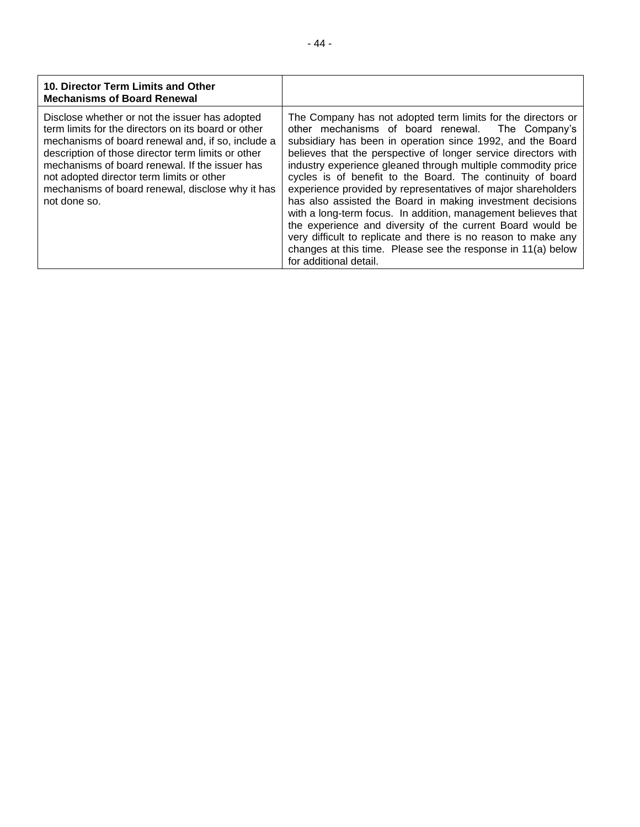| 10. Director Term Limits and Other<br><b>Mechanisms of Board Renewal</b>                                                                                                                                                                                                                                                                                                            |                                                                                                                                                                                                                                                                                                                                                                                                                                                                                                                                                                                                                                                                                                                                                                                                         |
|-------------------------------------------------------------------------------------------------------------------------------------------------------------------------------------------------------------------------------------------------------------------------------------------------------------------------------------------------------------------------------------|---------------------------------------------------------------------------------------------------------------------------------------------------------------------------------------------------------------------------------------------------------------------------------------------------------------------------------------------------------------------------------------------------------------------------------------------------------------------------------------------------------------------------------------------------------------------------------------------------------------------------------------------------------------------------------------------------------------------------------------------------------------------------------------------------------|
| Disclose whether or not the issuer has adopted<br>term limits for the directors on its board or other<br>mechanisms of board renewal and, if so, include a<br>description of those director term limits or other<br>mechanisms of board renewal. If the issuer has<br>not adopted director term limits or other<br>mechanisms of board renewal, disclose why it has<br>not done so. | The Company has not adopted term limits for the directors or<br>other mechanisms of board renewal. The Company's<br>subsidiary has been in operation since 1992, and the Board<br>believes that the perspective of longer service directors with<br>industry experience gleaned through multiple commodity price<br>cycles is of benefit to the Board. The continuity of board<br>experience provided by representatives of major shareholders<br>has also assisted the Board in making investment decisions<br>with a long-term focus. In addition, management believes that<br>the experience and diversity of the current Board would be<br>very difficult to replicate and there is no reason to make any<br>changes at this time. Please see the response in 11(a) below<br>for additional detail. |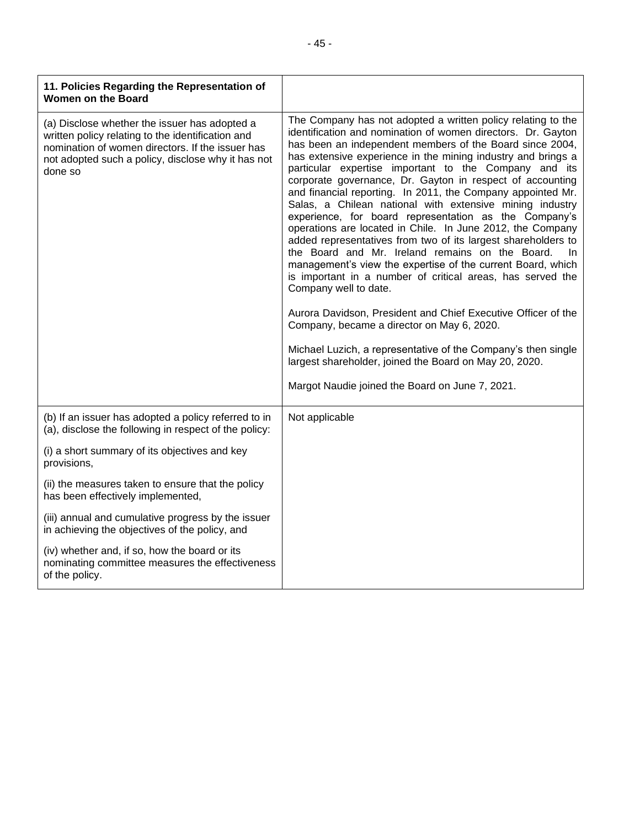| 11. Policies Regarding the Representation of<br><b>Women on the Board</b>                                                                                                                                               |                                                                                                                                                                                                                                                                                                                                                                                                                                                                                                                                                                                                                                                                                                                                                                                                                                                                                                                                                                                                                                                                                                                                                                                                                |
|-------------------------------------------------------------------------------------------------------------------------------------------------------------------------------------------------------------------------|----------------------------------------------------------------------------------------------------------------------------------------------------------------------------------------------------------------------------------------------------------------------------------------------------------------------------------------------------------------------------------------------------------------------------------------------------------------------------------------------------------------------------------------------------------------------------------------------------------------------------------------------------------------------------------------------------------------------------------------------------------------------------------------------------------------------------------------------------------------------------------------------------------------------------------------------------------------------------------------------------------------------------------------------------------------------------------------------------------------------------------------------------------------------------------------------------------------|
| (a) Disclose whether the issuer has adopted a<br>written policy relating to the identification and<br>nomination of women directors. If the issuer has<br>not adopted such a policy, disclose why it has not<br>done so | The Company has not adopted a written policy relating to the<br>identification and nomination of women directors. Dr. Gayton<br>has been an independent members of the Board since 2004,<br>has extensive experience in the mining industry and brings a<br>particular expertise important to the Company and its<br>corporate governance, Dr. Gayton in respect of accounting<br>and financial reporting. In 2011, the Company appointed Mr.<br>Salas, a Chilean national with extensive mining industry<br>experience, for board representation as the Company's<br>operations are located in Chile. In June 2012, the Company<br>added representatives from two of its largest shareholders to<br>the Board and Mr. Ireland remains on the Board.<br>In.<br>management's view the expertise of the current Board, which<br>is important in a number of critical areas, has served the<br>Company well to date.<br>Aurora Davidson, President and Chief Executive Officer of the<br>Company, became a director on May 6, 2020.<br>Michael Luzich, a representative of the Company's then single<br>largest shareholder, joined the Board on May 20, 2020.<br>Margot Naudie joined the Board on June 7, 2021. |
| (b) If an issuer has adopted a policy referred to in<br>(a), disclose the following in respect of the policy:                                                                                                           | Not applicable                                                                                                                                                                                                                                                                                                                                                                                                                                                                                                                                                                                                                                                                                                                                                                                                                                                                                                                                                                                                                                                                                                                                                                                                 |
| (i) a short summary of its objectives and key<br>provisions,                                                                                                                                                            |                                                                                                                                                                                                                                                                                                                                                                                                                                                                                                                                                                                                                                                                                                                                                                                                                                                                                                                                                                                                                                                                                                                                                                                                                |
| (ii) the measures taken to ensure that the policy<br>has been effectively implemented,                                                                                                                                  |                                                                                                                                                                                                                                                                                                                                                                                                                                                                                                                                                                                                                                                                                                                                                                                                                                                                                                                                                                                                                                                                                                                                                                                                                |
| (iii) annual and cumulative progress by the issuer<br>in achieving the objectives of the policy, and                                                                                                                    |                                                                                                                                                                                                                                                                                                                                                                                                                                                                                                                                                                                                                                                                                                                                                                                                                                                                                                                                                                                                                                                                                                                                                                                                                |
| (iv) whether and, if so, how the board or its<br>nominating committee measures the effectiveness<br>of the policy.                                                                                                      |                                                                                                                                                                                                                                                                                                                                                                                                                                                                                                                                                                                                                                                                                                                                                                                                                                                                                                                                                                                                                                                                                                                                                                                                                |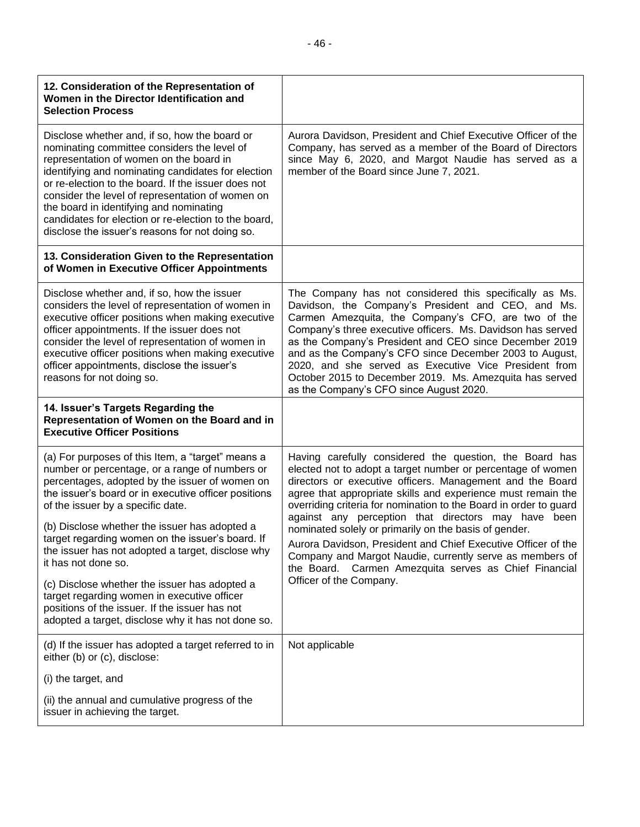| 12. Consideration of the Representation of<br>Women in the Director Identification and<br><b>Selection Process</b>                                                                                                                                                                                                                                                                                                                                             |                                                                                                                                                                                                                                                                                                                                                                                                                                                                                                                                                                                                                                                           |
|----------------------------------------------------------------------------------------------------------------------------------------------------------------------------------------------------------------------------------------------------------------------------------------------------------------------------------------------------------------------------------------------------------------------------------------------------------------|-----------------------------------------------------------------------------------------------------------------------------------------------------------------------------------------------------------------------------------------------------------------------------------------------------------------------------------------------------------------------------------------------------------------------------------------------------------------------------------------------------------------------------------------------------------------------------------------------------------------------------------------------------------|
| Disclose whether and, if so, how the board or<br>nominating committee considers the level of<br>representation of women on the board in<br>identifying and nominating candidates for election<br>or re-election to the board. If the issuer does not<br>consider the level of representation of women on<br>the board in identifying and nominating<br>candidates for election or re-election to the board,<br>disclose the issuer's reasons for not doing so. | Aurora Davidson, President and Chief Executive Officer of the<br>Company, has served as a member of the Board of Directors<br>since May 6, 2020, and Margot Naudie has served as a<br>member of the Board since June 7, 2021.                                                                                                                                                                                                                                                                                                                                                                                                                             |
| 13. Consideration Given to the Representation<br>of Women in Executive Officer Appointments                                                                                                                                                                                                                                                                                                                                                                    |                                                                                                                                                                                                                                                                                                                                                                                                                                                                                                                                                                                                                                                           |
| Disclose whether and, if so, how the issuer<br>considers the level of representation of women in<br>executive officer positions when making executive<br>officer appointments. If the issuer does not<br>consider the level of representation of women in<br>executive officer positions when making executive<br>officer appointments, disclose the issuer's<br>reasons for not doing so.                                                                     | The Company has not considered this specifically as Ms.<br>Davidson, the Company's President and CEO, and Ms.<br>Carmen Amezquita, the Company's CFO, are two of the<br>Company's three executive officers. Ms. Davidson has served<br>as the Company's President and CEO since December 2019<br>and as the Company's CFO since December 2003 to August,<br>2020, and she served as Executive Vice President from<br>October 2015 to December 2019. Ms. Amezquita has served<br>as the Company's CFO since August 2020.                                                                                                                                   |
|                                                                                                                                                                                                                                                                                                                                                                                                                                                                |                                                                                                                                                                                                                                                                                                                                                                                                                                                                                                                                                                                                                                                           |
| 14. Issuer's Targets Regarding the<br>Representation of Women on the Board and in<br><b>Executive Officer Positions</b>                                                                                                                                                                                                                                                                                                                                        |                                                                                                                                                                                                                                                                                                                                                                                                                                                                                                                                                                                                                                                           |
| (a) For purposes of this Item, a "target" means a<br>number or percentage, or a range of numbers or<br>percentages, adopted by the issuer of women on<br>the issuer's board or in executive officer positions<br>of the issuer by a specific date.<br>(b) Disclose whether the issuer has adopted a<br>target regarding women on the issuer's board. If<br>the issuer has not adopted a target, disclose why<br>it has not done so.                            | Having carefully considered the question, the Board has<br>elected not to adopt a target number or percentage of women<br>directors or executive officers. Management and the Board<br>agree that appropriate skills and experience must remain the<br>overriding criteria for nomination to the Board in order to guard<br>against any perception that directors may have been<br>nominated solely or primarily on the basis of gender.<br>Aurora Davidson, President and Chief Executive Officer of the<br>Company and Margot Naudie, currently serve as members of<br>the Board. Carmen Amezquita serves as Chief Financial<br>Officer of the Company. |
| (c) Disclose whether the issuer has adopted a<br>target regarding women in executive officer<br>positions of the issuer. If the issuer has not<br>adopted a target, disclose why it has not done so.                                                                                                                                                                                                                                                           |                                                                                                                                                                                                                                                                                                                                                                                                                                                                                                                                                                                                                                                           |
| (d) If the issuer has adopted a target referred to in<br>either (b) or (c), disclose:                                                                                                                                                                                                                                                                                                                                                                          | Not applicable                                                                                                                                                                                                                                                                                                                                                                                                                                                                                                                                                                                                                                            |
| (i) the target, and                                                                                                                                                                                                                                                                                                                                                                                                                                            |                                                                                                                                                                                                                                                                                                                                                                                                                                                                                                                                                                                                                                                           |